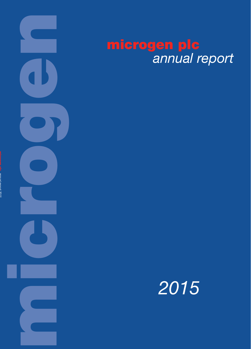

*annual report 2015*

# microgen plc *annual report*

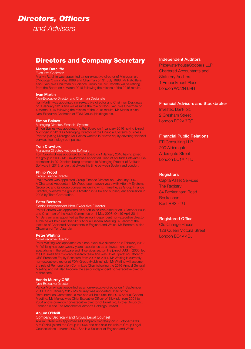# *Directors, Officers and Advisors*

# Directors and Company Secretary

#### **Martyn Ratcliffe**

#### Executive Chairman

Martyn Ratcliffe was appointed a non-executive director of Microgen plc ("Microgen") on 7 May 1998 and Chairman on 31 July 1998. Mr Ratcliffe is also Executive Chairman of Science Group plc. Mr Ratcliffe will be retiring from the Board on 4 March 2016 following the release of the 2015 results.

#### **Ivan Martin**

#### Non-Executive Director and Chairman Designate

Ivan Martin was appointed non-executive director and Chairman Designate on 1 January 2016 and will assume the role of Non-Executive Chairman on 4 March 2016 following the release of the 2015 results. Mr Martin is also Non-Executive Chairman of FDM Group (Holdings) plc.

#### **Simon Baines**

#### Managing Director, Financial Systems

Simon Baines was appointed to the Board on 1 January 2016 having joined Microgen in 2010 as Managing Director of the Financial Systems business. Prior to joining Microgen Mr Baines worked in private equity covering financial services technology companies.

#### **Tom Crawford**

#### Managing Director, Aptitude Software

Tom Crawford was appointed to the Board on 1 January 2016 having joined the group in 2003. Mr Crawford was appointed Head of Aptitude Software USA operations in 2010 before being promoted to Managing Director of Aptitude Software in 2013, a role that divides his time between Boston and London.

#### **Philip Wood**

#### Group Finance Director

Philip Wood was appointed Group Finance Director on 2 January 2007. A Chartered Accountant, Mr Wood spent seven years with AttentiV Systems Group plc and its group companies during which time he, as Group Finance Director, oversaw the group's flotation in 2004 and subsequent acquisition in 2005 by Tieto Corporation.

#### **Peter Bertram**

#### Senior Independent Non-Executive Director

Peter Bertram was appointed as a non-executive director on 3 October 2006 and Chairman of the Audit Committee on 1 May 2007. On 19 April 2011 Mr Bertram was appointed as the senior independent non-executive director, a role he will hold until the 2016 Annual General Meeting. A Fellow of the Institute of Chartered Accountants in England and Wales, Mr Bertram is also Chairman of Ten Alps plc.

#### **Peter Whiting**

#### Non-Executive Director

Peter Whiting was appointed as a non-executive director on 2 February 2012. Mr Whiting has over twenty years' experience as an investment analyst, specialising in the software and IT services sector. He joined UBS in 2000, led the UK small and mid-cap research team and was Chief Operating Officer of UBS European Equity Research from 2007 to 2011. Mr Whiting is currently non-executive director at FDM Group (Holdings) plc. Mr Whiting will assume the role of Remuneration Committee Chair following the 2016 Annual General Meeting and will also become the senior independent non-executive director at that time.

#### **Vanda Murray OBE**

#### Non-Executive Director

Vanda Murray was appointed as a non-executive director on 1 September 2011. On 1 January 2012 Ms Murray was appointed Chair of the Remuneration Committee, a role she will hold until the 2016 Annual General Meeting. Ms Murray was Chief Executive Officer of Blick plc from 2001 to 2004 and is currently non-executive director of Bunzl plc, Exova Group plc, Fenner plc and The Manchester Airports Holdings Limited.

#### **Anjum O'Neill**

#### Company Secretary and Group Legal Counsel

Anjum O'Neill was appointed as Company Secretary on 7 October 2008. Mrs O'Neill joined the Group in 2004 and has held the role of Group Legal Counsel since 1 March 2007. She is a Solicitor of England and Wales.

#### Independent Auditors

PricewaterhouseCoopers LLP Chartered Accountants and **Statutory Auditors** 1 Embankment Place London WC2N 6RH

#### Financial Advisors and Stockbroker

Investec Bank plc 2 Gresham Street London EC2V 7QP

#### Financial Public Relations

FTI Consulting LLP 200 Aldersgate Aldersgate Street London EC1A 4HD

#### **Registrars**

Capita Asset Services The Registry 34 Beckenham Road Beckenham Kent BR3 4TU

### Registered Office

Old Change House 128 Queen Victoria Street London EC4V 4BJ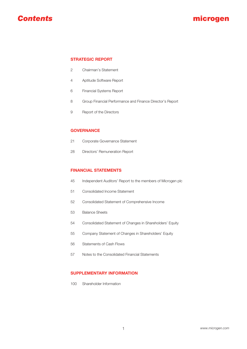# *Contents*

# microgen

# **STRATEGIC REPORT**

- Chairman's Statement
- Aptitude Software Report
- Financial Systems Report
- Group Financial Performance and Finance Director's Report
- Report of the Directors

# **GOVERNANCE**

- Corporate Governance Statement
- Directors' Remuneration Report

# **FINANCIAL STATEMENTS**

- Independent Auditors' Report to the members of Microgen plc
- Consolidated Income Statement
- Consolidated Statement of Comprehensive Income
- Balance Sheets
- Consolidated Statement of Changes in Shareholders' Equity
- Company Statement of Changes in Shareholders' Equity
- Statements of Cash Flows
- Notes to the Consolidated Financial Statements

# **SUPPLEMENTARY INFORMATION**

Shareholder Information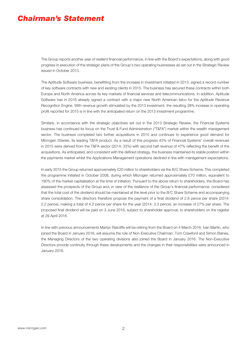# *Chairman's Statement*

The Group reports another year of resilient financial performance, in line with the Board's expectations, along with good progress in execution of the strategic plans of the Group's two operating businesses as set out in the Strategic Review issued in October 2013.

The Aptitude Software business, benefitting from the increase in investment initiated in 2013, signed a record number of key software contracts with new and existing clients in 2015. The business has secured these contracts within both Europe and North America across its key markets of financial services and telecommunications. In addition, Aptitude Software has in 2016 already signed a contract with a major new North American telco for the Aptitude Revenue Recognition Engine. With revenue growth stimulated by the 2013 investment, the resulting 38% increase in operating profit reported for 2015 is in line with the anticipated return on the 2013 investment programme.

Similarly, in accordance with the strategic objectives set out in the 2013 Strategic Review, the Financial Systems business has continued its focus on the Trust & Fund Administration ("T&FA") market within the wealth management sector. The business completed two further acquisitions in 2015 and continues to experience good demand for Microgen 5Series, its leading T&FA product. As a result of this progress 43% of Financial Systems' overall revenues in 2015 were derived from the T&FA sector (2014: 33%) with second half revenue of 47% reflecting the benefit of the acquisitions. As anticipated, and consistent with the defined strategy, the business maintained its stable position within the payments market whilst the Applications Management operations declined in line with management expectations.

In early 2015 the Group returned approximately £20 million to shareholders via the B/C Share Scheme. This completed the programme initiated in October 2008, during which Microgen returned approximately £70 million, equivalent to 190% of the market capitalisation at the time of initiation. Pursuant to the above return to shareholders, the Board has assessed the prospects of the Group and, in view of the resilience of the Group's financial performance, considered that the total cost of the dividend should be maintained at the level prior to the B/C Share Scheme and accompanying share consolidation. The directors therefore propose the payment of a final dividend of 2.8 pence per share (2014: 2.2 pence), making a total of 4.2 pence per share for the year (2014: 3.3 pence), an increase of 27% per share. The proposed final dividend will be paid on 3 June 2016, subject to shareholder approval, to shareholders on the register at 29 April 2016.

In line with previous announcements Martyn Ratcliffe will be retiring from the Board on 4 March 2016. Ivan Martin, who joined the Board in January 2016, will assume the role of Non-Executive Chairman. Tom Crawford and Simon Baines, the Managing Directors of the two operating divisions also joined the Board in January 2016. The Non-Executive Directors provide continuity through these developments and the changes in their responsibilities were announced in January 2016.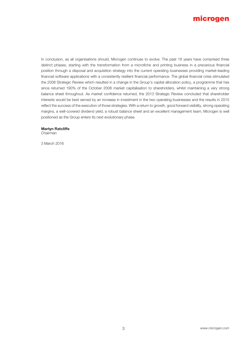

In conclusion, as all organisations should, Microgen continues to evolve. The past 18 years have comprised three distinct phases, starting with the transformation from a microfiche and printing business in a precarious financial position through a disposal and acquisition strategy into the current operating businesses providing market-leading financial software applications with a consistently resilient financial performance. The global financial crisis stimulated the 2008 Strategic Review which resulted in a change in the Group's capital allocation policy, a programme that has since returned 190% of the October 2008 market capitalisation to shareholders, whilst maintaining a very strong balance sheet throughout. As market confidence returned, the 2013 Strategic Review concluded that shareholder interests would be best served by an increase in investment in the two operating businesses and the results in 2015 reflect the success of the execution of those strategies. With a return to growth, good forward visibility, strong operating margins, a well-covered dividend yield, a robust balance sheet and an excellent management team, Microgen is well positioned as the Group enters its next evolutionary phase.

# **Martyn Ratcliffe**

Chairman

3 March 2016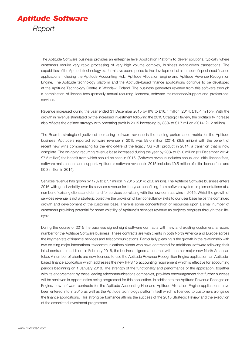

The Aptitude Software business provides an enterprise level Application Platform to deliver solutions, typically where customers require very rapid processing of very high volume complex, business event-driven transactions. The capabilities of the Aptitude technology platform have been applied to the development of a number of specialised finance applications including the Aptitude Accounting Hub, Aptitude Allocation Engine and Aptitude Revenue Recognition Engine. The Aptitude technology platform and the Aptitude-based finance applications continue to be developed at the Aptitude Technology Centre in Wroclaw, Poland. The business generates revenue from this software through a combination of licence fees (primarily annual recurring licences), software maintenance/support and professional services.

Revenue increased during the year ended 31 December 2015 by 9% to £16.7 million (2014: £15.4 million). With the growth in revenue stimulated by the increased investment following the 2013 Strategic Review, the profitability increase also reflects the defined strategy with operating profit in 2015 increasing by 38% to £1.7 million (2014: £1.2 million).

The Board's strategic objective of increasing software revenue is the leading performance metric for the Aptitude business. Aptitude's reported software revenue in 2015 was £9.0 million (2014: £8.8 million) with the benefit of recent new wins compensating for the end-of-life of the legacy OST-BR product in 2014, a transition that is now complete. The on-going recurring revenue base increased during the year by 20% to £9.0 million (31 December 2014: £7.5 million) the benefit from which should be seen in 2016. (Software revenue includes annual and initial licence fees, software maintenance and support. Aptitude's software revenue in 2015 includes £0.5 million of initial licence fees and £0.3 million in 2014).

Services revenue has grown by 17% to £7.7 million in 2015 (2014: £6.6 million). The Aptitude Software business enters 2016 with good visibility over its services revenue for the year benefitting from software system implementations at a number of existing clients and demand for services correlating with the new contract wins in 2015. Whilst the growth of services revenue is not a strategic objective the provision of key consultancy skills to our user base helps the continued growth and development of the customer base. There is some concentration of resources upon a small number of customers providing potential for some volatility of Aptitude's services revenue as projects progress through their lifecycle.

During the course of 2015 the business signed eight software contracts with new and existing customers, a record number for the Aptitude Software business. These contracts are with clients in both North America and Europe across the key markets of financial services and telecommunications. Particularly pleasing is the growth in the relationship with two existing major international telecommunications clients who have contracted for additional software following their initial contract. In addition, in February 2016, the business signed a contract with another major new North American telco. A number of clients are now licenced to use the Aptitude Revenue Recognition Engine application, an Aptitudebased finance application which addresses the new IFRS 15 accounting requirement which is effective for accounting periods beginning on 1 January 2018. The strength of the functionality and performance of the application, together with its endorsement by these leading telecommunications companies, provides encouragement that further success will be achieved in opportunities being progressed for this application. In addition to the Aptitude Revenue Recognition Engine, new software contracts for the Aptitude Accounting Hub and Aptitude Allocation Engine applications have been entered into in 2015 as well as the Aptitude technology platform itself which is licenced to customers alongside the finance applications. This strong performance affirms the success of the 2013 Strategic Review and the execution of the associated investment programme.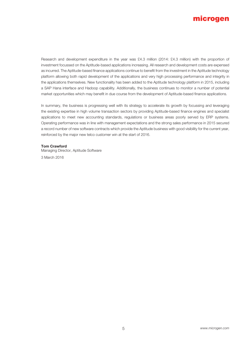

Research and development expenditure in the year was £4.3 million (2014: £4.3 million) with the proportion of investment focussed on the Aptitude-based applications increasing. All research and development costs are expensed as incurred. The Aptitude-based finance applications continue to benefit from the investment in the Aptitude technology platform allowing both rapid development of the applications and very high processing performance and integrity in the applications themselves. New functionality has been added to the Aptitude technology platform in 2015, including a SAP Hana interface and Hadoop capability. Additionally, the business continues to monitor a number of potential market opportunities which may benefit in due course from the development of Aptitude-based finance applications.

In summary, the business is progressing well with its strategy to accelerate its growth by focussing and leveraging the existing expertise in high volume transaction sectors by providing Aptitude-based finance engines and specialist applications to meet new accounting standards, regulations or business areas poorly served by ERP systems. Operating performance was in line with management expectations and the strong sales performance in 2015 secured a record number of new software contracts which provide the Aptitude business with good visibility for the current year, reinforced by the major new telco customer win at the start of 2016.

#### **Tom Crawford**

Managing Director, Aptitude Software 3 March 2016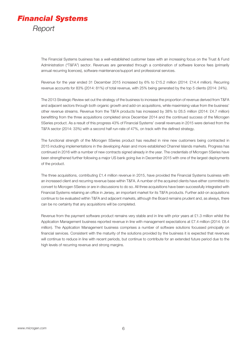# *Financial Systems Report*

The Financial Systems business has a well-established customer base with an increasing focus on the Trust & Fund Administration ("T&FA") sector. Revenues are generated through a combination of software licence fees (primarily annual recurring licences), software maintenance/support and professional services.

Revenue for the year ended 31 December 2015 increased by 6% to £15.2 million (2014: £14.4 million). Recurring revenue accounts for 83% (2014: 81%) of total revenue, with 25% being generated by the top 5 clients (2014: 24%).

The 2013 Strategic Review set out the strategy of the business to increase the proportion of revenue derived from T&FA and adjacent sectors through both organic growth and add-on acquisitions, while maximising value from the business' other revenue streams. Revenue from the T&FA products has increased by 38% to £6.5 million (2014: £4.7 million) benefitting from the three acquisitions completed since December 2014 and the continued success of the Microgen 5Series product. As a result of this progress 43% of Financial Systems' overall revenues in 2015 were derived from the T&FA sector (2014: 33%) with a second half run-rate of 47%, on track with the defined strategy.

The functional strength of the Microgen 5Series product has resulted in nine new customers being contracted in 2015 including implementations in the developing Asian and more established Channel Islands markets. Progress has continued in 2016 with a number of new contracts signed already in the year. The credentials of Microgen 5Series have been strengthened further following a major US bank going live in December 2015 with one of the largest deployments of the product.

The three acquisitions, contributing £1.4 million revenue in 2015, have provided the Financial Systems business with an increased client and recurring revenue base within T&FA. A number of the acquired clients have either committed to convert to Microgen 5Series or are in discussions to do so. All three acquisitions have been successfully integrated with Financial Systems retaining an office in Jersey, an important market for its T&FA products. Further add-on acquisitions continue to be evaluated within T&FA and adjacent markets, although the Board remains prudent and, as always, there can be no certainty that any acquisitions will be completed.

Revenue from the payment software product remains very stable and in line with prior years at £1.3 million whilst the Application Management business reported revenue in line with management expectations at £7.4 million (2014: £8.4 million). The Application Management business comprises a number of software solutions focussed principally on financial services. Consistent with the maturity of the solutions provided by the business it is expected that revenues will continue to reduce in line with recent periods, but continue to contribute for an extended future period due to the high levels of recurring revenue and strong margins.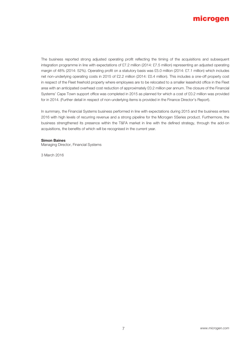

The business reported strong adjusted operating profit reflecting the timing of the acquisitions and subsequent integration programme in line with expectations of £7.2 million (2014: £7.5 million) representing an adjusted operating margin of 48% (2014: 52%). Operating profit on a statutory basis was £5.0 million (2014: £7.1 million) which includes net non-underlying operating costs in 2015 of £2.2 million (2014: £0.4 million). This includes a one-off property cost in respect of the Fleet freehold property where employees are to be relocated to a smaller leasehold office in the Fleet area with an anticipated overhead cost reduction of approximately £0.2 million per annum. The closure of the Financial Systems' Cape Town support office was completed in 2015 as planned for which a cost of £0.2 million was provided for in 2014. (Further detail in respect of non-underlying items is provided in the Finance Director's Report).

In summary, the Financial Systems business performed in line with expectations during 2015 and the business enters 2016 with high levels of recurring revenue and a strong pipeline for the Microgen 5Series product. Furthermore, the business strengthened its presence within the T&FA market in line with the defined strategy, through the add-on acquisitions, the benefits of which will be recognised in the current year.

#### **Simon Baines**

Managing Director, Financial Systems

3 March 2016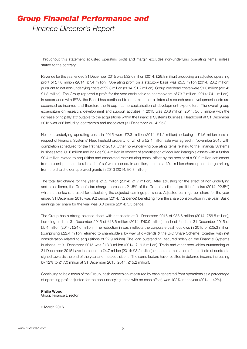# *Group Financial Performance and*

*Finance Director's Report*

Throughout this statement adjusted operating profit and margin excludes non-underlying operating items, unless stated to the contrary.

Revenue for the year ended 31 December 2015 was £32.0 million (2014: £29.8 million) producing an adjusted operating profit of £7.6 million (2014: £7.4 million). Operating profit on a statutory basis was £5.3 million (2014: £6.2 million) pursuant to net non-underlying costs of £2.3 million (2014: £1.2 million). Group overhead costs were £1.3 million (2014: £1.3 million). The Group reported a profit for the year attributable to shareholders of £3.7 million (2014: £4.1 million). In accordance with IFRS, the Board has continued to determine that all internal research and development costs are expensed as incurred and therefore the Group has no capitalisation of development expenditure. The overall group expenditure on research, development and support activities in 2015 was £6.8 million (2014: £6.5 million) with the increase principally attributable to the acquisitions within the Financial Systems business. Headcount at 31 December 2015 was 266 including contractors and associates (31 December 2014: 257).

Net non-underlying operating costs in 2015 were £2.3 million (2014: £1.2 million) including a £1.6 million loss in respect of Financial Systems' Fleet freehold property for which a £2.4 million sale was agreed in November 2015 with completion scheduled for the first half of 2016. Other non-underlying operating items relating to the Financial Systems business total £0.6 million and include £0.4 million in respect of amortisation of acquired intangible assets with a further £0.4 million related to acquisition and associated restructuring costs, offset by the receipt of a £0.2 million settlement from a client pursuant to a breach of software licence. In addition, there is a £0.1 million share option charge arising from the shareholder approved grants in 2013 (2014: £0.8 million).

The total tax charge for the year is £1.2 million (2014: £1.7 million). After adjusting for the effect of non-underlying and other items, the Group's tax charge represents 21.5% of the Group's adjusted profit before tax (2014: 22.5%) which is the tax rate used for calculating the adjusted earnings per share. Adjusted earnings per share for the year ended 31 December 2015 was 9.2 pence (2014: 7.2 pence) benefitting from the share consolidation in the year. Basic earnings per share for the year was 6.0 pence (2014: 5.5 pence)

The Group has a strong balance sheet with net assets at 31 December 2015 of £38.6 million (2014: £56.5 million), including cash at 31 December 2015 of £18.6 million (2014: £40.9 million), and net funds at 31 December 2015 of £5.4 million (2014: £24.6 million). The reduction in cash reflects the corporate cash outflows in 2015 of £25.3 million (comprising £22.4 million returned to shareholders by way of dividends & the B/C Share Scheme, together with net consideration related to acquisitions of £2.9 million). The loan outstanding, secured solely on the Financial Systems business, at 31 December 2015 was £13.3 million (2014: £16.3 million). Trade and other receivables outstanding at 31 December 2015 have increased to £4.7 million (2014: £3.2 million) due to a combination of the effects of contracts signed towards the end of the year and the acquisitions. The same factors have resulted in deferred income increasing by 12% to £17.0 million at 31 December 2015 (2014: £15.2 million).

Continuing to be a focus of the Group, cash conversion (measured by cash generated from operations as a percentage of operating profit adjusted for the non-underlying items with no cash effect) was 102% in the year (2014: 142%).

#### **Philip Wood**

Group Finance Director

3 March 2016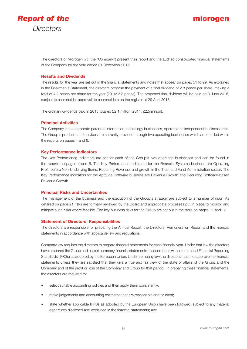

# microgen

The directors of Microgen plc (the "Company") present their report and the audited consolidated financial statements of the Company for the year ended 31 December 2015.

### **Results and Dividends**

The results for the year are set out in the financial statements and notes that appear on pages 51 to 99. As explained in the Chairman's Statement, the directors propose the payment of a final dividend of 2.8 pence per share, making a total of 4.2 pence per share for the year (2014: 3.3 pence). The proposed final dividend will be paid on 3 June 2016, subject to shareholder approval, to shareholders on the register at 29 April 2016.

The ordinary dividends paid in 2015 totalled £2.1 million (2014: £2.5 million).

#### **Principal Activities**

The Company is the corporate parent of information technology businesses, operated as independent business units. The Group's products and services are currently provided through two operating businesses which are detailed within the reports on pages 4 and 6.

#### **Key Performance Indicators**

The Key Performance Indicators are set for each of the Group's two operating businesses and can be found in the reports on pages 4 and 6. The Key Performance Indicators for the Financial Systems business are Operating Profit before Non-Underlying Items; Recurring Revenue; and growth in the Trust and Fund Administration sector. The Key Performance Indicators for the Aptitude Software business are Revenue Growth and Recurring Software-based Revenue Growth.

#### **Principal Risks and Uncertainties**

The management of the business and the execution of the Group's strategy are subject to a number of risks. As detailed on page 21 risks are formally reviewed by the Board and appropriate processes put in place to monitor and mitigate such risks where feasible. The key business risks for the Group are set out in the table on pages 11 and 12.

#### **Statement of Directors' Responsibilities**

The directors are responsible for preparing the Annual Report, the Directors' Remuneration Report and the financial statements in accordance with applicable law and regulations.

Company law requires the directors to prepare financial statements for each financial year. Under that law the directors have prepared the Group and parent company financial statements in accordance with International Financial Reporting Standards (IFRSs) as adopted by the European Union. Under company law the directors must not approve the financial statements unless they are satisfied that they give a true and fair view of the state of affairs of the Group and the Company and of the profit or loss of the Company and Group for that period. In preparing these financial statements, the directors are required to:

- select suitable accounting policies and then apply them consistently;
- make judgements and accounting estimates that are reasonable and prudent;
- state whether applicable IFRSs as adopted by the European Union have been followed, subject to any material departures disclosed and explained in the financial statements; and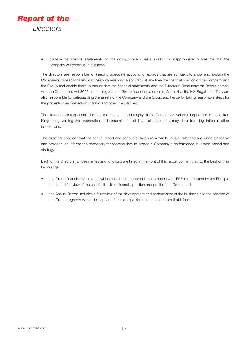

prepare the financial statements on the going concern basis unless it is inappropriate to presume that the Company will continue in business.

The directors are responsible for keeping adequate accounting records that are sufficient to show and explain the Company's transactions and disclose with reasonable accuracy at any time the financial position of the Company and the Group and enable them to ensure that the financial statements and the Directors' Remuneration Report comply with the Companies Act 2006 and, as regards the Group financial statements, Article 4 of the IAS Regulation. They are also responsible for safeguarding the assets of the Company and the Group and hence for taking reasonable steps for the prevention and detection of fraud and other irregularities.

The directors are responsible for the maintenance and integrity of the Company's website. Legislation in the United Kingdom governing the preparation and dissemination of financial statements may differ from legislation in other jurisdictions.

The directors consider that the annual report and accounts, taken as a whole, is fair, balanced and understandable and provides the information necessary for shareholders to assess a Company's performance, business model and strategy.

Each of the directors, whose names and functions are listed in the front of this report confirm that, to the best of their knowledge:

- the Group financial statements, which have been prepared in accordance with IFRSs as adopted by the EU, give a true and fair view of the assets, liabilities, financial position and profit of the Group; and
- the Annual Report includes a fair review of the development and performance of the business and the position of the Group, together with a description of the principal risks and uncertainties that it faces.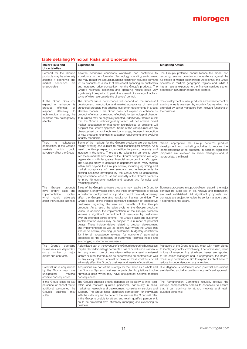# **Table detailing Principal Risks and Uncertainties**

| <b>Major Risks and</b><br><b>Uncertainties</b>                                                                                                                                         | <b>Explanation</b>                                                                                                                                                                                                                                                                                                                                                                                                                                                                                                                                                                                                                                                                                                                                                                                                                                                                                                                                                                                                                                                                                                                     | <b>Mitigating Action</b>                                                                                                                                                                                                                                                                                                                           |
|----------------------------------------------------------------------------------------------------------------------------------------------------------------------------------------|----------------------------------------------------------------------------------------------------------------------------------------------------------------------------------------------------------------------------------------------------------------------------------------------------------------------------------------------------------------------------------------------------------------------------------------------------------------------------------------------------------------------------------------------------------------------------------------------------------------------------------------------------------------------------------------------------------------------------------------------------------------------------------------------------------------------------------------------------------------------------------------------------------------------------------------------------------------------------------------------------------------------------------------------------------------------------------------------------------------------------------------|----------------------------------------------------------------------------------------------------------------------------------------------------------------------------------------------------------------------------------------------------------------------------------------------------------------------------------------------------|
| Demand for the Group's<br>products may be adversely<br>affected if economic and<br>conditions<br>market<br>are<br>unfavourable                                                         | Adverse economic conditions worldwide can contribute to<br>slowdowns in the Information Technology spending environment<br>and may impact the Group's business resulting in reduced demand<br>for its products as a result of decreased spending by customers<br>and increased price competition for the Group's products. The<br>Group's revenues, expenses and operating results could vary<br>significantly from period to period as a result of a variety of factors,<br>some of which are outside the directors' control.                                                                                                                                                                                                                                                                                                                                                                                                                                                                                                                                                                                                         | The Group's preferred annual licence fee model and<br>recurring revenue provides some resilience against the<br>full effects of market deterioration. Additionally, the Group<br>operates in multiple geographic regions and, while it<br>has a material exposure to the financial services sector,<br>operates in a number of business sectors.   |
| If the Group does not<br>expand or enhance<br>its<br>product<br>offerings<br>or<br>respond<br>effectively<br>to<br>technological change, the<br>business may be negatively<br>affected | The Group's future performance will depend on the successful<br>development, introduction and market acceptance of new and<br>enhanced products that address customer requirements in a cost<br>effective manner. If the Group does not expand or enhance its<br>product offerings or respond effectively to technological change,<br>its business may be negatively affected. Additionally, there is a risk<br>that the Group's technological approach will not achieve broad<br>market acceptance or that other technologies or solutions will<br>supplant the Group's approach. Some of the Group's markets are<br>characterised by rapid technological change, frequent introduction<br>of new products, changes in customer requirements and evolving<br>industry standards.                                                                                                                                                                                                                                                                                                                                                      | The development of new products and enhancement of<br>existing ones is overseen by monthly forums which are<br>attended by senior managers from relevant functions of<br>the business.                                                                                                                                                             |
| There<br>is<br>substantial<br>competition in the Group's<br>markets<br>which<br>could<br>adversely affect the Group                                                                    | Some of the markets for the Group's products are competitive,<br>rapidly evolving and subject to rapid technological change. As a<br>result the Group expects competition to persist, intensify and<br>increase in the future. There are no substantial barriers to entry<br>into these markets and some of the Group's competitors are large<br>organisations with far greater financial resources than Microgen.<br>The Group's ability to compete is dependent upon many factors<br>within and beyond the Group's control, including (a) timing and<br>market acceptance of new solutions and enhancements to<br>existing solutions developed by the Group and its competitors<br>(b) performance, ease of use and reliability of the Group's products<br>(c) price (d) customer service and support and (e) sales and<br>marketing efforts.                                                                                                                                                                                                                                                                                        | Where appropriate the Group performs product<br>development and marketing activities to improve the<br>competitiveness of its products. In addition significant<br>proposals are reviewed by senior managers and, if<br>appropriate, the Board.                                                                                                    |
| The<br>Group's<br>products<br>have lengthy sales and<br>implementation<br>cycles,<br>which<br>could<br>adversely<br>affect the Group's business                                        | Sales of the Group's software products may require the Group to<br>engage in a lengthy sales effort, and these lengthy periods or delays<br>in customer deployment of a product could materially adversely<br>affect the Group's operating results or financial condition. The<br>Group's sales efforts include significant education of prospective<br>customers regarding the use and benefits of the Group's<br>products. As a result, the sales cycle for the Group's products<br>varies. In addition, the implementation of the Group's products<br>involves a significant commitment of resources by customers<br>over an extended period of time. The Group's sales and customer<br>implementation cycles may be subject to a number of potential<br>delays. These include delays related to product development<br>and implementation as well as delays over which the Group has<br>little or no control, including (a) customers' budgetary constraints<br>(b) internal acceptance reviews (c) customers' purchasing<br>processes (d) the complexity of customers' technical needs and<br>(e) changing customer requirements. | Business processes in support of each stage in the major<br>contract life cycle (bid, in life, renewal and termination)<br>are well established. All significant proposals and<br>contracts are subject to review by senior managers and,<br>if appropriate, the Board.                                                                            |
| The<br>Group's<br>operating<br>businesses are dependent<br>on a number of major<br>clients and contracts                                                                               | A significant part of the revenue of the Group's operating businesses<br>may be derived from large contracts. Loss of or reduction in revenue<br>from any one or more of these clients (either as a result of external<br>factors or other factors such as performance on contracts) as well<br>as any expiry without renewal or delay of these contracts could<br>adversely affect the Group's business and results of operations.                                                                                                                                                                                                                                                                                                                                                                                                                                                                                                                                                                                                                                                                                                    | Managers of the Group regularly meet with major clients<br>to identify any factors which may, if not addressed, result<br>in loss of revenue. Any significant issues are reported<br>to the senior managers and, if appropriate, the Board.<br>The Group continues to aim to expand its client base to<br>reduce its dependency on any one client. |
| Potential future acquisitions<br>by the Group may have<br>unexpected<br>material<br>adverse consequences                                                                               | Acquisitions are part of the strategy for the Group as a whole and<br>the Financial Systems business in particular. Acquisitions involve<br>numerous risks which may have unexpected adverse material<br>consequences.                                                                                                                                                                                                                                                                                                                                                                                                                                                                                                                                                                                                                                                                                                                                                                                                                                                                                                                 | Due diligence is performed when potential acquisitions<br>are identified and all acquisitions require Board approval.                                                                                                                                                                                                                              |
| If the Group loses its key<br>personnel or cannot recruit<br>additional personnel, the<br>Group's<br>business<br>may<br>suffer                                                         | The Group's success greatly depends on its ability to hire, train,<br>retain and motivate qualified personnel, particularly in sales,<br>marketing, research and development, consultancy services and<br>support. The Group faces significant competition for individuals<br>with the skills required to perform the services the Group will offer.<br>If the Group is unable to attract and retain qualified personnel it<br>could be prevented from effectively managing and expanding its<br>business.                                                                                                                                                                                                                                                                                                                                                                                                                                                                                                                                                                                                                             | The Remuneration Committee regularly reviews the<br>Group's compensation policies to endeavour to ensure<br>that it can continue to attract, motivate and retain<br>qualified personnel.                                                                                                                                                           |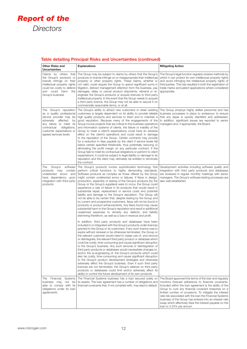

# **Table detailing Principal Risks and Uncertainties (continued)**

| <b>Other Risks and</b><br><b>Uncertainties</b>                                                                                                                                                                                | <b>Explanations</b>                                                                                                                                                                                                                                                                                                                                                                                                                                                                                                                                                                                                                                                                                                                                                                                                                                                                                                                                                                                                                                                                                                                                                                                                                                                                                                                                                                                                                                                                                                                                                                                                                                                                                                                                                                                                                                                                                                                                                                                                                                     | <b>Mitigating Action</b>                                                                                                                                                                                                                                                                                                                                                                                                                                                                                |
|-------------------------------------------------------------------------------------------------------------------------------------------------------------------------------------------------------------------------------|---------------------------------------------------------------------------------------------------------------------------------------------------------------------------------------------------------------------------------------------------------------------------------------------------------------------------------------------------------------------------------------------------------------------------------------------------------------------------------------------------------------------------------------------------------------------------------------------------------------------------------------------------------------------------------------------------------------------------------------------------------------------------------------------------------------------------------------------------------------------------------------------------------------------------------------------------------------------------------------------------------------------------------------------------------------------------------------------------------------------------------------------------------------------------------------------------------------------------------------------------------------------------------------------------------------------------------------------------------------------------------------------------------------------------------------------------------------------------------------------------------------------------------------------------------------------------------------------------------------------------------------------------------------------------------------------------------------------------------------------------------------------------------------------------------------------------------------------------------------------------------------------------------------------------------------------------------------------------------------------------------------------------------------------------------|---------------------------------------------------------------------------------------------------------------------------------------------------------------------------------------------------------------------------------------------------------------------------------------------------------------------------------------------------------------------------------------------------------------------------------------------------------------------------------------------------------|
| Claims by others that<br>the Group's products or<br>brands infringe on their<br>intellectual property rights<br>could be costly to defend<br>and could harm the<br>Group's business                                           | The Group may be subject to claims by others that the Group's<br>products or brands infringe on or misappropriate their intellectual<br>property or other property rights. These claims, whether or<br>not valid, could require the Group to spend significant sums in<br>litigation, distract management attention from the business, pay<br>damages, delay or cancel product shipments, rebrand or re-<br>engineer the Group's products or acquire licences to third party<br>intellectual property. In the event that the Group needs to acquire<br>a third party licence, the Group may not be able to secure it on<br>commercially reasonable terms, or at all.                                                                                                                                                                                                                                                                                                                                                                                                                                                                                                                                                                                                                                                                                                                                                                                                                                                                                                                                                                                                                                                                                                                                                                                                                                                                                                                                                                                    | The Group's legal function regularly reviews methods by<br>which it can protect its own intellectual property rights<br>and avoid infringing the intellectual property rights of<br>third parties. This has resulted in both the registration of<br>trade marks and patent applications where considered<br>appropriate.                                                                                                                                                                                |
| The Group's reputation<br>as a quality professional<br>service provider may be<br>adversely<br>affected<br>by<br>any failure to meet its<br>contractual<br>obligations,<br>customer expectations or<br>agreed services levels | The Group's ability to attract new customers or retain existing<br>customers is largely dependent on its ability to provide reliable<br>high quality products and services to them and to maintain a<br>good reputation. Because many of the engagements of the<br>Group involve projects that are critical to the business operations<br>and information systems of clients, the failure or inability of the<br>Group to meet a client's expectations could have an adverse<br>effect on the client's operations and could result in damage<br>to the reputation of the Group. Certain contracts may provide<br>for a reduction in fees payable by the client if service levels fall<br>below certain specified thresholds, thus potentially reducing or<br>eliminating the profit margin on any particular contract. If the<br>Group fails to meet its contractual obligations or perform to client<br>expectations, it could be subject to legal liability or damage to its<br>reputation and the client may ultimately be entitled to terminate<br>the contract.                                                                                                                                                                                                                                                                                                                                                                                                                                                                                                                                                                                                                                                                                                                                                                                                                                                                                                                                                                                    | The Group employs highly skilled personnel and has<br>business processes in place to endeavour to ensure<br>that any lapse is quickly identified and addressed.<br>In addition, significant issues are reported to senior<br>managers and, if appropriate, the Board.                                                                                                                                                                                                                                   |
| Group's<br>software<br>The<br>products may<br>contain<br>undetected errors and<br>have dependency upon<br>integration with third party<br>products                                                                            | The Group's products involve sophisticated technology that<br>perform critical functions to highly demanding standards.<br>Software products as complex as those offered by the Group<br>might contain undetected errors or failures. If flaws in design,<br>production, assembly or testing of the Group's products (by the<br>Group or the Group's suppliers) were to occur, the Group could<br>experience a rate of failure in its products that would result in<br>substantial repair, replacement or service costs and potential<br>liability and damage to the Group's reputation. The Group will<br>not be able to be certain that, despite testing by the Group and<br>by current and prospective customers, flaws will not be found in<br>products or product enhancements. Any flaws found may cause<br>substantial harm to the Group's reputation and result in additional<br>unplanned expenses to remedy any defects, and liability<br>stemming therefrom, as well as a loss in revenue and profit.<br>In addition, third party products and databases have been<br>included in or integrated with the Group's products under licences<br>granted to the Group or its customers. If any such licence was to<br>expire without renewal or be otherwise terminated, the Group or<br>the relevant customer would need to cease use of, and remove<br>or disintegrate, the relevant third party product or database which<br>could be costly, time-consuming and cause significant disruption<br>to the Group's business. Any such removal or disintegration of<br>third party products or databases would necessitate changes to,<br>and/or the re-engineering of, the Group's products which could<br>also be costly, time-consuming and cause significant disruption<br>to the Group's product development strategies and otherwise<br>adversely affect the Group's business. Even if such third party<br>licences are not terminated, the Group's reliance on third party<br>products or databases could limit and/or adversely affect its | Development activities including software quality and<br>integration with third party products and databases<br>are reviewed in regular monthly meetings with senior<br>managers. The Group's software testing processes are<br>also well established.                                                                                                                                                                                                                                                  |
| The Financial<br>Systems<br>business may<br>not be<br>able to comply with its<br>obligations under its loan<br>agreements                                                                                                     | ability to control the future development of its own products.<br>The Financial Systems business has a loan secured solely on<br>its assets. The loan agreement has a number of obligations and<br>financial covenants that, if not complied with, may lead to default.                                                                                                                                                                                                                                                                                                                                                                                                                                                                                                                                                                                                                                                                                                                                                                                                                                                                                                                                                                                                                                                                                                                                                                                                                                                                                                                                                                                                                                                                                                                                                                                                                                                                                                                                                                                 | The Board approved the terms of the loan and regularly<br>monitors forecast adherence to financial covenants.<br>Included within the loan agreement is the ability of the<br>Group to cure any financial covenant breaches on a<br>limited number of occasions. To mitigate the interest<br>rate risk associated with the loan the Financial Systems<br>business of the Group has entered into an interest rate<br>swap which effectively fixes the interest payable on the<br>loan to 3.24% per annum. |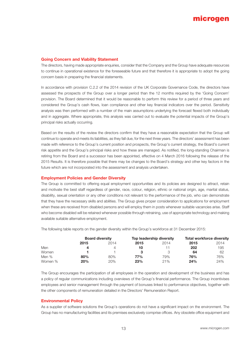# microgen

### **Going Concern and Viability Statement**

The directors, having made appropriate enquiries, consider that the Company and the Group have adequate resources to continue in operational existence for the foreseeable future and that therefore it is appropriate to adopt the going concern basis in preparing the financial statements.

In accordance with provision C.2.2 of the 2014 revision of the UK Corporate Governance Code, the directors have assessed the prospects of the Group over a longer period than the 12 months required by the 'Going Concern' provision. The Board determined that it would be reasonable to perform this review for a period of three years and considered the Group's cash flows, loan compliance and other key financial indicators over the period. Sensitivity analysis was then performed with a number of the main assumptions underlying the forecast flexed both individually and in aggregate. Where appropriate, this analysis was carried out to evaluate the potential impacts of the Group's principal risks actually occurring.

Based on the results of the review the directors confirm that they have a reasonable expectation that the Group will continue to operate and meets its liabilities, as they fall due, for the next three years. The directors' assessment has been made with reference to the Group's current position and prospects, the Group's current strategy, the Board's current risk appetite and the Group's principal risks and how these are managed. As notified, the long-standing Chairman is retiring from the Board and a successor has been appointed, effective on 4 March 2016 following the release of the 2015 Results. It is therefore possible that there may be changes to the Board's strategy and other key factors in the future which are not incorporated into the assessment and analysis undertaken.

### **Employment Policies and Gender Diversity**

The Group is committed to offering equal employment opportunities and its policies are designed to attract, retain and motivate the best staff regardless of gender, race, colour, religion, ethnic or national origin, age, marital status, disability, sexual orientation or any other conditions not relevant to the performance of the job, who can demonstrate that they have the necessary skills and abilities. The Group gives proper consideration to applications for employment when these are received from disabled persons and will employ them in posts whenever suitable vacancies arise. Staff who become disabled will be retained whenever possible through retraining, use of appropriate technology and making available suitable alternative employment.

The following table reports on the gender diversity within the Group's workforce at 31 December 2015:

|         | <b>Board diversity</b> |      |      | Top leadership diversity |      | <b>Total workforce diversity</b> |  |
|---------|------------------------|------|------|--------------------------|------|----------------------------------|--|
|         | 2015                   | 2014 | 2015 | 2014                     | 2015 | 2014                             |  |
| Men     | 4                      |      | 10   |                          | 202  | 195                              |  |
| Women   |                        |      |      |                          | 64   | 62                               |  |
| Men %   | 80%                    | 80%  | 77%  | 79%                      | 76%  | 76%                              |  |
| Women % | 20%                    | 20%  | 23%  | 21%                      | 24%  | 24%                              |  |

The Group encourages the participation of all employees in the operation and development of the business and has a policy of regular communications including overviews of the Group's financial performance. The Group incentivises employees and senior management through the payment of bonuses linked to performance objectives, together with the other components of remuneration detailed in the Directors' Remuneration Report.

### **Environmental Policy**

As a supplier of software solutions the Group's operations do not have a significant impact on the environment. The Group has no manufacturing facilities and its premises exclusively comprise offices. Any obsolete office equipment and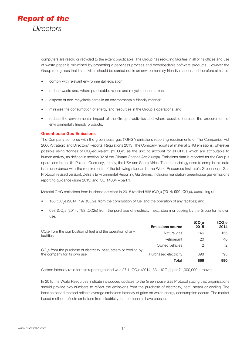

computers are resold or recycled to the extent practicable. The Group has recycling facilities in all of its offices and use of waste paper is minimised by promoting a paperless process and downloadable software products. However the Group recognises that its activities should be carried out in an environmentally friendly manner and therefore aims to:

- comply with relevant environmental legislation;
- reduce waste and, where practicable, re-use and recycle consumables;
- dispose of non-recyclable items in an environmentally friendly manner;
- minimise the consumption of energy and resources in the Group's operations; and
- reduce the environmental impact of the Group's activities and where possible increase the procurement of environmentally friendly products.

### **Greenhouse Gas Emissions**

The Company complies with the greenhouse gas ("GHG") emissions reporting requirements of The Companies Act 2006 (Strategic and Directors' Reports) Regulations 2013. The Company reports all material GHG emissions, wherever possible using 'tonnes of CO<sub>2</sub>-equivalent' ("tCO<sub>2</sub>e") as the unit, to account for all GHGs which are attributable to human activity, as defined in section 92 of the Climate Change Act 2008(a). Emissions data is reported for the Group's operations in the UK, Poland, Guernsey, Jersey, the USA and South Africa. The methodology used to compile this data is in accordance with the requirements of the following standards: the World Resources Institute's Greenhouse Gas Protocol (revised version); Defra's Environmental Reporting Guidelines: Including mandatory greenhouse gas emissions reporting guidance (June 2013) and ISO 14064 – part 1.

Material GHG emissions from business activities in 2015 totalled 866 tCO<sub>2</sub>e (2014: 990 tCO<sub>2</sub>e), consisting of:

- 168 tCO<sub>2</sub>e (2014: 197 tCO2e) from the combustion of fuel and the operation of any facilities; and
- 698 tCO<sub>2</sub>e (2014: 793 tCO2e) from the purchase of electricity, heat, steam or cooling by the Group for its own use.

|                                                                                                              | <b>Emissions source</b> | tCO <sub>se</sub><br>2015 | tCO <sub>se</sub><br>2014 |
|--------------------------------------------------------------------------------------------------------------|-------------------------|---------------------------|---------------------------|
| CO <sub>s</sub> e from the combustion of fuel and the operation of any<br>facilities                         | Natural gas             | 146                       | 155                       |
|                                                                                                              | Refrigerant             | 20                        | 40                        |
|                                                                                                              | Owned vehicles          | 2                         | $\mathcal{P}$             |
| CO <sub>2</sub> e from the purchase of electricity, heat, steam or cooling by<br>the company for its own use | Purchased electricity   | 698                       | 793                       |
|                                                                                                              | Total                   | 866                       | 990                       |

Carbon intensity ratio for this reporting period was 27.1 tCO<sub>2</sub>e (2014: 33.1 tCO<sub>2</sub>e) per £1,000,000 turnover.

In 2015 the World Resources Institute introduced updates to the Greenhouse Gas Protocol stating that organisations should provide two numbers to reflect the emissions from the purchase of electricity, heat, steam or cooling. The location based method reflects average emissions intensity of grids on which energy consumption occurs. The market based method reflects emissions from electricity that companies have chosen.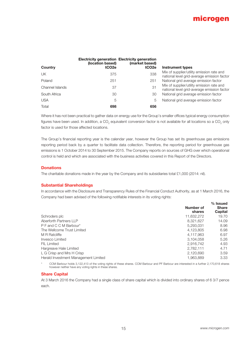# microgen

| Country         | <b>Electricity generation Electricity generation</b><br>(location based)<br>tCO <sub>2e</sub> | (market based)<br>tCO <sub>2e</sub> | Instrument types                                                                         |
|-----------------|-----------------------------------------------------------------------------------------------|-------------------------------------|------------------------------------------------------------------------------------------|
| UK              | 375                                                                                           | 338                                 | Mix of supplier/utility emission rate and<br>national level grid-average emission factor |
| Poland          | 251                                                                                           | 251                                 | National grid average emission factor                                                    |
| Channel Islands | 37                                                                                            | 31                                  | Mix of supplier/utility emission rate and<br>national level grid-average emission factor |
| South Africa    | 30                                                                                            | 30                                  | National grid average emission factor                                                    |
| <b>USA</b>      | 5                                                                                             | 5                                   | National grid average emission factor                                                    |
| Total           | 698                                                                                           | 656                                 |                                                                                          |

Where it has not been practical to gather data on energy use for the Group's smaller offices typical energy consumption figures have been used. In addition, a CO<sub>2</sub> equivalent conversion factor is not available for all locations so a CO<sub>2</sub> only factor is used for those affected locations.

The Group's financial reporting year is the calendar year, however the Group has set its greenhouse gas emissions reporting period back by a quarter to facilitate data collection. Therefore, the reporting period for greenhouse gas emissions is 1 October 2014 to 30 September 2015. The Company reports on sources of GHG over which operational control is held and which are associated with the business activities covered in this Report of the Directors.

# **Donations**

The charitable donations made in the year by the Company and its subsidiaries total £1,000 (2014: nil).

# **Substantial Shareholdings**

In accordance with the Disclosure and Transparency Rules of the Financial Conduct Authority, as at 1 March 2016, the Company had been advised of the following notifiable interests in its voting rights:

| Number of<br>shares | % Issued<br><b>Share</b><br>Capital |
|---------------------|-------------------------------------|
| 11,632,272          | 19.70                               |
| 8,321,627           | 14.09                               |
| 5,293,031           | 8.96                                |
| 4,123,805           | 6.98                                |
| 4.117.963           | 6.97                                |
| 3,104,058           | 5.26                                |
| 2,916,742           | 4.93                                |
| 2,782,111           | 4.71                                |
| 2,120,690           | 3.59                                |
| 1,963,889           | 3.33                                |
|                     |                                     |

\* CCM Barbour holds 3,122,413 of the voting rights of these shares. CCM Barbour and PF Barbour are interested in a further 2,170,618 shares however neither have any voting rights in these shares.

### **Share Capital**

At 3 March 2016 the Company had a single class of share capital which is divided into ordinary shares of 6 3/7 pence each.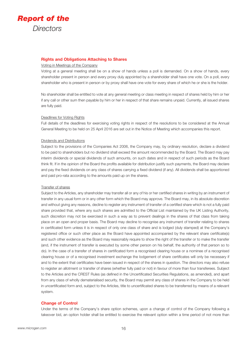

### **Rights and Obligations Attaching to Shares**

#### Voting in Meetings of the Company

Voting at a general meeting shall be on a show of hands unless a poll is demanded. On a show of hands, every shareholder present in person and every proxy duly appointed by a shareholder shall have one vote. On a poll, every shareholder who is present in person or by proxy shall have one vote for every share of which he or she is the holder.

No shareholder shall be entitled to vote at any general meeting or class meeting in respect of shares held by him or her if any call or other sum then payable by him or her in respect of that share remains unpaid. Currently, all issued shares are fully paid.

#### Deadlines for Voting Rights

Full details of the deadlines for exercising voting rights in respect of the resolutions to be considered at the Annual General Meeting to be held on 25 April 2016 are set out in the Notice of Meeting which accompanies this report.

#### Dividends and Distributions

Subject to the provisions of the Companies Act 2006, the Company may, by ordinary resolution, declare a dividend to be paid to shareholders but no dividend shall exceed the amount recommended by the Board. The Board may pay interim dividends or special dividends of such amounts, on such dates and in respect of such periods as the Board think fit. If in the opinion of the Board the profits available for distribution justify such payments, the Board may declare and pay the fixed dividends on any class of shares carrying a fixed dividend (if any). All dividends shall be apportioned and paid pro-rata according to the amounts paid up on the shares.

#### Transfer of shares

Subject to the Articles, any shareholder may transfer all or any of his or her certified shares in writing by an instrument of transfer in any usual form or in any other form which the Board may approve. The Board may, in its absolute discretion and without giving any reasons, decline to register any instrument of transfer of a certified share which is not a fully paid share provided that, where any such shares are admitted to the Official List maintained by the UK Listing Authority, such discretion may not be exercised in such a way as to prevent dealings in the shares of that class from taking place on an open and proper basis. The Board may decline to recognise any instrument of transfer relating to shares in certificated form unless it is in respect of only one class of share and is lodged (duly stamped) at the Company's registered office or such other place as the Board have appointed accompanied by the relevant share certificate(s) and such other evidence as the Board may reasonably require to show the right of the transfer or to make the transfer (and, if the instrument of transfer is executed by some other person on his behalf, the authority of that person so to do). In the case of a transfer of shares in certificated form a recognised clearing house or a nominee of a recognised clearing house or of a recognised investment exchange the lodgement of share certificates will only be necessary if and to the extent that certificates have been issued in respect of the shares in question. The directors may also refuse to register an allotment or transfer of shares (whether fully paid or not) in favour of more than four transferees. Subject to the Articles and the CREST Rules (as defined in the Uncertificated Securities Regulations, as amended), and apart from any class of wholly dematerialised security, the Board may permit any class of shares in the Company to be held in uncertificated form and, subject to the Articles, title to uncertificated shares to be transferred by means of a relevant system.

#### **Change of Control**

Under the terms of the Company's share option schemes, upon a change of control of the Company following a takeover bid, an option holder shall be entitled to exercise the relevant option within a time period of not more than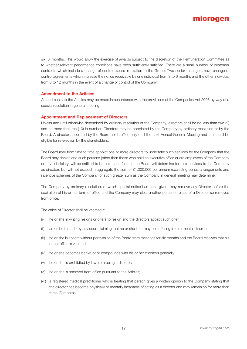

six (6) months. This would allow the exercise of awards subject to the discretion of the Remuneration Committee as to whether relevant performance conditions have been sufficiently satisfied. There are a small number of customer contracts which include a change of control clause in relation to the Group. Two senior managers have change of control agreements which increase the notice receivable by one individual from 3 to 6 months and the other individual from 6 to 12 months in the event of a change of control of the Company.

#### **Amendment to the Articles**

Amendments to the Articles may be made in accordance with the provisions of the Companies Act 2006 by way of a special resolution in general meeting.

#### **Appointment and Replacement of Directors**

Unless and until otherwise determined by ordinary resolution of the Company, directors shall be no less than two (2) and no more than ten (10) in number. Directors may be appointed by the Company by ordinary resolution or by the Board. A director appointed by the Board holds office only until the next Annual General Meeting and then shall be eligible for re-election by the shareholders.

The Board may from time to time appoint one or more directors to undertake such services for the Company that the Board may decide and such persons (other than those who hold an executive office or are employees of the Company or any subsidiary) will be entitled to be paid such fees as the Board will determine for their services to the Company as directors but will not exceed in aggregate the sum of £1,000,000 per annum (excluding bonus arrangements and incentive schemes of the Company) or such greater sum as the Company in general meeting may determine.

The Company by ordinary resolution, of which special notice has been given, may remove any Director before the expiration of his or her term of office and the Company may elect another person in place of a Director so removed from office.

The office of Director shall be vacated if:

- (i) he or she in writing resigns or offers to resign and the directors accept such offer;
- (ii) an order is made by any court claiming that he or she is or may be suffering from a mental disorder;
- (iii) he or she is absent without permission of the Board from meetings for six months and the Board resolves that his or her office is vacated;
- (iv) he or she becomes bankrupt or compounds with his or her creditors generally;
- (v) he or she is prohibited by law from being a director;
- (vi) he or she is removed from office pursuant to the Articles;
- (vii) a registered medical practitioner who is treating that person gives a written opinion to the Company stating that the director has become physically or mentally incapable of acting as a director and may remain so for more than three (3) months.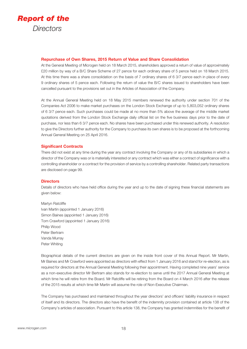

#### **Repurchase of Own Shares, 2015 Return of Value and Share Consolidation**

At the General Meeting of Microgen held on 18 March 2015, shareholders approved a return of value of approximately £20 million by way of a B/C Share Scheme of 27 pence for each ordinary share of 5 pence held on 18 March 2015. At this time there was a share consolidation on the basis of 7 ordinary shares of 6 3/7 pence each in place of every 9 ordinary shares of 5 pence each. Following the return of value the B/C shares issued to shareholders have been cancelled pursuant to the provisions set out in the Articles of Association of the Company.

At the Annual General Meeting held on 18 May 2015 members renewed the authority under section 701 of the Companies Act 2006 to make market purchases on the London Stock Exchange of up to 5,803,052 ordinary shares of 6 3/7 pence each. Such purchases could be made at no more than 5% above the average of the middle market quotations derived from the London Stock Exchange daily official list on the five business days prior to the date of purchase, nor less than 6 3/7 pence each. No shares have been purchased under this renewed authority. A resolution to give the Directors further authority for the Company to purchase its own shares is to be proposed at the forthcoming Annual General Meeting on 25 April 2016.

#### **Significant Contracts**

There did not exist at any time during the year any contract involving the Company or any of its subsidiaries in which a director of the Company was or is materially interested or any contract which was either a contract of significance with a controlling shareholder or a contract for the provision of service by a controlling shareholder. Related party transactions are disclosed on page 99.

### **Directors**

Details of directors who have held office during the year and up to the date of signing these financial statements are given below:

Martyn Ratcliffe Ivan Martin (appointed 1 January 2016) Simon Baines (appointed 1 January 2016) Tom Crawford (appointed 1 January 2016) Philip Wood Peter Bertram Vanda Murray Peter Whiting

Biographical details of the current directors are given on the inside front cover of this Annual Report. Mr Martin, Mr Baines and Mr Crawford were appointed as directors with effect from 1 January 2016 and stand for re-election, as is required for directors at the Annual General Meeting following their appointment. Having completed nine years' service as a non-executive director Mr Bertram also stands for re-election to serve until the 2017 Annual General Meeting at which time he will retire from the Board. Mr Ratcliffe will be retiring from the Board on 4 March 2016 after the release of the 2015 results at which time Mr Martin will assume the role of Non-Executive Chairman.

The Company has purchased and maintained throughout the year directors' and officers' liability insurance in respect of itself and its directors. The directors also have the benefit of the indemnity provision contained at article 138 of the Company's articles of association. Pursuant to this article 138, the Company has granted indemnities for the benefit of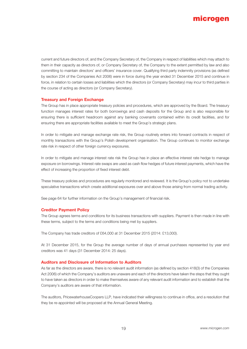

current and future directors of, and the Company Secretary of, the Company in respect of liabilities which may attach to them in their capacity as directors of, or Company Secretary of, the Company to the extent permitted by law and also committing to maintain directors' and officers' insurance cover. Qualifying third party indemnity provisions (as defined by section 234 of the Companies Act 2006) were in force during the year ended 31 December 2015 and continue in force, in relation to certain losses and liabilities which the directors (or Company Secretary) may incur to third parties in the course of acting as directors (or Company Secretary).

### **Treasury and Foreign Exchange**

The Group has in place appropriate treasury policies and procedures, which are approved by the Board. The treasury function manages interest rates for both borrowings and cash deposits for the Group and is also responsible for ensuring there is sufficient headroom against any banking covenants contained within its credit facilities, and for ensuring there are appropriate facilities available to meet the Group's strategic plans.

In order to mitigate and manage exchange rate risk, the Group routinely enters into forward contracts in respect of monthly transactions with the Group's Polish development organisation. The Group continues to monitor exchange rate risk in respect of other foreign currency exposures.

In order to mitigate and manage interest rate risk the Group has in place an effective interest rate hedge to manage exposure on borrowings. Interest rate swaps are used as cash flow hedges of future interest payments, which have the effect of increasing the proportion of fixed interest debt.

These treasury policies and procedures are regularly monitored and reviewed. It is the Group's policy not to undertake speculative transactions which create additional exposures over and above those arising from normal trading activity.

See page 64 for further information on the Group's management of financial risk.

### **Creditor Payment Policy**

The Group agrees terms and conditions for its business transactions with suppliers. Payment is then made in line with these terms, subject to the terms and conditions being met by suppliers.

The Company has trade creditors of £64,000 at 31 December 2015 (2014: £13,000).

At 31 December 2015, for the Group the average number of days of annual purchases represented by year end creditors was 41 days (31 December 2014: 25 days).

### **Auditors and Disclosure of Information to Auditors**

As far as the directors are aware, there is no relevant audit information (as defined by section 418(3) of the Companies Act 2006) of which the Company's auditors are unaware and each of the directors have taken the steps that they ought to have taken as directors in order to make themselves aware of any relevant audit information and to establish that the Company's auditors are aware of that information.

The auditors, PricewaterhouseCoopers LLP, have indicated their willingness to continue in office, and a resolution that they be re-appointed will be proposed at the Annual General Meeting.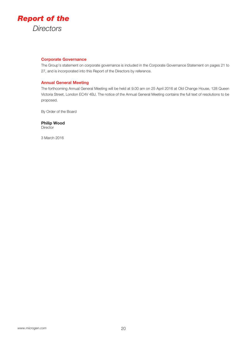

# **Corporate Governance**

The Group's statement on corporate governance is included in the Corporate Governance Statement on pages 21 to 27, and is incorporated into this Report of the Directors by reference.

# **Annual General Meeting**

The forthcoming Annual General Meeting will be held at 9.00 am on 25 April 2016 at Old Change House, 128 Queen Victoria Street, London EC4V 4BJ. The notice of the Annual General Meeting contains the full text of resolutions to be proposed.

By Order of the Board

**Philip Wood** Director

3 March 2016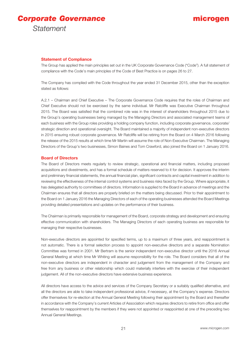# *Corporate Governance Statement*

# microgen

# **Statement of Compliance**

The Group has applied the main principles set out in the UK Corporate Governance Code ("Code"). A full statement of compliance with the Code's main principles of the Code of Best Practice is on pages 26 to 27.

The Company has complied with the Code throughout the year ended 31 December 2015, other than the exception stated as follows:

A.2.1 – Chairman and Chief Executive – The Corporate Governance Code requires that the roles of Chairman and Chief Executive should not be exercised by the same individual. Mr Ratcliffe was Executive Chairman throughout 2015. The Board was satisfied that the combined role was in the interest of shareholders throughout 2015 due to the Group's operating businesses being managed by the Managing Directors and associated management teams of each business with the Group roles providing a holding company function, including corporate governance, corporate/ strategic direction and operational oversight. The Board maintained a majority of independent non-executive directors in 2015 ensuring robust corporate governance. Mr Ratcliffe will be retiring from the Board on 4 March 2016 following the release of the 2015 results at which time Mr Martin will assume the role of Non-Executive Chairman. The Managing Directors of the Group's two businesses, Simon Baines and Tom Crawford, also joined the Board on 1 January 2016.

### **Board of Directors**

The Board of Directors meets regularly to review strategic, operational and financial matters, including proposed acquisitions and divestments, and has a formal schedule of matters reserved to it for decision. It approves the interim and preliminary financial statements, the annual financial plan, significant contracts and capital investment in addition to reviewing the effectiveness of the internal control systems and business risks faced by the Group. Where appropriate, it has delegated authority to committees of directors. Information is supplied to the Board in advance of meetings and the Chairman ensures that all directors are properly briefed on the matters being discussed. Prior to their appointment to the Board on 1 January 2016 the Managing Directors of each of the operating businesses attended the Board Meetings providing detailed presentations and updates on the performance of their business.

The Chairman is primarily responsible for management of the Board, corporate strategy and development and ensuring effective communication with shareholders. The Managing Directors of each operating business are responsible for managing their respective businesses.

Non-executive directors are appointed for specified terms, up to a maximum of three years, and reappointment is not automatic. There is a formal selection process to appoint non-executive directors and a separate Nomination Committee was formed in 2001. Mr Bertram is the senior independent non-executive director until the 2016 Annual General Meeting at which time Mr Whiting will assume responsibility for the role. The Board considers that all of the non-executive directors are independent in character and judgement from the management of the Company and free from any business or other relationship which could materially interfere with the exercise of their independent judgement. All of the non-executive directors have extensive business experience.

All directors have access to the advice and services of the Company Secretary or a suitably qualified alternative, and all the directors are able to take independent professional advice, if necessary, at the Company's expense. Directors offer themselves for re-election at the Annual General Meeting following their appointment by the Board and thereafter in accordance with the Company's current Articles of Association which requires directors to retire from office and offer themselves for reappointment by the members if they were not appointed or reappointed at one of the preceding two Annual General Meetings.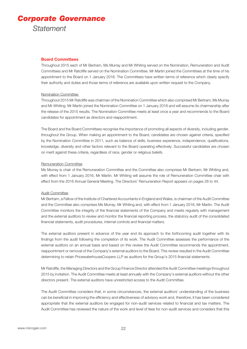# *Corporate Governance Statement*

### **Board Committees**

Throughout 2015 each of Mr Bertram, Ms Murray and Mr Whiting served on the Nomination, Remuneration and Audit Committees and Mr Ratcliffe served on the Nomination Committee. Mr Martin joined the Committees at the time of his appointment to the Board on 1 January 2016. The Committees have written terms of reference which clearly specify their authority and duties and those terms of reference are available upon written request to the Company.

#### Nomination Committee

Throughout 2015 Mr Ratcliffe was chairman of the Nomination Committee which also comprised Mr Bertram, Ms Murray and Mr Whiting. Mr Martin joined the Nomination Committee on 1 January 2016 and will assume its chairmanship after the release of the 2015 results. The Nomination Committee meets at least once a year and recommends to the Board candidates for appointment as directors and reappointment.

The Board and the Board Committees recognise the importance of promoting all aspects of diversity, including gender, throughout the Group. When making an appointment to the Board, candidates are chosen against criteria, specified by the Nomination Committee in 2011, such as balance of skills, business experience, independence, qualifications, knowledge, diversity and other factors relevant to the Board operating effectively. Successful candidates are chosen on merit against these criteria, regardless of race, gender or religious beliefs.

#### Remuneration Committee

Ms Murray is chair of the Remuneration Committee and the Committee also comprises Mr Bertram, Mr Whiting and, with effect from 1 January 2016, Mr Martin. Mr Whiting will assume the role of Remuneration Committee chair with effect from the 2016 Annual General Meeting. The Directors' Remuneration Report appears on pages 28 to 44.

#### Audit Committee

Mr Bertram, a Fellow of the Institute of Chartered Accountants in England and Wales, is chairman of the Audit Committee and the Committee also comprises Ms Murray, Mr Whiting and, with effect from 1 January 2016, Mr Martin. The Audit Committee monitors the integrity of the financial statements of the Company and meets regularly with management and the external auditors to review and monitor the financial reporting process, the statutory audit of the consolidated financial statements, audit procedures, internal controls and financial matters.

The external auditors present in advance of the year end its approach to the forthcoming audit together with its findings from the audit following the completion of its work. The Audit Committee assesses the performance of the external auditors on an annual basis and based on this review the Audit Committee recommends the appointment, reappointment or removal of the Company's external auditors to the Board. This review resulted in the Audit Committee determining to retain PricewaterhouseCoopers LLP as auditors for the Group's 2015 financial statements.

Mr Ratcliffe, the Managing Directors and the Group Finance Director attended the Audit Committee meetings throughout 2015 by invitation. The Audit Committee meets at least annually with the Company's external auditors without the other directors present. The external auditors have unrestricted access to the Audit Committee.

The Audit Committee considers that, in some circumstances, the external auditors' understanding of the business can be beneficial in improving the efficiency and effectiveness of advisory work and, therefore, it has been considered appropriate that the external auditors be engaged for non-audit services related to financial and tax matters. The Audit Committee has reviewed the nature of the work and level of fees for non-audit services and considers that this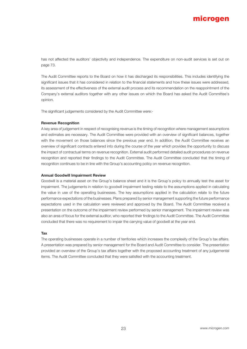# microgen

has not affected the auditors' objectivity and independence. The expenditure on non-audit services is set out on page 73.

The Audit Committee reports to the Board on how it has discharged its responsibilities. This includes identifying the significant issues that it has considered in relation to the financial statements and how these issues were addressed, its assessment of the effectiveness of the external audit process and its recommendation on the reappointment of the Company's external auditors together with any other issues on which the Board has asked the Audit Committee's opinion.

The significant judgements considered by the Audit Committee were:-

#### **Revenue Recognition**

A key area of judgement in respect of recognising revenue is the timing of recognition where management assumptions and estimates are necessary. The Audit Committee were provided with an overview of significant balances, together with the movement on those balances since the previous year end. In addition, the Audit Committee receives an overview of significant contracts entered into during the course of the year which provides the opportunity to discuss the impact of contractual terms on revenue recognition. External audit performed detailed audit procedures on revenue recognition and reported their findings to the Audit Committee. The Audit Committee concluded that the timing of recognition continues to be in line with the Group's accounting policy on revenue recognition.

#### **Annual Goodwill Impairment Review**

Goodwill is a material asset on the Group's balance sheet and it is the Group's policy to annually test the asset for impairment. The judgements in relation to goodwill impairment testing relate to the assumptions applied in calculating the value in use of the operating businesses. The key assumptions applied in the calculation relate to the future performance expectations of the businesses. Plans prepared by senior management supporting the future performance expectations used in the calculation were reviewed and approved by the Board. The Audit Committee received a presentation on the outcome of the impairment review performed by senior management. The impairment review was also an area of focus for the external auditor, who reported their findings to the Audit Committee. The Audit Committee concluded that there was no requirement to impair the carrying value of goodwill at the year end.

#### **Tax**

The operating businesses operate in a number of territories which increases the complexity of the Group's tax affairs. A presentation was prepared by senior management for the Board and Audit Committee to consider. The presentation provided an overview of the Group's tax affairs together with the proposed accounting treatment of any judgemental items. The Audit Committee concluded that they were satisfied with the accounting treatment.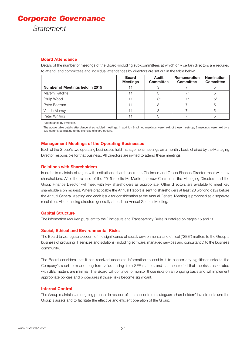# *Corporate Governance Statement*

# **Board Attendance**

Details of the number of meetings of the Board (including sub-committees at which only certain directors are required to attend) and committees and individual attendances by directors are set out in the table below.

|                                 | <b>Board</b><br><b>Meetings</b> | Audit<br><b>Committee</b> | Remuneration<br><b>Committee</b> | <b>Nomination</b><br><b>Committee</b> |
|---------------------------------|---------------------------------|---------------------------|----------------------------------|---------------------------------------|
| Number of Meetings held in 2015 |                                 |                           |                                  |                                       |
| Martyn Ratcliffe                |                                 | $\mathcal{R}^*$           | $7*$                             |                                       |
| Philip Wood                     |                                 | $3^*$                     | $7*$                             | $5*$                                  |
| Peter Bertram                   |                                 |                           |                                  |                                       |
| Vanda Murray                    |                                 |                           |                                  |                                       |
| Peter Whiting                   |                                 |                           |                                  |                                       |

\* attendance by invitation.

The above table details attendance at scheduled meetings. In addition 8 ad hoc meetings were held, of these meetings, 2 meetings were held by a sub-committee relating to the exercise of share options.

### **Management Meetings of the Operating Businesses**

Each of the Group's two operating businesses hold management meetings on a monthly basis chaired by the Managing Director responsible for that business. All Directors are invited to attend these meetings.

### **Relations with Shareholders**

In order to maintain dialogue with institutional shareholders the Chairman and Group Finance Director meet with key shareholders. After the release of the 2015 results Mr Martin (the new Chairman), the Managing Directors and the Group Finance Director will meet with key shareholders as appropriate. Other directors are available to meet key shareholders on request. Where practicable the Annual Report is sent to shareholders at least 20 working days before the Annual General Meeting and each issue for consideration at the Annual General Meeting is proposed as a separate resolution. All continuing directors generally attend the Annual General Meeting.

# **Capital Structure**

The information required pursuant to the Disclosure and Transparency Rules is detailed on pages 15 and 16.

### **Social, Ethical and Environmental Risks**

The Board takes regular account of the significance of social, environmental and ethical ("SEE") matters to the Group's business of providing IT services and solutions (including software, managed services and consultancy) to the business community.

The Board considers that it has received adequate information to enable it to assess any significant risks to the Company's short-term and long-term value arising from SEE matters and has concluded that the risks associated with SEE matters are minimal. The Board will continue to monitor those risks on an ongoing basis and will implement appropriate policies and procedures if those risks become significant.

### **Internal Control**

The Group maintains an ongoing process in respect of internal control to safeguard shareholders' investments and the Group's assets and to facilitate the effective and efficient operation of the Group.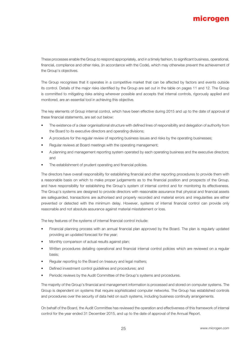# microgen

These processes enable the Group to respond appropriately, and in a timely fashion, to significant business, operational, financial, compliance and other risks, (in accordance with the Code), which may otherwise prevent the achievement of the Group's objectives.

The Group recognises that it operates in a competitive market that can be affected by factors and events outside its control. Details of the major risks identified by the Group are set out in the table on pages 11 and 12. The Group is committed to mitigating risks arising wherever possible and accepts that internal controls, rigorously applied and monitored, are an essential tool in achieving this objective.

The key elements of Group internal control, which have been effective during 2015 and up to the date of approval of these financial statements, are set out below:

- The existence of a clear organisational structure with defined lines of responsibility and delegation of authority from the Board to its executive directors and operating divisions;
- A procedure for the regular review of reporting business issues and risks by the operating businesses;
- Regular reviews at Board meetings with the operating management;
- A planning and management reporting system operated by each operating business and the executive directors; and
- The establishment of prudent operating and financial policies.

The directors have overall responsibility for establishing financial and other reporting procedures to provide them with a reasonable basis on which to make proper judgements as to the financial position and prospects of the Group, and have responsibility for establishing the Group's system of internal control and for monitoring its effectiveness. The Group's systems are designed to provide directors with reasonable assurance that physical and financial assets are safeguarded, transactions are authorised and properly recorded and material errors and irregularities are either prevented or detected with the minimum delay. However, systems of internal financial control can provide only reasonable and not absolute assurance against material misstatement or loss.

The key features of the systems of internal financial control include:

- Financial planning process with an annual financial plan approved by the Board. The plan is regularly updated providing an updated forecast for the year;
- Monthly comparison of actual results against plan;
- Written procedures detailing operational and financial internal control policies which are reviewed on a regular basis;
- Regular reporting to the Board on treasury and legal matters:
- Defined investment control guidelines and procedures; and
- Periodic reviews by the Audit Committee of the Group's systems and procedures.

The majority of the Group's financial and management information is processed and stored on computer systems. The Group is dependent on systems that require sophisticated computer networks. The Group has established controls and procedures over the security of data held on such systems, including business continuity arrangements.

On behalf of the Board, the Audit Committee has reviewed the operation and effectiveness of this framework of internal control for the year ended 31 December 2015, and up to the date of approval of the Annual Report.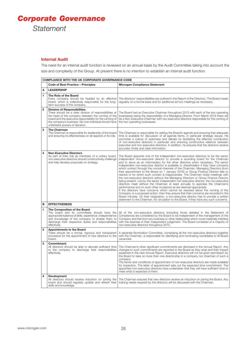*Statement*

# **Internal Audit**

The need for an internal audit function is reviewed on an annual basis by the Audit Committee taking into account the size and complexity of the Group. At present there is no intention to establish an internal audit function.

|                | <b>COMPLIANCE WITH THE UK CORPORATE GOVERNANCE CODE</b>                                                                                                                                                                                                                                                      |                                                                                                                                                                                                                                                                                                                                                                                                                                                                                                                                                                                                                                                                                                                                                                                                                                                                                                                                                                                                                                                                                                                                                                                                                                                                                                                                             |  |  |  |
|----------------|--------------------------------------------------------------------------------------------------------------------------------------------------------------------------------------------------------------------------------------------------------------------------------------------------------------|---------------------------------------------------------------------------------------------------------------------------------------------------------------------------------------------------------------------------------------------------------------------------------------------------------------------------------------------------------------------------------------------------------------------------------------------------------------------------------------------------------------------------------------------------------------------------------------------------------------------------------------------------------------------------------------------------------------------------------------------------------------------------------------------------------------------------------------------------------------------------------------------------------------------------------------------------------------------------------------------------------------------------------------------------------------------------------------------------------------------------------------------------------------------------------------------------------------------------------------------------------------------------------------------------------------------------------------------|--|--|--|
|                | <b>Code of Best Practice - Principles</b>                                                                                                                                                                                                                                                                    | <b>Microgen Compliance Statement</b>                                                                                                                                                                                                                                                                                                                                                                                                                                                                                                                                                                                                                                                                                                                                                                                                                                                                                                                                                                                                                                                                                                                                                                                                                                                                                                        |  |  |  |
| A              | <b>LEADERSHIP</b>                                                                                                                                                                                                                                                                                            |                                                                                                                                                                                                                                                                                                                                                                                                                                                                                                                                                                                                                                                                                                                                                                                                                                                                                                                                                                                                                                                                                                                                                                                                                                                                                                                                             |  |  |  |
| 1              | The Role of the Board<br>Every company should be headed by an effective<br>board, which is collectively responsible for the long-<br>term success of the company.                                                                                                                                            | The directors' responsibilities are outlined in the Report of the Directors. The Board meets<br>regularly on a formal basis and for additional ad hoc meetings as necessary.                                                                                                                                                                                                                                                                                                                                                                                                                                                                                                                                                                                                                                                                                                                                                                                                                                                                                                                                                                                                                                                                                                                                                                |  |  |  |
| $\overline{2}$ | <b>Division of Responsibilities</b><br>There should be a clear division of responsibilities at<br>the head of the company between the running of the<br>board and the executive responsibility for the running of<br>the company's business. No one individual should have<br>unfettered powers of decision. | The Board had an Executive Chairman throughout 2015 with each of the two operating<br>businesses being the responsibility of a Managing Director. From March 2016 there will<br>be a Non-Executive Chairman with two executive directors responsible for the running of<br>the two operating businesses.                                                                                                                                                                                                                                                                                                                                                                                                                                                                                                                                                                                                                                                                                                                                                                                                                                                                                                                                                                                                                                    |  |  |  |
| 3              | The Chairman<br>The Chairman is responsible for leadership of the board<br>and ensuring its effectiveness on all aspects of its role.                                                                                                                                                                        | The Chairman is responsible for setting the Board's agenda and ensuring that adequate<br>time is available for discussion of all agenda items, in particular strategic issues. He<br>promotes a culture of openness and debate by facilitating the effective contribution<br>of non-executive directors in particular and ensuring constructive relations between<br>executive and non-executive directors. In addition, he ensures that the directors receive<br>accurate, timely and clear information.                                                                                                                                                                                                                                                                                                                                                                                                                                                                                                                                                                                                                                                                                                                                                                                                                                   |  |  |  |
| 4              | <b>Non-Executive Directors</b><br>As part of their role as members of a unitary board,<br>non-executive directors should constructively challenge<br>and help develop proposals on strategy.                                                                                                                 | The Board appoints one of the independent non-executive directors to be the senior<br>independent non-executive director to provide a sounding board for the Chairman<br>and to serve as an intermediary for the other directors when necessary. The senior<br>independent non-executive director is available to shareholders if they have concerns<br>which contact through the normal channels of the Chairman, Managing Directors (from<br>their appointment to the Board on 1 January 2016) or Group Finance Director fails to<br>resolve or for which such contact is inappropriate. The Chairman holds meetings with<br>the non-executive directors without the Managing Directors or Group Finance Director<br>being present. Led by the senior independent non-executive director, the non-executive<br>directors meet without the Chairman at least annually to appraise the Chairman's<br>performance and on such other occasions as are deemed appropriate.<br>If the directors have concerns which cannot be resolved about the running of the<br>Company or a proposed action, then they ensure that their concerns are recorded in the<br>Board minutes. On their resignation, a non-executive director has to provide a written<br>statement to the Chairman, for circulation to the Board, if they have any such concerns. |  |  |  |
| B              | <b>EFFECTIVENESS</b>                                                                                                                                                                                                                                                                                         |                                                                                                                                                                                                                                                                                                                                                                                                                                                                                                                                                                                                                                                                                                                                                                                                                                                                                                                                                                                                                                                                                                                                                                                                                                                                                                                                             |  |  |  |
| 1              | The Composition of the Board<br>The board and its committees should have the<br>appropriate balance of skills, experience, independence<br>and knowledge of the company to enable them to<br>discharge their respective duties and responsibilities<br>effectively.                                          | All of the non-executive directors (including those detailed in the Statement of<br>Compliance) are considered by the Board to be independent of the management of the<br>Company and free from any business or other relationship which could materially interfere<br>with the exercise of their independent judgement. The Board consisted of a majority of<br>non-executive directors throughout 2015.                                                                                                                                                                                                                                                                                                                                                                                                                                                                                                                                                                                                                                                                                                                                                                                                                                                                                                                                   |  |  |  |
| $\overline{2}$ | <b>Appointments to the Board</b><br>There should be a formal, rigorous and transparent<br>procedure for the appointment of new directors to the<br>board.                                                                                                                                                    | A separate Nomination Committee, comprising all the non-executive directors together<br>with the Chairman, is responsible for identifying and nominating candidates to fill Board<br>vacancies.                                                                                                                                                                                                                                                                                                                                                                                                                                                                                                                                                                                                                                                                                                                                                                                                                                                                                                                                                                                                                                                                                                                                             |  |  |  |
| 3              | <b>Commitment</b><br>All directors should be able to allocate sufficient time<br>to the company to discharge their responsibilities<br>effectively.                                                                                                                                                          | The Chairman's other significant commitments are disclosed in the Annual Report. Any<br>changes to such commitments are reported to the Board as they arise and their impact<br>explained in the next Annual Report. Executive directors will not be given permission by<br>the Board to take on more than one directorship in a company nor chairman of such a<br>company.<br>The terms and conditions of appointment of non-executive directors are made available<br>for inspection. The letter of appointment sets out the expected time commitment. The<br>appointed non-executive directors have undertaken that they will have sufficient time to<br>meet what is expected of them.                                                                                                                                                                                                                                                                                                                                                                                                                                                                                                                                                                                                                                                  |  |  |  |
| 4              | <b>Development</b><br>All directors should receive induction on joining the<br>board and should regularly update and refresh their<br>skills and knowledge.                                                                                                                                                  | The Chairman ensures that new directors receive an induction on joining the Board. Any<br>training needs required by the directors will be discussed with the Chairman.                                                                                                                                                                                                                                                                                                                                                                                                                                                                                                                                                                                                                                                                                                                                                                                                                                                                                                                                                                                                                                                                                                                                                                     |  |  |  |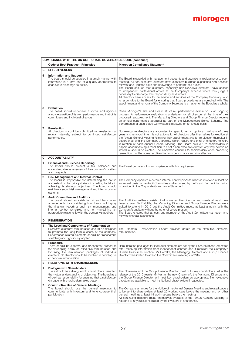|                         | <b>COMPLIANCE WITH THE UK CORPORATE GOVERNANCE CODE (continued)</b>                                                                                                                                                                                                                                              |                                                                                                                                                                                                                                                                                                                                                                                                                                                                                                                                                                                                                                                                                                                                                                 |  |  |  |
|-------------------------|------------------------------------------------------------------------------------------------------------------------------------------------------------------------------------------------------------------------------------------------------------------------------------------------------------------|-----------------------------------------------------------------------------------------------------------------------------------------------------------------------------------------------------------------------------------------------------------------------------------------------------------------------------------------------------------------------------------------------------------------------------------------------------------------------------------------------------------------------------------------------------------------------------------------------------------------------------------------------------------------------------------------------------------------------------------------------------------------|--|--|--|
|                         | <b>Code of Best Practice - Principles</b>                                                                                                                                                                                                                                                                        | <b>Microgen Compliance Statement</b>                                                                                                                                                                                                                                                                                                                                                                                                                                                                                                                                                                                                                                                                                                                            |  |  |  |
| в                       | <b>EFFECTIVENESS</b>                                                                                                                                                                                                                                                                                             |                                                                                                                                                                                                                                                                                                                                                                                                                                                                                                                                                                                                                                                                                                                                                                 |  |  |  |
| 5                       | <b>Information and Support</b><br>The board should be supplied in a timely manner with<br>information in a form and of a quality appropriate to<br>enable it to discharge its duties.                                                                                                                            | The Board is supplied with management accounts and operational reviews prior to each<br>meeting. All non-executive directors have extensive business experience and possess<br>relevant and updated skills and knowledge to perform their duties.<br>The Board ensures that directors, especially non-executive directors, have access<br>to independent professional advice at the Company's expense where they judge it<br>necessary to discharge their responsibility as directors.<br>All directors have access to the advice and services of the Company Secretary, who<br>is responsible to the Board for ensuring that Board procedures are complied with. The<br>appointment and removal of the Company Secretary is a matter for the Board as a whole. |  |  |  |
| 6                       | <b>Evaluation</b><br>The board should undertake a formal and rigorous<br>annual evaluation of its own performance and that of its<br>committees and individual directors.                                                                                                                                        | Given Microgen's size and Board structure, performance evaluation is an ongoing<br>process. A performance evaluation is undertaken for all directors at the time of their<br>proposed reappointment. The Managing Directors and Group Finance Director receive<br>an annual performance appraisal as part of the Management Bonus Scheme. The<br>performance of each Board Committee is reviewed on an annual basis.                                                                                                                                                                                                                                                                                                                                            |  |  |  |
| $\overline{7}$          | Re-election<br>All directors should be submitted for re-election at<br>regular intervals, subject to continued satisfactory<br>performance.                                                                                                                                                                      | Non-executive directors are appointed for specific terms, up to a maximum of three<br>years and re-appointment is not automatic. All directors offer themselves for election at<br>the Annual General Meeting following their appointment and for re-election thereafter in<br>accordance with the Company's articles, which require one-third of directors to retire<br>in rotation at each Annual General Meeting. The Board sets out to shareholders in<br>papers accompanying a resolution to elect a non-executive director why they believe an<br>individual should be elected. The Chairman confirms to shareholders when proposing<br>re-election that the non-executive director's performance remains effective.                                      |  |  |  |
| C                       | <b>ACCOUNTABILITY</b>                                                                                                                                                                                                                                                                                            |                                                                                                                                                                                                                                                                                                                                                                                                                                                                                                                                                                                                                                                                                                                                                                 |  |  |  |
| 1                       | <b>Financial and Business Reporting</b><br>The board should present a fair, balanced and<br>understandable assessment of the company's position<br>and prospects.                                                                                                                                                | The Board considers it is in compliance with this requirement.                                                                                                                                                                                                                                                                                                                                                                                                                                                                                                                                                                                                                                                                                                  |  |  |  |
| $\overline{2}$          | <b>Risk Management and Internal Control</b><br>The board is responsible for determining the nature<br>and extent of the principal risks it is willing to take in<br>achieving its strategic objectives. The board should<br>maintain a sound risk management and internal control<br>systems.                    | The Company operates a detailed internal control process which is reviewed at least on<br>an annual basis by the Audit Committee and endorsed by the Board. Further information<br>is provided in the Corporate Governance Statement.                                                                                                                                                                                                                                                                                                                                                                                                                                                                                                                           |  |  |  |
| 3                       | <b>Audit Committee and Auditors</b><br>The board should establish formal and transparent<br>arrangements for considering how they should apply<br>the financial reporting and risk management and<br>internal control principles and for maintaining an<br>appropriate relationship with the company's auditors. | The Audit Committee consists of all non-executive directors and meets at least three<br>times a year. Mr Ratcliffe, the Managing Directors and Group Finance Director were<br>invited to attend in 2015 but the Audit Committee meets at least annually with the<br>Company's auditors without the other directors present.<br>The Board ensures that at least one member of the Audit Committee has recent and<br>relevant financial experience.                                                                                                                                                                                                                                                                                                               |  |  |  |
| D                       | <b>REMUNERATION</b>                                                                                                                                                                                                                                                                                              |                                                                                                                                                                                                                                                                                                                                                                                                                                                                                                                                                                                                                                                                                                                                                                 |  |  |  |
| 1                       | The Level and Components of Remuneration<br>Executive directors' remuneration should be designed<br>to promote the long-term success of the company.<br>Performance-related elements should be transparent,<br>stretching and rigourously applied.                                                               | The Directors' Remuneration Report provides details of the executive directors'<br>remuneration.                                                                                                                                                                                                                                                                                                                                                                                                                                                                                                                                                                                                                                                                |  |  |  |
| $\mathbf{2}$            | Procedure<br>There should be a formal and transparent procedure<br>for developing policy on executive remuneration and<br>for fixing the remuneration packages of individual<br>directors. No director should be involved in deciding his<br>or her own remuneration.                                            | Remuneration packages for individual directors are set by the Remuneration Committee<br>after receiving information from independent sources and if required the Company's<br>Human Resources function. Mr Ratcliffe, the Managing Directors and Group Finance<br>Director were invited to attend the Committee's meetings in 2015.                                                                                                                                                                                                                                                                                                                                                                                                                             |  |  |  |
| E                       | <b>RELATIONS WITH SHAREHOLDERS</b>                                                                                                                                                                                                                                                                               |                                                                                                                                                                                                                                                                                                                                                                                                                                                                                                                                                                                                                                                                                                                                                                 |  |  |  |
| 1                       | <b>Dialogue with Shareholders</b><br>There should be a dialogue with shareholders based on<br>the mutual understanding of objectives. The board as a<br>whole has responsibility for ensuring that a satisfactory<br>dialogue with shareholders takes place.                                                     | The Chairman and the Group Finance Director meet with key shareholders. After the<br>release of the 2015 results Mr Martin (the new Chairman), the Managing Directors and<br>the Group Finance Director will meet key shareholders as appropriate. Non-executive<br>directors are available to meet institutional shareholders if requested.                                                                                                                                                                                                                                                                                                                                                                                                                    |  |  |  |
| $\overline{\mathbf{c}}$ | <b>Constructive Use of General Meetings</b><br>The board should use the general meetings to<br>communicate with investors and to encourage their<br>participation.                                                                                                                                               | The Company arranges for the Notice of the Annual General Meeting and related papers<br>to be sent to shareholders at least 20 working days before the meeting and for other<br>general meetings at least 14 working days before the meeting.<br>All continuing directors make themselves available at the Annual General Meeting to<br>respond to any questions raised by the investors in attendance.                                                                                                                                                                                                                                                                                                                                                         |  |  |  |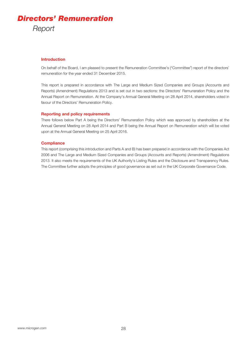# *Directors' Remuneration Report*

# **Introduction**

On behalf of the Board, I am pleased to present the Remuneration Committee's ("Committee") report of the directors' remuneration for the year ended 31 December 2015.

This report is prepared in accordance with The Large and Medium Sized Companies and Groups (Accounts and Reports) (Amendment) Regulations 2013 and is set out in two sections: the Directors' Remuneration Policy and the Annual Report on Remuneration. At the Company's Annual General Meeting on 28 April 2014, shareholders voted in favour of the Directors' Remuneration Policy.

# **Reporting and policy requirements**

There follows below Part A being the Directors' Remuneration Policy which was approved by shareholders at the Annual General Meeting on 28 April 2014 and Part B being the Annual Report on Remuneration which will be voted upon at the Annual General Meeting on 25 April 2016.

# **Compliance**

This report (comprising this introduction and Parts A and B) has been prepared in accordance with the Companies Act 2006 and The Large and Medium Sized Companies and Groups (Accounts and Reports) (Amendment) Regulations 2013. It also meets the requirements of the UK Authority's Listing Rules and the Disclosure and Transparency Rules. The Committee further adopts the principles of good governance as set out in the UK Corporate Governance Code.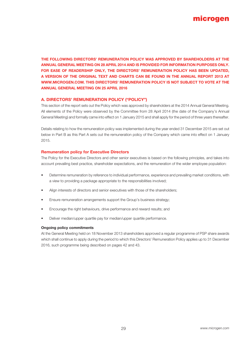

**THE FOLLOWING DIRECTORS' REMUNERATION POLICY WAS APPROVED BY SHAREHOLDERS AT THE ANNUAL GENERAL MEETING ON 28 APRIL 2014 AND IS PROVIDED FOR INFORMATION PURPOSES ONLY. FOR EASE OF READERSHIP ONLY, THE DIRECTORS' REMUNERATION POLICY HAS BEEN UPDATED, A VERSION OF THE ORIGINAL TEXT AND CHARTS CAN BE FOUND IN THE ANNUAL REPORT 2013 AT WWW.MICROGEN.COM. THIS DIRECTORS' REMUNERATION POLICY IS NOT SUBJECT TO VOTE AT THE ANNUAL GENERAL MEETING ON 25 APRIL 2016**

# **A. DIRECTORS' REMUNERATION POLICY ("POLICY")**

This section of the report sets out the Policy which was approved by shareholders at the 2014 Annual General Meeting. All elements of the Policy were observed by the Committee from 28 April 2014 (the date of the Company's Annual General Meeting) and formally came into effect on 1 January 2015 and shall apply for the period of three years thereafter.

Details relating to how the remuneration policy was implemented during the year ended 31 December 2015 are set out below in Part B as this Part A sets out the remuneration policy of the Company which came into effect on 1 January 2015.

#### **Remuneration policy for Executive Directors**

The Policy for the Executive Directors and other senior executives is based on the following principles, and takes into account prevailing best practice, shareholder expectations, and the remuneration of the wider employee population:

- • Determine remuneration by reference to individual performance, experience and prevailing market conditions, with a view to providing a package appropriate to the responsibilities involved;
- Align interests of directors and senior executives with those of the shareholders;
- Ensure remuneration arrangements support the Group's business strategy;
- Encourage the right behaviours, drive performance and reward results; and
- Deliver median/upper quartile pay for median/upper quartile performance.

#### **Ongoing policy commitments**

At the General Meeting held on 18 November 2013 shareholders approved a regular programme of PSP share awards which shall continue to apply during the period to which this Directors' Remuneration Policy applies up to 31 December 2016, such programme being described on pages 42 and 43.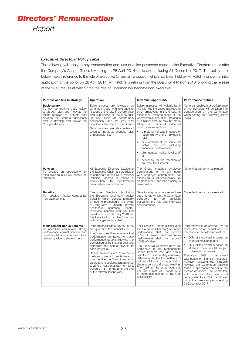# *Directors' Remuneration Report*

### *Executive Directors' Policy Table*

The following will apply to any remuneration and loss of office payments made to the Executive Directors on or after the Company's Annual General Meeting on 28 April 2014 up to and including 31 December 2017. The policy table below makes reference to the role of Executive Chairman, a position which has been held by Mr Ratcliffe since the initial application of the policy on 28 April 2014. Mr Ratcliffe is retiring from the Board on 4 March 2016 following the release of the 2015 results at which time the role of Chairman will become non-executive.

| Purpose and link to strategy                                                                                                                                                                                            | Operation                                                                                                                                                                                                                                                                                                                                                                                                                                                                                                                                          | <b>Maximum opportunity</b>                                                                                                                                                                                                                                                                                                                                                                                                                                                                                                                                                                      | <b>Performance metrics</b>                                                                                                                                                                                                                                                                                                                                                                                                                                                                                                                                                                                                                 |
|-------------------------------------------------------------------------------------------------------------------------------------------------------------------------------------------------------------------------|----------------------------------------------------------------------------------------------------------------------------------------------------------------------------------------------------------------------------------------------------------------------------------------------------------------------------------------------------------------------------------------------------------------------------------------------------------------------------------------------------------------------------------------------------|-------------------------------------------------------------------------------------------------------------------------------------------------------------------------------------------------------------------------------------------------------------------------------------------------------------------------------------------------------------------------------------------------------------------------------------------------------------------------------------------------------------------------------------------------------------------------------------------------|--------------------------------------------------------------------------------------------------------------------------------------------------------------------------------------------------------------------------------------------------------------------------------------------------------------------------------------------------------------------------------------------------------------------------------------------------------------------------------------------------------------------------------------------------------------------------------------------------------------------------------------------|
| <b>Basic salary</b><br>To pay competitive basic salary<br>to attract, retain and motivate the<br>talent required to operate and<br>develop the Group's businesses<br>and to develop and deliver the<br>Group's strategy | Basic salaries are reviewed on<br>an annual basis with reference to<br>(i) scope of the role, (ii) performance<br>and experience of the individual,<br>(iii) pay levels at comparable<br>companies, and (iv) pay and<br>conditions elsewhere in the Group.<br>Basic salaries are also reviewed<br>when an individual changes roles<br>or responsibilities.                                                                                                                                                                                         | Salary increases will typically be in<br>line with the increases awarded to<br>other employees in the Group. In<br>exceptional circumstances at the<br>Committee's discretion, increases<br>of a higher amount may be made<br>taking into account individual<br>circumstances such as:<br>$\bullet$<br>a material increase in scope or<br>responsibility of the individual's<br>role;<br>development of the individual<br>within the role (including<br>enhanced performance);<br>alignment to market level and/<br>or<br>necessary for the retention of<br>$\bullet$<br>an Executive Director. | None, although overall performance<br>of the individual will be taken into<br>consideration by the Committee<br>when setting and reviewing salary<br>levels.                                                                                                                                                                                                                                                                                                                                                                                                                                                                               |
| Pension<br>To provide an opportunity for<br>executives to build up income on<br>retirement                                                                                                                              | All Executive Directors (excluding<br>the Executive Chairman) are eligible<br>to participate in the Group Personal<br>Pension Scheme or receive a<br>self-invested<br>contribution<br>to<br>personal pension schemes.                                                                                                                                                                                                                                                                                                                              | The Group matches employee<br>contributions on a 2:1 basis<br>with employer contributions not<br>exceeding 6% of basic salary. No<br>element other than basic salary is<br>pensionable.                                                                                                                                                                                                                                                                                                                                                                                                         | None. Not performance related.                                                                                                                                                                                                                                                                                                                                                                                                                                                                                                                                                                                                             |
| <b>Benefits</b><br>To provide market-competitive<br>non-cash benefits                                                                                                                                                   | <b>Directors</b><br>(excluding<br>Executive<br>the Executive Chairman) receive<br>benefits which consist primarily<br>of income protection in the event<br>of long-term ill health, private<br>healthcare<br>insurance,<br>death-<br>in-service benefits and car fuel<br>benefits. From 1 January 2016 car<br>fuel benefits to Executive Directors<br>will no longer be provided.                                                                                                                                                                  | Benefits may vary by role and are<br>set at levels which the Committee<br>considers<br>sufficient<br>to<br>be<br>based on the role and individual<br>circumstances.                                                                                                                                                                                                                                                                                                                                                                                                                             | None. Not performance related.                                                                                                                                                                                                                                                                                                                                                                                                                                                                                                                                                                                                             |
| <b>Management Bonus Scheme</b><br>To incentivise and reward strong<br>performance against financial and<br>non-financial annual targets, thus<br>delivering value to shareholders                                       | Performance targets are set in the<br>first quarter of the financial year.<br>The Committee then assess actual<br>performance compared to those<br>performance targets following the<br>completion of the financial year and<br>determine the bonus payable to<br>each individual.<br>Bonus payments are delivered in<br>cash and clawback provisions exist<br>which entitle the Committee, at its<br>discretion, to seek repayment of up<br>to 25% of net bonus payment for a<br>period of 18 months after the end<br>of the relevant bonus year. | For Executive Directors (excluding<br>the Executive Chairman) on-target<br>performance shall not exceed<br>50% of salary and maximum<br>performance shall not exceed<br>100% of salary.<br>The Executive Chairman does not<br>participate in the Management<br>Bonus Scheme and any bonus<br>paid to him is separately and solely<br>determined by the Committee and<br>will be put forward for approval by<br>shareholders at a General Meeting.<br>The maximum bonus amount that<br>the Committee can recommend<br>to shareholders is up to 100% of<br>basic salary.                          | Performance is determined by the<br>Committee on an annual basis by<br>reference to the following metrics:<br>50% of the award is based on<br>$\bullet$<br>financial measures: and<br>50% of the award is based on<br>strategic measures (all subject<br>to financial under-pin).<br>Previously 100% of the award<br>was based on financial measures,<br>however following the Strategic<br>Review, the Committee believes<br>that it is appropriate to adjust the<br>metrics as above. The Committee<br>anticipates that the metrics will<br>be adjusted to a 75% / 25% split<br>within the three year period ending<br>31 December 2017. |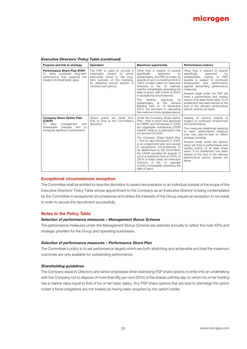*Executive Directors' Policy Table (continued)*

| Purpose and link to strategy                                                                                                                              | <b>Operation</b>                                                                                                                                                                                   | <b>Maximum opportunity</b>                                                                                                                                                                                                                                                                                                                                                                                                                                                                                                                                                             | <b>Performance metrics</b>                                                                                                                                                                                                                                                                                                                                                                                                                           |
|-----------------------------------------------------------------------------------------------------------------------------------------------------------|----------------------------------------------------------------------------------------------------------------------------------------------------------------------------------------------------|----------------------------------------------------------------------------------------------------------------------------------------------------------------------------------------------------------------------------------------------------------------------------------------------------------------------------------------------------------------------------------------------------------------------------------------------------------------------------------------------------------------------------------------------------------------------------------------|------------------------------------------------------------------------------------------------------------------------------------------------------------------------------------------------------------------------------------------------------------------------------------------------------------------------------------------------------------------------------------------------------------------------------------------------------|
| Performance Share Plan (PSP)<br>drive sustained long-term<br>To<br>performance that supports the<br>creation of shareholder value                         | The PSP is used to provide a<br>meaningful<br>reward<br>to<br>senior<br>executives linked to the long-<br>term success of the business.<br>by delivering annual awards of<br>nominal-cost options. | Other than in respect of awards<br>specifically<br>approved<br>bv<br>shareholders, the PSP provides for<br>awards of up to a maximum limit of<br>100% of basic salary for Executive<br>Directors in the 12 calendar<br>months immediately preceding the<br>date of grant, with a limit of 200%<br>in exceptional circumstances.<br>The<br>awards,<br>approved<br>bv<br>shareholders at the<br>General<br>Meeting held on 18 November<br>2013, are excluded in calculating<br>the maximum limits detailed above.                                                                        | Other than in respect of awards<br>specifically<br>approved<br>by<br>shareholders, vesting of PSP<br>awards is subject to continued<br>employment and<br>performance<br>against demanding performance<br>measures.<br>Awards made under the PSP will<br>have a performance and vesting<br>period of at least three years. If no<br>entitlement has been earned at the<br>end of the relevant performance<br>period, awards will lapse.               |
| <b>Company Share Option Plan</b><br>(CSOP)<br>align<br>To<br>management<br>and<br>interests and<br>shareholder<br>to<br>recognise significant achievement | Option grants are made from<br>time to time at the Committee's<br>discretion.                                                                                                                      | Under the Company Share Option<br>Plan - Part A which was approved<br>by HMRC and introduced in 2006,<br>any aggregate outstanding CSOP<br>awards made to a participant may<br>not exceed £30,000.<br>The Company Share Option Plan<br>- Part B, also introduced in 2006,<br>is an unapproved plan and except<br>in exceptional circumstances to<br>be determined by the Committee,<br>the CSOP provides for awards of<br>up to a maximum limit of 100% or<br>200% of basic salary for Executive<br>Directors in the 12 calendar<br>months immediately preceding the<br>date of grant. | Vesting of options awards is<br>subject to continued employment<br>and performance.<br>The measures weightings applying<br>to each performance measure<br>may vary year-on-year to reflect<br>strategic priorities.<br>Awards made under the options<br>plans will have a performance and<br>vesting period of at least three<br>vears. If no entitlement has been<br>earned at the end of the relevant<br>performance period, awards will<br>lapse. |

#### **Exceptional circumstances exception**

The Committee shall be entitled to have the discretion to award remuneration to an individual outside of the scope of the Executive Directors' Policy Table whose appointment to the Company as an Executive Director is being contemplated by the Committee in exceptional circumstances and where the interests of the Group require an exception to be made in order to secure the recruitment successfully.

### **Notes to the Policy Table**

#### *Selection of performance measures – Management Bonus Scheme*

The performance measures under the Management Bonus Scheme are selected annually to reflect the main KPIs and strategic priorities for the Group and operating businesses.

#### *Selection of performance measures – Performance Share Plan*

The Committee's policy is to set performance targets which are both stretching and achievable and that the maximum outcomes are only available for outstanding performance.

#### *Shareholding guidelines*

The Company expects Directors and senior employees when exercising PSP share options to enter into an undertaking with the Company not to dispose of more than fifty per cent (50%) of the shares until the day on which his or her holding has a market value equal to that of his or her basic salary. Any PSP share options that are sold to discharge the option holder's fiscal obligations are not treated as having been acquired by the option holder.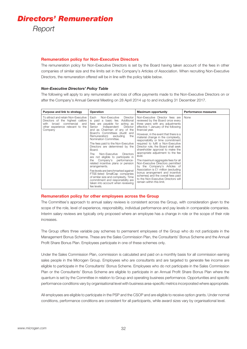

# **Remuneration policy for Non-Executive Directors**

The remuneration policy for Non-Executive Directors is set by the Board having taken account of the fees in other companies of similar size and the limits set in the Company's Articles of Association. When recruiting Non-Executive Directors, the remuneration offered will be in line with the policy table below.

### *Non-Executive Directors' Policy Table*

The following will apply to any remuneration and loss of office payments made to the Non-Executive Directors on or after the Company's Annual General Meeting on 28 April 2014 up to and including 31 December 2017.

| Purpose and link to strategy                                                                                                                             | Operation                                                                                                                                                                                                                                                                                                                                                                                                                                                                                                                                                                                                                                                                                                                                            | <b>Maximum opportunity</b>                                                                                                                                                                                                                                                                                                                                                                                                                                                                                                                                                                                                                                                                                                                             | Performance measures |
|----------------------------------------------------------------------------------------------------------------------------------------------------------|------------------------------------------------------------------------------------------------------------------------------------------------------------------------------------------------------------------------------------------------------------------------------------------------------------------------------------------------------------------------------------------------------------------------------------------------------------------------------------------------------------------------------------------------------------------------------------------------------------------------------------------------------------------------------------------------------------------------------------------------------|--------------------------------------------------------------------------------------------------------------------------------------------------------------------------------------------------------------------------------------------------------------------------------------------------------------------------------------------------------------------------------------------------------------------------------------------------------------------------------------------------------------------------------------------------------------------------------------------------------------------------------------------------------------------------------------------------------------------------------------------------------|----------------------|
| To attract and retain Non-Executive  <br>Directors of the highest calibre<br>broad commercial and<br>with<br>other experience relevant to the<br>Company | Each<br>Non-Executive<br>Director<br>a basic fee. Additional<br>is paid<br>fees are payable for acting as<br>Senior<br>Independent<br>Director<br>and as Chairman of any of the<br>Board's Committees (Audit and<br>Remuneration)<br>the<br>excluding<br>Nomination Committee.<br>The fees paid to the Non-Executive<br>Directors are determined by the<br>Board.<br>Non-Executive<br><b>Directors</b><br>The<br>are not eligible to participate in<br>Company's performance-<br>the<br>related incentive plans or pension<br>arrangements.<br>Fee levels are benchmarked against<br>FTSE-listed SmallCap companies<br>of similar size and complexity. Time<br>commitment and responsibility are<br>taken into account when reviewing<br>fee levels. | Non-Executive Director fees are<br>reviewed by the Board once every<br>three years with any adjustments<br>effective 1 January of the following<br>financial year.<br>However, in the event that there is a<br>material change in the complexity,<br>responsibility or time commitment<br>required to fulfil a Non-Executive<br>Director role, the Board shall seek<br>shareholder approval to make the<br>appropriate adjustment to the fee<br>level.<br>The maximum aggregate fees for all<br>Non-Executive Directors permitted<br>by the Company's Articles of<br>Association is £1 million (excluding<br>bonus arrangement and incentive<br>schemes) and the overall fees paid<br>to the Non-Executive Directors will<br>remain within this limit. | None                 |

### **Remuneration policy for other employees across the Group**

The Committee's approach to annual salary reviews is consistent across the Group, with consideration given to the scope of the role, level of experience, responsibility, individual performance and pay levels in comparable companies. Interim salary reviews are typically only proposed where an employee has a change in role or the scope of their role increases.

The Group offers three variable pay schemes to permanent employees of the Group who do not participate in the Management Bonus Scheme. These are the Sales Commission Plan, the Consultants' Bonus Scheme and the Annual Profit Share Bonus Plan. Employees participate in one of these schemes only.

Under the Sales Commission Plan, commission is calculated and paid on a monthly basis for all commission earning sales people in the Microgen Group. Employees who are consultants and are targeted to generate fee income are eligible to participate in the Consultants' Bonus Scheme. Employees who do not participate in the Sales Commission Plan or the Consultants' Bonus Scheme are eligible to participate in an Annual Profit Share Bonus Plan where the quantum is set by the Committee in relation to Group and operating business performance. Opportunities and specific performance conditions vary by organisational level with business area-specific metrics incorporated where appropriate.

All employees are eligible to participate in the PSP and the CSOP and are eligible to receive option grants. Under normal conditions, performance conditions are consistent for all participants, while award sizes vary by organisational level.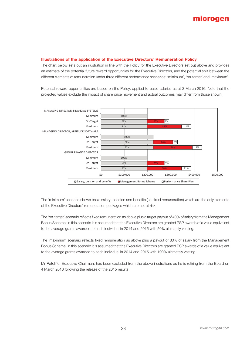

### **Illustrations of the application of the Executive Directors' Remuneration Policy**

The chart below sets out an illustration in line with the Policy for the Executive Directors set out above and provides an estimate of the potential future reward opportunities for the Executive Directors, and the potential split between the different elements of remuneration under three different performance scenarios: 'minimum', 'on-target' and 'maximum'.

Potential reward opportunities are based on the Policy, applied to basic salaries as at 3 March 2016. Note that the projected values exclude the impact of share price movement and actual outcomes may differ from those shown.



The 'minimum' scenario shows basic salary, pension and benefits (i.e. fixed remuneration) which are the only elements of the Executive Directors' remuneration packages which are not at risk.

The 'on-target' scenario reflects fixed remuneration as above plus a target payout of 40% of salary from the Management Bonus Scheme. In this scenario it is assumed that the Executive Directors are granted PSP awards of a value equivalent to the average grants awarded to each individual in 2014 and 2015 with 50% ultimately vesting.

The 'maximum' scenario reflects fixed remuneration as above plus a payout of 80% of salary from the Management Bonus Scheme. In this scenario it is assumed that the Executive Directors are granted PSP awards of a value equivalent to the average grants awarded to each individual in 2014 and 2015 with 100% ultimately vesting.

Mr Ratcliffe, Executive Chairman, has been excluded from the above illustrations as he is retiring from the Board on 4 March 2016 following the release of the 2015 results.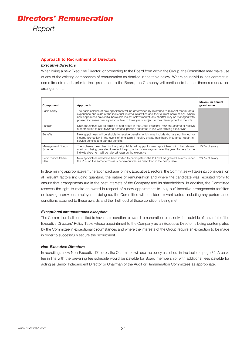# *Directors' Remuneration Report*

# **Approach to Recruitment of Directors**

# *Executive Directors*

When hiring a new Executive Director, or promoting to the Board from within the Group, the Committee may make use of any of the existing components of remuneration as detailed in the table below. Where an individual has contractual commitments made prior to their promotion to the Board, the Company will continue to honour these remuneration arrangements.

| Component                  | Approach                                                                                                                                                                                                                                                                                                                                                                                                 | Maximum annual<br>grant value |
|----------------------------|----------------------------------------------------------------------------------------------------------------------------------------------------------------------------------------------------------------------------------------------------------------------------------------------------------------------------------------------------------------------------------------------------------|-------------------------------|
| Basic salary               | The basic salaries of new appointees will be determined by reference to relevant market data,<br>experience and skills of the individual, internal relativities and their current basic salary. Where<br>new appointees have initial basic salaries set below market, any shortfall may be managed with<br>phased increases over a period of two to three years subject to their development in the role |                               |
| Pension                    | New appointees will be eligible to participate in the Group Personal Pension Scheme or receive<br>a contribution to self-invested personal pension schemes in line with existing executives                                                                                                                                                                                                              |                               |
| <b>Benefits</b>            | New appointees will be eligible to receive benefits which may include (but are not limited to)<br>income protection in the event of long-term ill health, private healthcare insurance, death-in-<br>service benefits and car fuel benefits                                                                                                                                                              |                               |
| Management Bonus<br>Scheme | The scheme described in the policy table will apply to new appointees with the relevant<br>maximum being pro-rated to reflect the proportion of employment over the year. Targets for the<br>individual element will be tailored towards the executive                                                                                                                                                   | 100% of salary                |
| Performance Share<br>Plan  | New appointees who have been invited to participate in the PSP will be granted awards under<br>the PSP on the same terms as other executives, as described in the policy table                                                                                                                                                                                                                           | 200% of salary                |

In determining appropriate remuneration package for new Executive Directors, the Committee will take into consideration all relevant factors (including quantum, the nature of remuneration and where the candidate was recruited from) to ensure that arrangements are in the best interests of the Company and its shareholders. In addition, the Committee reserves the right to make an award in respect of a new appointment to 'buy out' incentive arrangements forfeited on leaving a previous employer. In doing so, the Committee will consider relevant factors including any performance conditions attached to these awards and the likelihood of those conditions being met.

### *Exceptional circumstances exception*

The Committee shall be entitled to have the discretion to award remuneration to an individual outside of the ambit of the Executive Directors' Policy Table whose appointment to the Company as an Executive Director is being contemplated by the Committee in exceptional circumstances and where the interests of the Group require an exception to be made in order to successfully secure the recruitment.

### *Non-Executive Directors*

In recruiting a new Non-Executive Director, the Committee will use the policy as set out in the table on page 32. A basic fee in line with the prevailing fee schedule would be payable for Board membership, with additional fees payable for acting as Senior Independent Director or Chairman of the Audit or Remuneration Committees as appropriate.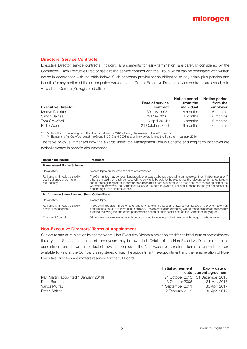# **Directors' Service Contracts**

Executive Director service contracts, including arrangements for early termination, are carefully considered by the Committee. Each Executive Director has a rolling service contract with the Group which can be terminated with written notice in accordance with the table below. Such contracts provide for an obligation to pay salary plus pension and benefits for any portion of the notice period waived by the Group. Executive Director service contracts are available to view at the Company's registered office.

| <b>Executive Director</b> | Date of service<br>contract | Notice period<br>from the<br><i>individual</i> | Notice period<br>from the<br>employer |
|---------------------------|-----------------------------|------------------------------------------------|---------------------------------------|
| Martyn Ratcliffe          | 30 July 1998*               | 6 months                                       | 6 months                              |
| Simon Baines              | 25 May 2010**               | 6 months                                       | 6 months                              |
| Tom Crawford              | 6 April 2014**              | 6 months                                       | 6 months                              |
| Philip Wood               | 21 October 2006             | 6 months                                       | 6 months                              |

\* Mr Ratcliffe will be retiring from the Board on 4 March 2016 following the release of the 2015 results.

\*\* Mr Baines and Mr Crawford joined the Group in 2010 and 2003 respectively before joining the Board on 1 January 2016.

The table below summarises how the awards under the Management Bonus Scheme and long-term incentives are typically treated in specific circumstances:

| <b>Reason for leaving</b>                                                        | <b>Treatment</b>                                                                                                                                                                                                                                                                                                                                                                                                                                                                                         |
|----------------------------------------------------------------------------------|----------------------------------------------------------------------------------------------------------------------------------------------------------------------------------------------------------------------------------------------------------------------------------------------------------------------------------------------------------------------------------------------------------------------------------------------------------------------------------------------------------|
| <b>Management Bonus Scheme</b>                                                   |                                                                                                                                                                                                                                                                                                                                                                                                                                                                                                          |
| Resignation                                                                      | Awards lapse on the date of notice of termination.                                                                                                                                                                                                                                                                                                                                                                                                                                                       |
| Retirement, ill-health, disability.<br>death, change of control or<br>redundancy | The Committee may consider it appropriate to award a bonus depending on the relevant termination scenario. If<br>a bonus is paid then cash bonuses will typically only be paid to the extent that the relevant performance targets<br>set at the beginning of the plan year have been met or are expected to be met in the reasonable opinion of the<br>Committee, however, the Committee reserves the right to award full or partial bonus for the year of cessation<br>depending on the circumstances. |
| Performance Share Plan and Share Option Plans                                    |                                                                                                                                                                                                                                                                                                                                                                                                                                                                                                          |
| Resignation                                                                      | Awards lapse.                                                                                                                                                                                                                                                                                                                                                                                                                                                                                            |
| Retirement, ill-health, disability,<br>death or redundancy                       | The Committee determines whether and to what extent outstanding awards vest based on the extent to which<br>performance conditions have been achieved. The determination of vesting will be made as soon as reasonably<br>practical following the end of the performance period or such earlier date as the Committee may agree.                                                                                                                                                                         |
| Change of Control                                                                | Microgen awards may alternatively be exchanged for new equivalent awards in the acquirer where appropriate.                                                                                                                                                                                                                                                                                                                                                                                              |

# **Non-Executive Directors' Terms of Appointment**

Subject to annual re-election by shareholders, Non-Executive Directors are appointed for an initial term of approximately three years. Subsequent terms of three years may be awarded. Details of the Non-Executive Directors' terms of appointment are shown in the table below and copies of the Non-Executive Directors' terms of appointment are available to view at the Company's registered office. The appointment, re-appointment and the remuneration of Non-Executive Directors are matters reserved for the full Board.

|                                        | Initial agreement | <b>Expiry date of</b>            |
|----------------------------------------|-------------------|----------------------------------|
|                                        |                   | date current agreement           |
| Ivan Martin (appointed 1 January 2016) |                   | 21 October 2015 31 December 2018 |
| Peter Bertram                          | 3 October 2006    | 31 May 2016                      |
| Vanda Murray                           | 1 September 2011  | 30 April 2017                    |
| Peter Whiting                          | 2 February 2012   | 30 April 2017                    |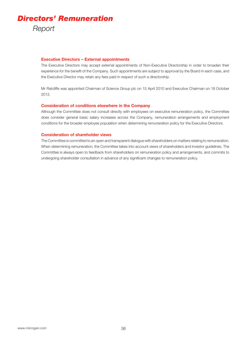# *Directors' Remuneration Report*

## **Executive Directors – External appointments**

The Executive Directors may accept external appointments of Non-Executive Directorship in order to broaden their experience for the benefit of the Company. Such appointments are subject to approval by the Board in each case, and the Executive Director may retain any fees paid in respect of such a directorship.

Mr Ratcliffe was appointed Chairman of Science Group plc on 15 April 2010 and Executive Chairman on 18 October 2012.

## **Consideration of conditions elsewhere in the Company**

Although the Committee does not consult directly with employees on executive remuneration policy, the Committee does consider general basic salary increases across the Company, remuneration arrangements and employment conditions for the broader employee population when determining remuneration policy for the Executive Directors.

## **Consideration of shareholder views**

The Committee is committed to an open and transparent dialogue with shareholders on matters relating to remuneration. When determining remuneration, the Committee takes into account views of shareholders and investor guidelines. The Committee is always open to feedback from shareholders on remuneration policy and arrangements, and commits to undergoing shareholder consultation in advance of any significant changes to remuneration policy.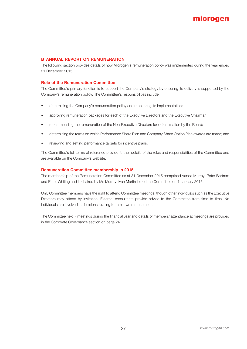## **B ANNUAL REPORT ON REMUNERATION**

The following section provides details of how Microgen's remuneration policy was implemented during the year ended 31 December 2015.

## **Role of the Remuneration Committee**

The Committee's primary function is to support the Company's strategy by ensuring its delivery is supported by the Company's remuneration policy. The Committee's responsibilities include:

- determining the Company's remuneration policy and monitoring its implementation;
- approving remuneration packages for each of the Executive Directors and the Executive Chairman;
- recommending the remuneration of the Non-Executive Directors for determination by the Board;
- determining the terms on which Performance Share Plan and Company Share Option Plan awards are made; and
- reviewing and setting performance targets for incentive plans.

The Committee's full terms of reference provide further details of the roles and responsibilities of the Committee and are available on the Company's website.

## **Remuneration Committee membership in 2015**

The membership of the Remuneration Committee as at 31 December 2015 comprised Vanda Murray, Peter Bertram and Peter Whiting and is chaired by Ms Murray. Ivan Martin joined the Committee on 1 January 2016.

Only Committee members have the right to attend Committee meetings, though other individuals such as the Executive Directors may attend by invitation. External consultants provide advice to the Committee from time to time. No individuals are involved in decisions relating to their own remuneration.

The Committee held 7 meetings during the financial year and details of members' attendance at meetings are provided in the Corporate Governance section on page 24.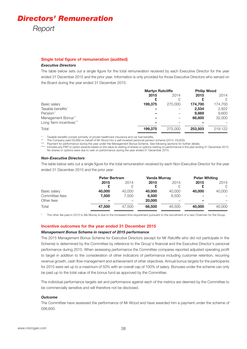# *Directors' Remuneration Report*

# **Single total figure of remuneration (audited)**

## *Executive Directors*

The table below sets out a single figure for the total remuneration received by each Executive Director for the year ended 31 December 2015 and the prior year. Information is only provided for those Executive Directors who served on the Board during the year ended 31 December 2015:

|                               | <b>Martyn Ratcliffe</b> |         | <b>Philip Wood</b> |           |
|-------------------------------|-------------------------|---------|--------------------|-----------|
|                               | 2015                    | 2014    | 2015               | 2014<br>£ |
| Basic salary                  | 199.375                 | 275,000 | 174.700            | 174,700   |
| Taxable benefits <sup>*</sup> |                         |         | 2.534              | 2,822     |
| Pension"                      |                         |         | 9.669              | 9,600     |
| Management Bonus***           |                         |         | 66,600             | 32,000    |
| Long Term Incentives****      |                         |         |                    |           |
| Total                         | 199.375                 | 275,000 | 253,503            | 219.122   |

Taxable benefits consist primarily of private healthcare insurance and car fuel benefits.

The Company paid £9,669 on behalf of Mr Wood into a self-invested personal pension scheme (2014: £9,600).

Payment for performance during the year under the Management Bonus Scheme. See following sections for further details. \*\*\*\* Includes any PSP or option awards based on the value at vesting of shares or options vesting on performance in the year ending 31 December 2015. No shares or options were due to vest on performance during the year ended 31 December 2015.

## *Non-Executive Directors*

The table below sets out a single figure for the total remuneration received by each Non-Executive Director for the year ended 31 December 2015 and the prior year:

|                | <b>Peter Bertram</b> |        | <b>Vanda Murray</b> |        | <b>Peter Whiting</b> |        |
|----------------|----------------------|--------|---------------------|--------|----------------------|--------|
|                | 2015                 | 2014   | 2015                | 2014   | 2015                 | 2014   |
|                |                      |        |                     |        |                      | ₽      |
| Basic salary   | 40,000               | 40,000 | 40,000              | 40,000 | 40,000               | 40,000 |
| Committee fees | 7.500                | 7.500  | 6.500               | 6,500  |                      |        |
| Other fees     | $\equiv$             |        | 20,000              |        |                      |        |
| Total          | 47.500               | 47,500 | 66,500              | 46,500 | 40,000               | 40,000 |

The other fee paid in 2015 to Ms Murray is due to the increased time requirement pursuant to the recruitment of a new Chairman for the Group.

# **Incentive outcomes for the year ended 31 December 2015**

## *Management Bonus Scheme in respect of 2015 performance*

The 2015 Management Bonus Scheme for Executive Directors (except for Mr Ratcliffe who did not participate in the Scheme) is determined by the Committee by reference to the Group's financial and the Executive Director's personal performance during 2015. When assessing performance the Committee compares reported adjusted operating profit to target in addition to the consideration of other indicators of performance including customer retention, recurring revenue growth, cash flow management and achievement of other objectives. Annual bonus targets for the participants for 2015 were set up to a maximum of 50% with an overall cap of 100% of salary. Bonuses under the scheme can only be paid up to the total value of the bonus fund as approved by the Committee.

The individual performance targets set and performance against each of the metrics are deemed by the Committee to be commercially sensitive and will therefore not be disclosed.

## *Outcome*

The Committee have assessed the performance of Mr Wood and have awarded him a payment under the scheme of £66,600.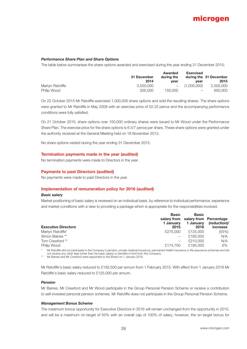

#### *Performance Share Plan and Share Options*

The table below summarises the share options awarded and exercised during the year ending 31 December 2015;

|                  |             | Awarded    | Exercised                |                        |
|------------------|-------------|------------|--------------------------|------------------------|
|                  | 31 December | during the |                          | during the 31 December |
|                  | 2014        | vear       | vear                     | 2015                   |
| Martyn Ratcliffe | 3.500.000   |            | (1,000,000)              | 2,500,000              |
| Philip Wood      | 500,000     | 150,000    | $\overline{\phantom{0}}$ | 650,000                |

On 22 October 2015 Mr Ratcliffe exercised 1,000,000 share options and sold the resulting shares. The share options were granted to Mr Ratcliffe in May 2008 with an exercise price of 52.33 pence and the accompanying performance conditions were fully satisfied.

On 21 October 2015, share options over 150,000 ordinary shares were issued to Mr Wood under the Performance Share Plan. The exercise price for the share options is 6 3/7 pence per share. These share options were granted under the authority received at the General Meeting held on 18 November 2013.

No share options vested during the year ending 31 December 2015.

#### **Termination payments made in the year (audited)**

No termination payments were made to Directors in the year.

#### **Payments to past Directors (audited)**

No payments were made to past Directors in the year.

#### **Implementation of remuneration policy for 2016 (audited)**

#### *Basic salary*

Market positioning of basic salary is reviewed on an individual basis, by reference to individual performance, experience and market conditions with a view to providing a package which is appropriate for the responsibilities involved.

| <b>Executive Directors</b> | <b>Basic</b><br>1 January<br>2015 | <b>Basic</b><br>1 January<br>2016 | salary from salary from Percentage<br>(reduction)/<br>increase |
|----------------------------|-----------------------------------|-----------------------------------|----------------------------------------------------------------|
| Martyn Ratcliffe*          | £275,000                          | £125,000                          | (55%)                                                          |
| Simon Baines **            |                                   | £185,000                          | N/A                                                            |
| Tom Crawford **            | —                                 | £210,000                          | N/A                                                            |
| Philip Wood                | £174.700                          | £185,000                          | 6%                                                             |

\* Mr Ratcliffe did not participate in the Company's pension, private medical insurance, permanent health insurance or life assurance schemes and did not receive any other fees (other than his basic salary) or benefits in kind from the Company.

Mr Baines and Mr Crawford were appointed to the Board on 1 January 2016.

Mr Ratcliffe's basic salary reduced to £192,500 per annum from 1 February 2015. With effect from 1 January 2016 Mr Ratcliffe's basic salary reduced to £125,000 per annum.

#### *Pension*

Mr Baines, Mr Crawford and Mr Wood participate in the Group Personal Pension Scheme or receive a contribution to self-invested personal pension schemes. Mr Ratcliffe does not participate in the Group Personal Pension Scheme.

#### *Management Bonus Scheme*

The maximum bonus opportunity for Executive Directors in 2016 will remain unchanged from the opportunity in 2015, and will be a maximum on-target of 50% with an overall cap of 100% of salary, however, the on-target bonus for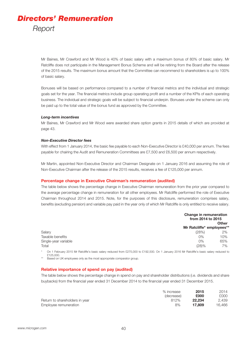# *Directors' Remuneration Report*

Mr Baines, Mr Crawford and Mr Wood is 40% of basic salary with a maximum bonus of 80% of basic salary. Mr Ratcliffe does not participate in the Management Bonus Scheme and will be retiring from the Board after the release of the 2015 results. The maximum bonus amount that the Committee can recommend to shareholders is up to 100% of basic salary.

Bonuses will be based on performance compared to a number of financial metrics and the individual and strategic goals set for the year. The financial metrics include group operating profit and a number of the KPIs of each operating business. The individual and strategic goals will be subject to financial underpin. Bonuses under the scheme can only be paid up to the total value of the bonus fund as approved by the Committee.

### *Long-term incentives*

Mr Baines, Mr Crawford and Mr Wood were awarded share option grants in 2015 details of which are provided at page 43.

### *Non-Executive Director fees*

With effect from 1 January 2014, the basic fee payable to each Non-Executive Director is £40,000 per annum. The fees payable for chairing the Audit and Remuneration Committees are £7,500 and £6,500 per annum respectively.

Mr Martin, appointed Non-Executive Director and Chairman Designate on 1 January 2016 and assuming the role of Non-Executive Chairman after the release of the 2015 results, receives a fee of £125,000 per annum.

## **Percentage change in Executive Chairman's remuneration (audited)**

The table below shows the percentage change in Executive Chairman remuneration from the prior year compared to the average percentage change in remuneration for all other employees. Mr Ratcliffe performed the role of Executive Chairman throughout 2014 and 2015. Note, for the purposes of this disclosure, remuneration comprises salary, benefits (excluding pension) and variable pay paid in the year only of which Mr Ratcliffe is only entitled to receive salary.

|                      | Change in remuneration<br>from 2014 to 2015 |              |
|----------------------|---------------------------------------------|--------------|
|                      |                                             | <b>Other</b> |
|                      | Mr Ratcliffe* employees**                   |              |
| Salary               | (28%)                                       | 2%           |
| Taxable benefits     | 0%                                          | 10%          |
| Single-year variable | 0%                                          | 65%          |
| Total                | (28)%                                       | 7%           |

On 1 February 2015 Mr Ratcliffe's basic salary reduced from £275,000 to £192,500. On 1 January 2016 Mr Ratcliffe's basic salary reduced to £125,000.

Based on UK employees only as the most appropriate comparator group.

#### **Relative importance of spend on pay (audited)**

The table below shows the percentage change in spend on pay and shareholder distributions (i.e. dividends and share buybacks) from the financial year ended 31 December 2014 to the financial year ended 31 December 2015.

|                                | % increase<br>(decrease) | 2015<br>£000 | 2014<br>£000 |
|--------------------------------|--------------------------|--------------|--------------|
| Return to shareholders in year | 812%                     | 22.234       | 2.439        |
| Employee remuneration          | 8%                       | 17.809       | 16.466       |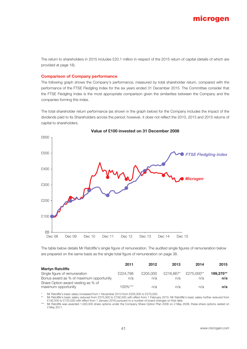The return to shareholders in 2015 includes £20.1 million in respect of the 2015 return of capital (details of which are provided at page 18).

#### **Comparison of Company performance**

The following graph shows the Company's performance, measured by total shareholder return, compared with the performance of the FTSE Fledgling Index for the six years ended 31 December 2015. The Committee consider that the FTSE Fledgling Index is the most appropriate comparison given the similarities between the Company and the companies forming this index.

The total shareholder return performance (as shown in the graph below) for the Company includes the impact of the dividends paid to its Shareholders across the period; however, it does not reflect the 2010, 2013 and 2015 returns of capital to shareholders.



**Value of £100 invested on 31 December 2008**

The table below details Mr Ratcliffe's single figure of remuneration. The audited single figures of remuneration below are prepared on the same basis as the single total figure of remuneration on page 38.

|                                         | 2011       | 2012     | 2013      | 2014       | 2015      |
|-----------------------------------------|------------|----------|-----------|------------|-----------|
| <b>Martyn Ratcliffe</b>                 |            |          |           |            |           |
| Single figure of remuneration           | £224,798   | £205,000 | £216,667* | £275,000** | 199.375** |
| Bonus award as % of maximum opportunity | n/a        | n/a      | n/a       | n/a        | n/a       |
| Share Option award vesting as % of      |            |          |           |            |           |
| maximum opportunity                     | $100\%***$ | n/a      | n/a       | n/a        | n/a       |

Mr Ratcliffe's basic salary increased from 1 November 2013 from £205,000 to £275,000.

\*\* Mr Ratcliffe's basic salary reduced from £275,000 to £192,500 with effect from 1 February 2015. Mr Ratcliffe's basic salary further reduced from £192,500 to £125,000 with effect from 1 January 2016 pursuant to a number of board changes on that date.

\*\*\* Mr Ratcliffe was awarded 1,000,000 share options under the Company Share Option Plan 2006 on 2 May 2008, these share options vested on 2 May 2011.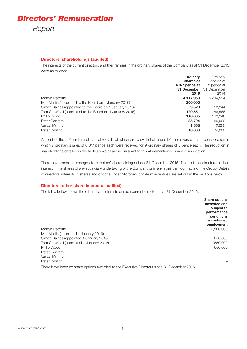# *Directors' Remuneration Report*

# **Directors' shareholdings (audited)**

The interests of the current directors and their families in the ordinary shares of the Company as at 31 December 2015 were as follows:

| <b>Ordinary</b>                                                    | Ordinary    |
|--------------------------------------------------------------------|-------------|
| shares of                                                          | shares of   |
| 63/7 pence at                                                      | 5 pence at  |
| 31 December                                                        | 31 December |
| 2015                                                               | 2014        |
| 4,117,963<br>Martyn Ratcliffe                                      | 5,294,524   |
| Ivan Martin (appointed to the Board on 1 January 2016)<br>200,000  |             |
| Simon Baines (appointed to the Board on 1 January 2016)<br>9.523   | 12.244      |
| Tom Crawford (appointed to the Board on 1 January 2016)<br>129,551 | 166,566     |
| 110.635<br>Philip Wood                                             | 142.246     |
| Peter Bertram<br>35.794                                            | 46,022      |
| Vanda Murray<br>1.555                                              | 2,000       |
| Peter Whiting<br>18,666                                            | 24,000      |

As part of the 2015 return of capital (details of which are provided at page 18) there was a share consolidation in which 7 ordinary shares of 6 3/7 pence each were received for 9 ordinary shares of 5 pence each. The reduction in shareholdings detailed in the table above all arose pursuant to this aforementioned share consolidation.

There have been no changes to directors' shareholdings since 31 December 2015. None of the directors had an interest in the shares of any subsidiary undertaking of the Company or in any significant contracts of the Group. Details of directors' interests in shares and options under Microgen long-term incentives are set out in the sections below.

## **Directors' other share interests (audited)**

The table below shows the other share interests of each current director as at 31 December 2015:

|                                                                                             | <b>Share options</b><br>unvested and<br>subject to<br>performance<br>conditions<br>& continued<br>employment |
|---------------------------------------------------------------------------------------------|--------------------------------------------------------------------------------------------------------------|
| Martyn Ratcliffe                                                                            | 2,500,000                                                                                                    |
| Ivan Martin (appointed 1 January 2016)                                                      |                                                                                                              |
| Simon Baines (appointed 1 January 2016)                                                     | 650,000                                                                                                      |
| Tom Crawford (appointed 1 January 2016)                                                     | 650,000                                                                                                      |
| Philip Wood                                                                                 | 650,000                                                                                                      |
| Peter Bertram                                                                               |                                                                                                              |
| Vanda Murray                                                                                |                                                                                                              |
| Peter Whiting                                                                               |                                                                                                              |
| There have been no share options awarded to the Executive Directors since 31 December 2015. |                                                                                                              |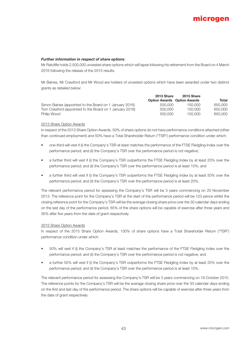### *Further information in respect of share options*

Mr Ratcliffe holds 2,500,000 unvested share options which will lapse following his retirement from the Board on 4 March 2016 following the release of the 2015 results.

Mr Baines, Mr Crawford and Mr Wood are holders of unvested options which have been awarded under two distinct grants as detailed below:

|                                                         | 2013 Share                         | 2015 Share |         |
|---------------------------------------------------------|------------------------------------|------------|---------|
|                                                         | <b>Option Awards Option Awards</b> |            | Total   |
| Simon Baines (appointed to the Board on 1 January 2016) | 500,000                            | 150.000    | 650,000 |
| Tom Crawford (appointed to the Board on 1 January 2016) | 500,000                            | 150.000    | 650.000 |
| Philip Wood                                             | 500,000                            | 150,000    | 650,000 |

#### 2013 Share Option Awards

In respect of the 2013 Share Option Awards, 50% of share options do not have performance conditions attached (other than continued employment) and 50% have a Total Shareholder Return ("TSR") performance condition under which:

- one-third will vest if (i) the Company's TSR at least matches the performance of the FTSE Fledgling Index over the performance period; and (ii) the Company's TSR over the performance period is not negative;
- a further third will vest if (i) the Company's TSR outperforms the FTSE Fledgling Index by at least 25% over the performance period; and (ii) the Company's TSR over the performance period is at least 10%; and
- a further third will vest if (i) the Company's TSR outperforms the FTSE Fledgling Index by at least 50% over the performance period; and (ii) the Company's TSR over the performance period is at least 20%.

The relevant performance period for assessing the Company's TSR will be 3 years commencing on 20 November 2013. The reference point for the Company's TSR at the start of the performance period will be 123 pence whilst the closing reference point for the Company's TSR will be the average closing share price over the 30 calendar days ending on the last day of the performance period. 65% of the share options will be capable of exercise after three years and 35% after five years from the date of grant respectively.

#### 2015 Share Option Awards

In respect of the 2015 Share Option Awards, 100% of share options have a Total Shareholder Return ("TSR") performance condition under which:

- 50% will vest if (i) the Company's TSR at least matches the performance of the FTSE Fledgling Index over the performance period; and (ii) the Company's TSR over the performance period is not negative; and
- a further 50% will vest if (i) the Company's TSR outperforms the FTSE Fledgling Index by at least 25% over the performance period; and (ii) the Company's TSR over the performance period is at least 10%.

The relevant performance period for assessing the Company's TSR will be 3 years commencing on 19 October 2015. The reference points for the Company's TSR will be the average closing share price over the 30 calendar days ending on the first and last day of the performance period. The share options will be capable of exercise after three years from the date of grant respectively.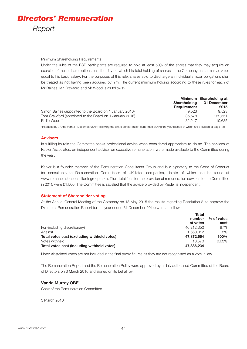# *Directors' Remuneration Report*

### Minimum Shareholding Requirements

Under the rules of the PSP participants are required to hold at least 50% of the shares that they may acquire on exercise of these share options until the day on which his total holding of shares in the Company has a market value equal to his basic salary. For the purposes of this rule, shares sold to discharge an individual's fiscal obligations shall be treated as not having been acquired by him. The current minimum holding according to these rules for each of Mr Baines, Mr Crawford and Mr Wood is as follows:-

|                                                         | <b>Shareholding</b><br>Requirement | Minimum Shareholding at<br>31 December<br>2015 |
|---------------------------------------------------------|------------------------------------|------------------------------------------------|
| Simon Baines (appointed to the Board on 1 January 2016) | 9.523                              | 9.523                                          |
| Tom Crawford (appointed to the Board on 1 January 2016) | 35,578                             | 129.551                                        |
| Philip Wood *                                           | 32.217                             | 110.635                                        |

\*Reduced by 7/9ths from 31 December 2014 following the share consolidation performed during the year (details of which are provided at page 18).

## **Advisers**

In fulfilling its role the Committee seeks professional advice when considered appropriate to do so. The services of Kepler Associates, an independent adviser on executive remuneration, were made available to the Committee during the year.

Kepler is a founder member of the Remuneration Consultants Group and is a signatory to the Code of Conduct for consultants to Remuneration Committees of UK-listed companies, details of which can be found at www.remunerationconsultantsgroup.com. Their total fees for the provision of remuneration services to the Committee in 2015 were £1,560. The Committee is satisfied that the advice provided by Kepler is independent.

## **Statement of Shareholder voting**

At the Annual General Meeting of the Company on 18 May 2015 the results regarding Resolution 2 (to approve the Directors' Remuneration Report for the year ended 31 December 2014) were as follows:

|                                             | Total      |              |
|---------------------------------------------|------------|--------------|
|                                             | number     | $%$ of votes |
|                                             | of votes   | cast         |
| For (including discretionary)               | 46.212.352 | 97%          |
| Against                                     | 1.660.312  | 3%           |
| Total votes cast (excluding withheld votes) | 47,872,664 | $100\%$      |
| Votes withheld                              | 13.570     | 0.03%        |
| Total votes cast (including withheld votes) | 47,886,234 |              |

Note: Abstained votes are not included in the final proxy figures as they are not recognised as a vote in law.

The Remuneration Report and the Remuneration Policy were approved by a duly authorised Committee of the Board of Directors on 3 March 2016 and signed on its behalf by:

# **Vanda Murray OBE**

Chair of the Remuneration Committee

3 March 2016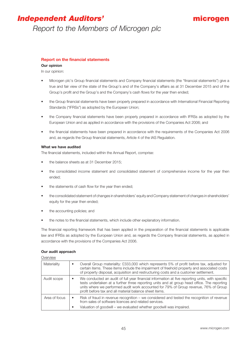# *Independent Auditors'*

# microgen

*Report to the Members of Microgen plc*

# **Report on the financial statements**

## **Our opinion**

In our opinion:

- Microgen plc's Group financial statements and Company financial statements (the "financial statements") give a true and fair view of the state of the Group's and of the Company's affairs as at 31 December 2015 and of the Group's profit and the Group's and the Company's cash flows for the year then ended;
- the Group financial statements have been properly prepared in accordance with International Financial Reporting Standards ("IFRSs") as adopted by the European Union;
- the Company financial statements have been properly prepared in accordance with IFRSs as adopted by the European Union and as applied in accordance with the provisions of the Companies Act 2006; and
- the financial statements have been prepared in accordance with the requirements of the Companies Act 2006 and, as regards the Group financial statements, Article 4 of the IAS Regulation.

### **What we have audited**

The financial statements, included within the Annual Report, comprise:

- the balance sheets as at 31 December 2015:
- the consolidated income statement and consolidated statement of comprehensive income for the year then ended;
- the statements of cash flow for the year then ended;
- the consolidated statement of changes in shareholders' equity and Company statement of changes in shareholders' equity for the year then ended;
- the accounting policies; and
- the notes to the financial statements, which include other explanatory information.

The financial reporting framework that has been applied in the preparation of the financial statements is applicable law and IFRSs as adopted by the European Union and, as regards the Company financial statements, as applied in accordance with the provisions of the Companies Act 2006.

### **Our audit approach**

**Overview** 

| Materiality   | Overall Group materiality: £333,000 which represents 5% of profit before tax, adjusted for<br>certain items. These items include the impairment of freehold property and associated costs<br>of property disposal, acquisition and restructuring costs and a customer settlement.                                                                 |
|---------------|---------------------------------------------------------------------------------------------------------------------------------------------------------------------------------------------------------------------------------------------------------------------------------------------------------------------------------------------------|
| Audit scope   | We conducted an audit of full year financial information at five reporting units, with specific<br>tests undertaken at a further three reporting units and at group head office. The reporting<br>units where we performed audit work accounted for 79% of Group revenue, 76% of Group<br>profit before tax and all material balance sheet items. |
| Area of focus | Risk of fraud in revenue recognition – we considered and tested the recognition of revenue<br>$\bullet$<br>from sales of software licences and related services.<br>Valuation of goodwill – we evaluated whether goodwill was impaired.                                                                                                           |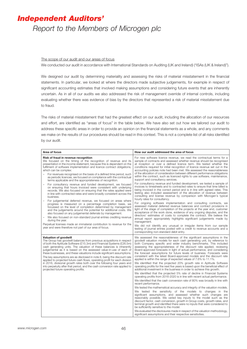# *Independent Auditors'*

# *Report to the Members of Microgen plc*

#### The scope of our audit and our areas of focus

We conducted our audit in accordance with International Standards on Auditing (UK and Ireland) ("ISAs (UK & Ireland)").

We designed our audit by determining materiality and assessing the risks of material misstatement in the financial statements. In particular, we looked at where the directors made subjective judgements, for example in respect of significant accounting estimates that involved making assumptions and considering future events that are inherently uncertain. As in all of our audits we also addressed the risk of management override of internal controls, including evaluating whether there was evidence of bias by the directors that represented a risk of material misstatement due to fraud.

The risks of material misstatement that had the greatest effect on our audit, including the allocation of our resources and effort, are identified as "areas of focus" in the table below. We have also set out how we tailored our audit to address these specific areas in order to provide an opinion on the financial statements as a whole, and any comments we make on the results of our procedures should be read in this context. This is not a complete list of all risks identified by our audit.

| Area of focus                                                                                                                                                                                                                                                                                                                                                                                                                                                                                                                                                    | How our audit addressed the area of focus                                                                                                                                                                                                                                                                                                                                                                                                                                                                                                                                                           |
|------------------------------------------------------------------------------------------------------------------------------------------------------------------------------------------------------------------------------------------------------------------------------------------------------------------------------------------------------------------------------------------------------------------------------------------------------------------------------------------------------------------------------------------------------------------|-----------------------------------------------------------------------------------------------------------------------------------------------------------------------------------------------------------------------------------------------------------------------------------------------------------------------------------------------------------------------------------------------------------------------------------------------------------------------------------------------------------------------------------------------------------------------------------------------------|
| Risk of fraud in revenue recognition<br>We focused on the timing of the recognition of revenue and its<br>presentation in the income statement, because this is dependent on the<br>fulfilment of software implementation and licence contract obligations,<br>which can be complex:<br>- For revenues recognised on the basis of a defined time period, such                                                                                                                                                                                                    | For new software licence revenue, we read the contractual terms for a<br>sample of contracts and assessed whether revenue should be recognised<br>at inception or over a defined licence term. We tested whether the<br>conditions required for initial recognition of licence revenue set out in the<br>accounting policies note had been met. We assessed the reasonableness<br>of the allocation of consideration between different performance obligations                                                                                                                                      |
| as periodic licences, we focused on compliance with the contractual<br>terms applicable and the appropriateness of recognition.                                                                                                                                                                                                                                                                                                                                                                                                                                  | within the contract, such as licenced rights to use software, maintenance,<br>support and consultancy services.                                                                                                                                                                                                                                                                                                                                                                                                                                                                                     |
| For consultancy revenue and funded development, we focused<br>on ensuring that hours invoiced were consistent with underlying<br>records. We also focused on ensuring that the rates applied were<br>in line with contracted rates and were broadly consistent across the<br>business.                                                                                                                                                                                                                                                                           | For consultancy revenue and funded development, we tested a sample of<br>invoices to timesheets and to contracted rates to ensure that time billed is<br>being invoiced in the correct period and is in line with agreed rates. This<br>testing also included assessment of the allocation of revenue between<br>consulting and license revenue by comparison with Microgen's typical<br>hourly rates for consultancy.                                                                                                                                                                              |
| For judgemental deferred revenue, we focused on areas where<br>progress is measured on a percentage completion basis, we<br>focussed on the level of completion determined by management<br>and the judgements around the potential for additional costs. We<br>also focused on any judgemental deferrals by management.<br>We also focused on non-standard journal entries crediting revenue                                                                                                                                                                    | For ongoing software implementation and consulting contracts, we<br>assessed material deferred revenue balances and contract provisions in<br>light of the stage of completion of the projects at the year end, customer<br>acceptance of the work done, evidence of any ongoing disputes, and the<br>directors' estimates of costs to complete the contract. We believe the                                                                                                                                                                                                                        |
| during the year.                                                                                                                                                                                                                                                                                                                                                                                                                                                                                                                                                 | annual report appropriately highlights significant judgements made by<br>management.                                                                                                                                                                                                                                                                                                                                                                                                                                                                                                                |
| Perpetual licenses made an immaterial contribution to revenue for the<br>year and were therefore not part of our area of focus.                                                                                                                                                                                                                                                                                                                                                                                                                                  | We did not identify any unusual or irregular items from our sample<br>testing of journal entries posted with a credit to revenue accounts and a<br>corresponding non-standard debit entry.                                                                                                                                                                                                                                                                                                                                                                                                          |
| <b>Valuation of goodwill</b><br>The Group has goodwill balances from previous acquisitions in respect<br>of both the Aptitude Software (£15.3m) and Financial Systems (£26.5m)<br>cash generating units. The valuation of these balances is inherently<br>judgemental as it is based on the assessed value-in-use of each of<br>these businesses, and these valuations include significant assumptions.<br>The key assumptions are as disclosed in note 8, being the discount rate<br>applied to projected future cash flows, operating profit for each division | We assessed the reasonableness of the significant assumptions in the<br>goodwill valuation models for each cash generating unit, by reference to<br>both Company specific and wider industry benchmarks. This included<br>assessing the appropriateness of the discount rate applied, reviewing<br>Board-approved forecasts in light of actual performance, and considering<br>the forecast assumptions for future levels of business. Forecasts were<br>consistent with the latest Board-approved models and the discount rate<br>applied is within the range of expected values of 7.6% to 11.1%. |
| in 2016, divisional growth rates both over the following four years and<br>into perpetuity after that period, and the cash conversion rate applied to<br>projected future operating profits.                                                                                                                                                                                                                                                                                                                                                                     | We identified that the projected 20% growth rate in Aptitude Software<br>operating profits for the next five years is based upon the beneficial effect of<br>additional investment in the business in order to achieve this growth.                                                                                                                                                                                                                                                                                                                                                                 |
|                                                                                                                                                                                                                                                                                                                                                                                                                                                                                                                                                                  | We identified that the projected 5% rate of decline in Financial Systems<br>operating profits from 2016-2020 is in line with recent actual performance.                                                                                                                                                                                                                                                                                                                                                                                                                                             |
|                                                                                                                                                                                                                                                                                                                                                                                                                                                                                                                                                                  | We identified that the cash conversion rate of 80% was broadly in line with<br>recent performance.                                                                                                                                                                                                                                                                                                                                                                                                                                                                                                  |
|                                                                                                                                                                                                                                                                                                                                                                                                                                                                                                                                                                  | We tested the mathematical accuracy and integrity of the valuation models.                                                                                                                                                                                                                                                                                                                                                                                                                                                                                                                          |
|                                                                                                                                                                                                                                                                                                                                                                                                                                                                                                                                                                  | We tested the sensitivity of the models to changes in the<br>significant assumptions, and assessed whether such changes are<br>reasonably possible. We varied key inputs to the model such as the<br>discount factor, cash conversion, growth in Group costs, growth rates, and<br>terminal growth and identified there were no inputs that were considered to<br>be sufficiently sensitive to the model.                                                                                                                                                                                           |
|                                                                                                                                                                                                                                                                                                                                                                                                                                                                                                                                                                  | We evaluated the disclosures made in respect of the valuation methodology,<br>significant assumptions and their respective sensitivities.                                                                                                                                                                                                                                                                                                                                                                                                                                                           |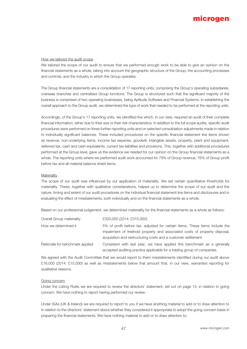#### How we tailored the audit scope

We tailored the scope of our audit to ensure that we performed enough work to be able to give an opinion on the financial statements as a whole, taking into account the geographic structure of the Group, the accounting processes and controls, and the industry in which the Group operates.

The Group financial statements are a consolidation of 17 reporting units, comprising the Group's operating subsidiaries, overseas branches and centralised Group functions. The Group is structured such that the significant majority of the business is comprised of two operating businesses, being Aptitude Software and Financial Systems. In establishing the overall approach to the Group audit, we determined the type of work that needed to be performed at the reporting units.

Accordingly, of the Group's 17 reporting units, we identified five which, in our view, required an audit of their complete financial information, either due to their size or their risk characteristics. In addition to the full scope audits, specific audit procedures were performed on three further reporting units and on selected consolidation adjustments made in relation to individually significant balances. These included procedures on the specific financial statement line items shown as revenue, non-underlying items, income tax expense, goodwill, intangible assets, property, plant and equipment, deferred tax, cash and cash equivalents, current tax liabilities and provisions. This, together with additional procedures performed at the Group level, gave us the evidence we needed for our opinion on the Group financial statements as a whole. The reporting units where we performed audit work accounted for 79% of Group revenue, 76% of Group profit before tax and all material balance sheet items.

### **Materiality**

The scope of our audit was influenced by our application of materiality. We set certain quantitative thresholds for materiality. These, together with qualitative considerations, helped us to determine the scope of our audit and the nature, timing and extent of our audit procedures on the individual financial statement line items and disclosures and in evaluating the effect of misstatements, both individually and on the financial statements as a whole.

Based on our professional judgement, we determined materiality for the financial statements as a whole as follows:

| Overall Group materiality       | £333,000 (2014: £315,000).                                                   |
|---------------------------------|------------------------------------------------------------------------------|
| How we determined it            | 5% of profit before tax, adjusted for certain items. These items include the |
|                                 | impairment of freehold property and associated costs of property disposal,   |
|                                 | acquisition and restructuring costs and a customer settlement.               |
| Rationale for benchmark applied | Consistent with last year, we have applied this benchmark as a generally     |
|                                 | accepted auditing practice applicable for a trading group of companies.      |

We agreed with the Audit Committee that we would report to them misstatements identified during our audit above £16,000 (2014: £15,000) as well as misstatements below that amount that, in our view, warranted reporting for qualitative reasons.

### Going concern

Under the Listing Rules we are required to review the directors' statement, set out on page 13, in relation to going concern. We have nothing to report having performed our review.

Under ISAs (UK & Ireland) we are required to report to you if we have anything material to add or to draw attention to in relation to the directors' statement about whether they considered it appropriate to adopt the going concern basis in preparing the financial statements. We have nothing material to add or to draw attention to.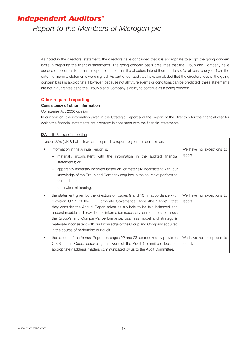# *Independent Auditors'*

# *Report to the Members of Microgen plc*

As noted in the directors' statement, the directors have concluded that it is appropriate to adopt the going concern basis in preparing the financial statements. The going concern basis presumes that the Group and Company have adequate resources to remain in operation, and that the directors intend them to do so, for at least one year from the date the financial statements were signed. As part of our audit we have concluded that the directors' use of the going concern basis is appropriate. However, because not all future events or conditions can be predicted, these statements are not a guarantee as to the Group's and Company's ability to continue as a going concern.

## **Other required reporting**

### **Consistency of other information**

#### Companies Act 2006 opinion

In our opinion, the information given in the Strategic Report and the Report of the Directors for the financial year for which the financial statements are prepared is consistent with the financial statements.

## ISAs (UK & Ireland) reporting

| Under ISAs (UK & Ireland) we are required to report to you if, in our opinion:                                                                                                                                                                                                                                                                                                                                                                                                                                      |                                     |
|---------------------------------------------------------------------------------------------------------------------------------------------------------------------------------------------------------------------------------------------------------------------------------------------------------------------------------------------------------------------------------------------------------------------------------------------------------------------------------------------------------------------|-------------------------------------|
| information in the Annual Report is:<br>materially inconsistent with the information in the audited financial<br>statements; or<br>apparently materially incorrect based on, or materially inconsistent with, our<br>knowledge of the Group and Company acquired in the course of performing<br>our audit; or<br>otherwise misleading.<br>$\qquad \qquad -$                                                                                                                                                         | We have no exceptions to<br>report. |
| the statement given by the directors on pages 9 and 10, in accordance with<br>provision C.1.1 of the UK Corporate Governance Code (the "Code"), that<br>they consider the Annual Report taken as a whole to be fair, balanced and<br>understandable and provides the information necessary for members to assess<br>the Group's and Company's performance, business model and strategy is<br>materially inconsistent with our knowledge of the Group and Company acquired<br>in the course of performing our audit. | We have no exceptions to<br>report. |
| the section of the Annual Report on pages 22 and 23, as required by provision<br>C.3.8 of the Code, describing the work of the Audit Committee does not<br>appropriately address matters communicated by us to the Audit Committee.                                                                                                                                                                                                                                                                                 | We have no exceptions to<br>report. |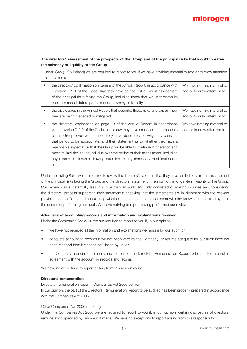# **The directors' assessment of the prospects of the Group and of the principal risks that would threaten the solvency or liquidity of the Group**

Under ISAs (UK & Ireland) we are required to report to you if we have anything material to add or to draw attention to in relation to:

| the directors' confirmation on page 9 of the Annual Report, in accordance with<br>provision C.2.1 of the Code, that they have carried out a robust assessment<br>of the principal risks facing the Group, including those that would threaten its<br>business model, future performance, solvency or liquidity.                                                                                                                                                                                                                                                                                | We have nothing material to<br>add or to draw attention to. |
|------------------------------------------------------------------------------------------------------------------------------------------------------------------------------------------------------------------------------------------------------------------------------------------------------------------------------------------------------------------------------------------------------------------------------------------------------------------------------------------------------------------------------------------------------------------------------------------------|-------------------------------------------------------------|
| the disclosures in the Annual Report that describe those risks and explain how<br>they are being managed or mitigated.                                                                                                                                                                                                                                                                                                                                                                                                                                                                         | We have nothing material to<br>add or to draw attention to. |
| the directors' explanation on page 13 of the Annual Report, in accordance<br>with provision C.2.2 of the Code, as to how they have assessed the prospects<br>of the Group, over what period they have done so and why they consider<br>that period to be appropriate, and their statement as to whether they have a<br>reasonable expectation that the Group will be able to continue in operation and<br>meet its liabilities as they fall due over the period of their assessment, including<br>any related disclosures drawing attention to any necessary qualifications or<br>assumptions. | We have nothing material to<br>add or to draw attention to. |

Under the Listing Rules we are required to review the directors' statement that they have carried out a robust assessment of the principal risks facing the Group and the directors' statement in relation to the longer-term viability of the Group. Our review was substantially less in scope than an audit and only consisted of making inquiries and considering the directors' process supporting their statements; checking that the statements are in alignment with the relevant provisions of the Code; and considering whether the statements are consistent with the knowledge acquired by us in the course of performing our audit. We have nothing to report having performed our review.

## **Adequacy of accounting records and information and explanations received**

Under the Companies Act 2006 we are required to report to you if, in our opinion:

- we have not received all the information and explanations we require for our audit; or
- adequate accounting records have not been kept by the Company, or returns adequate for our audit have not been received from branches not visited by us; or
- the Company financial statements and the part of the Directors' Remuneration Report to be audited are not in agreement with the accounting records and returns.

We have no exceptions to report arising from this responsibility.

## **Directors' remuneration**

## Directors' remuneration report – Companies Act 2006 opinion

In our opinion, the part of the Directors' Remuneration Report to be audited has been properly prepared in accordance with the Companies Act 2006.

## Other Companies Act 2006 reporting

Under the Companies Act 2006 we are required to report to you if, in our opinion, certain disclosures of directors' remuneration specified by law are not made. We have no exceptions to report arising from this responsibility.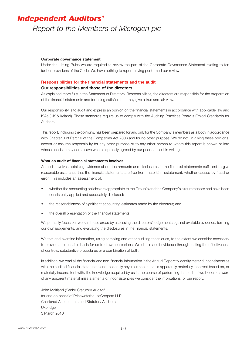# *Independent Auditors'*

# *Report to the Members of Microgen plc*

#### **Corporate governance statement**

Under the Listing Rules we are required to review the part of the Corporate Governance Statement relating to ten further provisions of the Code. We have nothing to report having performed our review.

#### **Responsibilities for the financial statements and the audit**

## **Our responsibilities and those of the directors**

As explained more fully in the Statement of Directors' Responsibilities, the directors are responsible for the preparation of the financial statements and for being satisfied that they give a true and fair view.

Our responsibility is to audit and express an opinion on the financial statements in accordance with applicable law and ISAs (UK & Ireland). Those standards require us to comply with the Auditing Practices Board's Ethical Standards for Auditors.

This report, including the opinions, has been prepared for and only for the Company's members as a body in accordance with Chapter 3 of Part 16 of the Companies Act 2006 and for no other purpose. We do not, in giving these opinions, accept or assume responsibility for any other purpose or to any other person to whom this report is shown or into whose hands it may come save where expressly agreed by our prior consent in writing.

### **What an audit of financial statements involves**

An audit involves obtaining evidence about the amounts and disclosures in the financial statements sufficient to give reasonable assurance that the financial statements are free from material misstatement, whether caused by fraud or error. This includes an assessment of:

- whether the accounting policies are appropriate to the Group's and the Company's circumstances and have been consistently applied and adequately disclosed;
- the reasonableness of significant accounting estimates made by the directors; and
- the overall presentation of the financial statements.

We primarily focus our work in these areas by assessing the directors' judgements against available evidence, forming our own judgements, and evaluating the disclosures in the financial statements.

We test and examine information, using sampling and other auditing techniques, to the extent we consider necessary to provide a reasonable basis for us to draw conclusions. We obtain audit evidence through testing the effectiveness of controls, substantive procedures or a combination of both.

In addition, we read all the financial and non-financial information in the Annual Report to identify material inconsistencies with the audited financial statements and to identify any information that is apparently materially incorrect based on, or materially inconsistent with, the knowledge acquired by us in the course of performing the audit. If we become aware of any apparent material misstatements or inconsistencies we consider the implications for our report.

John Maitland (Senior Statutory Auditor) for and on behalf of PricewaterhouseCoopers LLP Chartered Accountants and Statutory Auditors **Uxbridge** 3 March 2016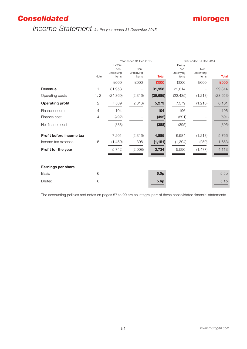# *Consolidated*

# microgen

# *Income Statement for the year ended 31 December 2015*

|                           |              |                                       | Year ended 31 Dec 2015      |                  |                                       | Year ended 31 Dec 2014      |              |
|---------------------------|--------------|---------------------------------------|-----------------------------|------------------|---------------------------------------|-----------------------------|--------------|
|                           | Note         | Before<br>non-<br>underlying<br>items | Non-<br>underlying<br>items | <b>Total</b>     | Before<br>non-<br>underlying<br>items | Non-<br>underlying<br>items | <b>Total</b> |
|                           |              | £000                                  | £000                        | £000             | £000                                  | £000                        | £000         |
| <b>Revenue</b>            | 1            | 31,958                                |                             | 31,958           | 29,814                                |                             | 29,814       |
| Operating costs           | 1, 2         | (24, 369)                             | (2,316)                     | (26, 685)        | (22, 435)                             | (1, 218)                    | (23, 653)    |
| <b>Operating profit</b>   | $\mathbf{2}$ | 7,589                                 | (2,316)                     | 5,273            | 7,379                                 | (1, 218)                    | 6,161        |
| Finance income            | 4            | 104                                   |                             | 104              | 196                                   |                             | 196          |
| Finance cost              | 4            | (492)                                 |                             | (492)            | (591)                                 |                             | (591)        |
| Net finance cost          |              | (388)                                 |                             | (388)            | (395)                                 |                             | (395)        |
| Profit before income tax  |              | 7,201                                 | (2,316)                     | 4,885            | 6,984                                 | (1,218)                     | 5,766        |
| Income tax expense        | 5            | (1,459)                               | 308                         | (1, 151)         | (1, 394)                              | (259)                       | (1,653)      |
| Profit for the year       |              | 5,742                                 | (2,008)                     | 3,734            | 5,590                                 | (1, 477)                    | 4,113        |
|                           |              |                                       |                             |                  |                                       |                             |              |
| <b>Earnings per share</b> |              |                                       |                             |                  |                                       |                             |              |
| <b>Basic</b>              | 6            |                                       |                             | 6.0 <sub>p</sub> |                                       |                             | 5.5p         |
| <b>Diluted</b>            | 6            |                                       |                             | 5.6p             |                                       |                             | 5.1p         |

The accounting policies and notes on pages 57 to 99 are an integral part of these consolidated financial statements.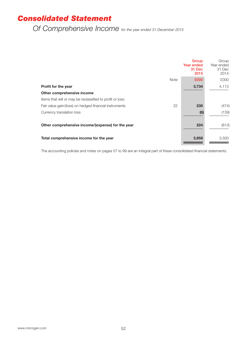# *Consolidated Statement*

*Of Comprehensive Income for the year ended 31 December 2015*

|                                                              | Group<br><b>Year ended</b><br>31 Dec<br>2015 | Group<br>Year ended<br>31 Dec<br>2014 |
|--------------------------------------------------------------|----------------------------------------------|---------------------------------------|
| <b>Note</b>                                                  | £000                                         | £000                                  |
| <b>Profit for the year</b>                                   | 3,734                                        | 4,113                                 |
| Other comprehensive income                                   |                                              |                                       |
| Items that will or may be reclassified to profit or loss:    |                                              |                                       |
| 22<br>Fair value gain/(loss) on hedged financial instruments | 230                                          | (474)                                 |
| Currency translation loss                                    | (6)                                          | (139)                                 |
| Other comprehensive income/(expense) for the year            | 224                                          | (613)                                 |
| Total comprehensive income for the year                      | 3,958                                        | 3,500                                 |

The accounting policies and notes on pages 57 to 99 are an integral part of these consolidated financial statements.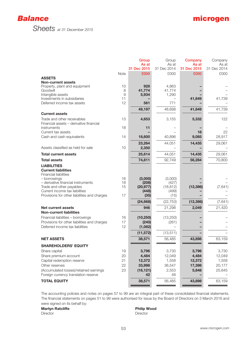

*Sheets at 31 December 2015*



|                                                                                  |          | Group<br>As at   | Group<br>As at   | Company<br>As at | Company<br>As at |
|----------------------------------------------------------------------------------|----------|------------------|------------------|------------------|------------------|
|                                                                                  |          | 31 Dec 2015      | 31 Dec 2014      | 31 Dec 2015      | 31 Dec 2014      |
|                                                                                  | Note     | £000             | £000             | £000             | £000             |
| <b>ASSETS</b>                                                                    |          |                  |                  |                  |                  |
| <b>Non-current assets</b>                                                        |          |                  |                  |                  |                  |
| Property, plant and equipment                                                    | 10       | 928              | 4,863            |                  |                  |
| Goodwill<br>Intangible assets                                                    | 8<br>9   | 41,774<br>5,934  | 41,774<br>1,290  |                  |                  |
| Investments in subsidiaries                                                      | 11       |                  |                  | 41,849           | 41,739           |
| Deferred income tax assets                                                       | 12       | 561              | 771              |                  |                  |
|                                                                                  |          | 49,197           | 48,698           | 41,849           | 41,739           |
| <b>Current assets</b>                                                            |          |                  |                  |                  |                  |
| Trade and other receivables<br>Financial assets - derivative financial           | 13       | 4,653            | 3,155            | 5,332            | 122              |
| instruments                                                                      | 18       | 11               |                  |                  |                  |
| Current tax assets                                                               |          |                  |                  | 18               | 22               |
| Cash and cash equivalents                                                        | 14       | 18,600           | 40,896           | 9,085            | 28,917           |
|                                                                                  |          | 23,264           | 44,051           | 14,435           | 29,061           |
| Assets classified as held for sale                                               | 10       | 2,350            |                  |                  |                  |
| <b>Total current assets</b>                                                      |          | 25,614           | 44,051           | 14,435           | 29,061           |
| <b>Total assets</b>                                                              |          | 74,811           | 92,749           | 56,284           | 70,800           |
| <b>LIABILITIES</b><br><b>Current liabilities</b><br><b>Financial liabilities</b> |          |                  |                  |                  |                  |
| - borrowings<br>- derivative financial instruments                               | 16<br>18 | (3,000)<br>(208) | (3,000)<br>(427) |                  |                  |
| Trade and other payables                                                         | 15       | (20, 977)        | (18, 812)        | (12, 386)        | (7,641)          |
| Current income tax liabilities                                                   |          | (448)            | (499)            |                  |                  |
| Provisions for other liabilities and charges                                     | 17       | (35)             | (15)             |                  |                  |
|                                                                                  |          | (24, 668)        | (22, 753)        | (12, 386)        | (7,641)          |
| <b>Net current assets</b>                                                        |          | 946              | 21,298           | 2,049            | 21,420           |
| <b>Non-current liabilities</b>                                                   |          |                  |                  |                  |                  |
| Financial liabilities - borrowings                                               | 16       | (10, 250)        | (13, 250)        |                  |                  |
| Provisions for other liabilities and charges<br>Deferred income tax liabilities  | 17<br>12 | (240)<br>(1,082) | (261)            |                  |                  |
|                                                                                  |          | (11, 572)        | (13, 511)        |                  |                  |
| <b>NET ASSETS</b>                                                                |          | 38,571           | 56,485           | 43,898           | 63,159           |
| <b>SHAREHOLDERS' EQUITY</b>                                                      |          |                  |                  |                  |                  |
| Share capital                                                                    | 19       | 3,796            | 3,730            | 3,796            | 3,730            |
| Share premium account                                                            | 20       | 4,484            | 12,049           | 4,484            | 12,049           |
| Capital redemption reserve                                                       | 21       | 12,372           | 1,558            | 12,372           | 1,558            |
| Other reserves                                                                   | 22       | 33,998           | 36,547           | 17,398           | 20,177           |
| (Accumulated losses)/retained earnings                                           | 23       | (16, 121)        | 2,553            | 5,848            | 25,645           |
| Foreign currency translation reserve                                             |          | 42               | 48               |                  |                  |
| <b>TOTAL EQUITY</b>                                                              |          | 38,571           | 56,485           | 43,898           | 63,159           |
|                                                                                  |          |                  |                  |                  |                  |

The accounting policies and notes on pages 57 to 99 are an integral part of these consolidated financial statements. The financial statements on pages 51 to 99 were authorised for issue by the Board of Directors on 3 March 2016 and were signed on its behalf by:

**Martyn Ratcliffe Philip Wood <b>Philip Wood** 

next results of the contract of the Director Director Director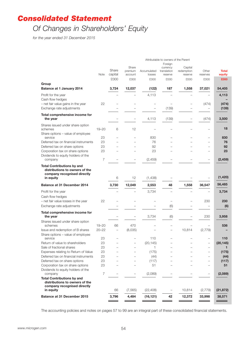# *Consolidated Statement*

# *Of Changes in Shareholders' Equity*

*for the year ended 31 December 2015*

|                                                                                                                 |           |                          |                   |                        | Attributable to owners of the Parent |                       |          |                |
|-----------------------------------------------------------------------------------------------------------------|-----------|--------------------------|-------------------|------------------------|--------------------------------------|-----------------------|----------|----------------|
|                                                                                                                 |           |                          | Share             |                        | Foreign                              |                       |          |                |
|                                                                                                                 |           | Share                    | premium           | Accumulated            | currency<br>translation              | Capital<br>redemption | Other    | <b>Total</b>   |
|                                                                                                                 | Note      | capital                  | account           | losses                 | reserve                              | reserve               | reserves | equity         |
|                                                                                                                 |           | £000                     | £000              | £000                   | £000                                 | £000                  | £000     | £000           |
| Group                                                                                                           |           |                          |                   |                        |                                      |                       |          |                |
| <b>Balance at 1 January 2014</b>                                                                                |           | 3,724                    | 12,037            | (122)                  | 187                                  | 1,558                 | 37,021   | 54,405         |
| Profit for the year<br>Cash flow hedges                                                                         |           |                          |                   | 4,113                  |                                      |                       |          | 4,113          |
| - net fair value gains in the year<br>Exchange rate adjustments                                                 | 22        |                          |                   |                        | (139)                                |                       | (474)    | (474)<br>(139) |
|                                                                                                                 |           |                          |                   |                        |                                      |                       |          |                |
| Total comprehensive income for<br>the year                                                                      |           |                          |                   | 4,113                  | (139)                                |                       | (474)    | 3,500          |
| Shares issued under share option<br>schemes                                                                     | $19 - 20$ | 6                        | 12                |                        |                                      |                       |          | 18             |
| Share options - value of employee<br>service                                                                    | 23        |                          |                   | 830                    |                                      |                       |          | 830            |
| Deferred tax on financial instruments                                                                           | 23        |                          |                   | 76                     |                                      |                       |          | 76             |
| Deferred tax on share options                                                                                   | 23        |                          |                   | 92                     |                                      |                       |          | 92             |
| Corporation tax on share options                                                                                | 23        |                          |                   | 23                     |                                      |                       |          | 23             |
| Dividends to equity holders of the<br>company                                                                   | 7         |                          |                   | (2,459)                |                                      |                       |          | (2, 459)       |
| <b>Total Contributions by and</b><br>distributions to owners of the<br>company recognised directly<br>in equity |           | 6                        | 12                | (1,438)                |                                      |                       |          | (1,420)        |
| Balance at 31 December 2014                                                                                     |           | 3,730                    | 12,049            | 2,553                  | 48                                   | 1,558                 | 36,547   | 56,485         |
|                                                                                                                 |           |                          |                   | 3,734                  |                                      |                       |          | 3,734          |
| Profit for the year<br>Cash flow hedges                                                                         |           |                          |                   |                        |                                      |                       |          |                |
| - net fair value losses in the year                                                                             | 22        |                          |                   |                        |                                      |                       |          | 230            |
|                                                                                                                 |           |                          |                   |                        |                                      |                       |          |                |
|                                                                                                                 |           |                          |                   |                        |                                      |                       | 230      |                |
| Exchange rate adjustments                                                                                       |           |                          |                   |                        | (6)                                  |                       |          | (6)            |
| Total comprehensive income for<br>the year                                                                      |           |                          |                   |                        |                                      |                       | 230      | 3,958          |
| Shares issued under share option                                                                                |           |                          |                   | 3,734                  | (6)                                  |                       |          |                |
| schemes                                                                                                         | $19 - 20$ | 66                       | 470               |                        |                                      |                       |          | 536            |
| Issue and redemption of B shares                                                                                | $20 - 22$ | $\overline{\phantom{0}}$ | (8,035)           |                        | $\overline{\phantom{0}}$             | 10,814                | (2,779)  |                |
| Share options - value of employee                                                                               |           |                          |                   |                        |                                      |                       |          |                |
| service                                                                                                         | 23        |                          |                   | 110                    |                                      |                       |          | 110            |
| Return of value to shareholders                                                                                 | 23        |                          |                   | (20, 145)<br>1         |                                      |                       |          | (20, 145)<br>1 |
| Sale of fractional shares<br>Expenses relating to Return of Value                                               | 23<br>23  |                          |                   | (175)                  |                                      |                       |          |                |
| Deferred tax on financial instruments                                                                           | 23        |                          |                   | (44)                   |                                      |                       |          | (175)<br>(44)  |
| Deferred tax on share options                                                                                   | 23        |                          |                   | (117)                  |                                      |                       |          | (117)          |
| Corporation tax on share options                                                                                | 23        |                          |                   | 51                     |                                      |                       |          | 51             |
| Dividends to equity holders of the                                                                              |           |                          |                   |                        |                                      |                       |          |                |
| company                                                                                                         | 7         |                          |                   | (2,089)                |                                      |                       |          | (2,089)        |
| <b>Total Contributions by and</b><br>distributions to owners of the                                             |           |                          |                   |                        |                                      |                       |          |                |
| company recognised directly<br>in equity                                                                        |           | 66                       |                   |                        |                                      | 10,814                | (2,779)  | (21, 872)      |
| Balance at 31 December 2015                                                                                     |           | 3,796                    | (7, 565)<br>4,484 | (22, 408)<br>(16, 121) | 42                                   | 12,372                | 33,998   | 38,571         |

The accounting policies and notes on pages 57 to 99 are an integral part of these consolidated financial statements.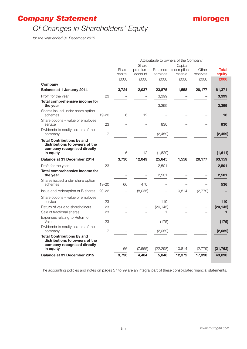# *Company Statement*

# *Of Changes in Shareholders' Equity*

*for the year ended 31 December 2015*

|                                                                                                                 |                |                  |                    |                      | Attributable to owners of the Company |                          |                 |
|-----------------------------------------------------------------------------------------------------------------|----------------|------------------|--------------------|----------------------|---------------------------------------|--------------------------|-----------------|
|                                                                                                                 |                |                  | Share              |                      | Capital                               |                          |                 |
|                                                                                                                 |                | Share<br>capital | premium<br>account | Retained<br>earnings | redemption<br>reserve                 | Other<br>reserves        | Total<br>equity |
|                                                                                                                 |                | £000             | £000               | £000                 | £000                                  | £000                     | £000            |
| Company                                                                                                         |                |                  |                    |                      |                                       |                          |                 |
| <b>Balance at 1 January 2014</b>                                                                                |                | 3,724            | 12,037             | 23,875               | 1,558                                 | 20,177                   | 61,371          |
| Profit for the year                                                                                             | 23             |                  |                    | 3,399                |                                       |                          | 3,399           |
| Total comprehensive income for<br>the year                                                                      |                |                  |                    | 3,399                |                                       |                          | 3,399           |
| Shares issued under share option<br>schemes                                                                     | 19-20          | 6                | 12                 |                      |                                       |                          | 18              |
| Share options - value of employee<br>service                                                                    | 23             |                  |                    | 830                  |                                       |                          | 830             |
| Dividends to equity holders of the<br>company                                                                   | 7              |                  |                    | (2, 459)             |                                       | $\overline{\phantom{0}}$ | (2, 459)        |
| <b>Total Contributions by and</b><br>distributions to owners of the<br>company recognised directly<br>in equity |                | 6                | 12                 | (1,629)              |                                       |                          | (1,611)         |
| <b>Balance at 31 December 2014</b>                                                                              |                | 3,730            | 12,049             | 25,645               | 1,558                                 | 20,177                   | 63,159          |
| Profit for the year                                                                                             | 23             |                  |                    | 2,501                |                                       |                          | 2,501           |
| Total comprehensive income for<br>the year                                                                      |                |                  |                    | 2,501                |                                       |                          | 2,501           |
| Shares issued under share option<br>schemes                                                                     | 19-20          | 66               | 470                |                      |                                       |                          | 536             |
| Issue and redemption of B shares                                                                                | $20 - 22$      |                  | (8,035)            |                      | 10,814                                | (2,779)                  |                 |
| Share options - value of employee<br>service                                                                    | 23             |                  |                    | 110                  |                                       | $\overline{\phantom{0}}$ | 110             |
| Return of value to shareholders                                                                                 | 23             |                  |                    | (20, 145)            |                                       |                          | (20, 145)       |
| Sale of fractional shares                                                                                       | 23             |                  |                    | 1                    |                                       |                          | 1               |
| Expenses relating to Return of<br>Value                                                                         | 23             |                  |                    | (175)                |                                       | $\overline{\phantom{0}}$ | (175)           |
| Dividends to equity holders of the<br>company                                                                   | $\overline{7}$ |                  |                    | (2,089)              |                                       |                          | (2,089)         |
| <b>Total Contributions by and</b><br>distributions to owners of the<br>company recognised directly<br>in equity |                | 66               | (7, 565)           | (22, 298)            | 10,814                                | (2,779)                  | (21, 762)       |
| <b>Balance at 31 December 2015</b>                                                                              |                | 3,796            | 4,484              | 5,848                | 12,372                                | 17,398                   | 43,898          |
|                                                                                                                 |                |                  |                    |                      |                                       |                          |                 |

The accounting policies and notes on pages 57 to 99 are an integral part of these consolidated financial statements.

microgen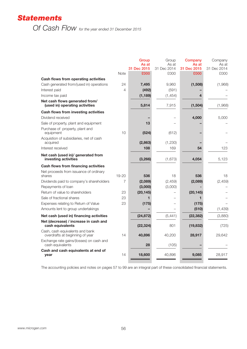# *Statements*

*Of Cash Flow for the year ended 31 December 2015*

|                                                                    | <b>Note</b>    | Group<br>As at<br>31 Dec 2015<br>£000 | Group<br>As at<br>31 Dec 2014<br>£000 | Company<br>As at<br>31 Dec 2015<br>£000 | Company<br>As at<br>31 Dec 2014<br>£000 |
|--------------------------------------------------------------------|----------------|---------------------------------------|---------------------------------------|-----------------------------------------|-----------------------------------------|
| Cash flows from operating activities                               |                |                                       |                                       |                                         |                                         |
| Cash generated from/(used in) operations                           | 24             | 7,495                                 | 9,960                                 | (1,508)                                 | (1,968)                                 |
| Interest paid                                                      | $\overline{4}$ | (492)                                 | (591)                                 |                                         |                                         |
| Income tax paid                                                    |                | (1, 189)                              | (1, 454)                              | 4                                       |                                         |
| Net cash flows generated from/<br>(used in) operating activities   |                | 5,814                                 | 7,915                                 | (1,504)                                 | (1,968)                                 |
| Cash flows from investing activities                               |                |                                       |                                       |                                         |                                         |
| Dividend received                                                  |                |                                       |                                       | 4,000                                   | 5,000                                   |
| Sale of property, plant and equipment                              |                | 13                                    |                                       |                                         |                                         |
| Purchase of property, plant and<br>equipment                       | 10             | (524)                                 | (612)                                 |                                         |                                         |
| Acquistion of subsidiaries, net of cash<br>acquired                |                | (2,863)                               | (1,230)                               |                                         |                                         |
| Interest received                                                  |                | 108                                   | 169                                   | 54                                      | 123                                     |
| Net cash (used in)/ generated from<br>investing activities         |                | (3, 266)                              | (1,673)                               | 4,054                                   | 5,123                                   |
| Cash flows from financing activities                               |                |                                       |                                       |                                         |                                         |
| Net proceeds from issuance of ordinary<br>shares                   | $19 - 20$      | 536                                   | 18                                    | 536                                     | 18                                      |
| Dividends paid to company's shareholders                           | 7              | (2,089)                               | (2,459)                               | (2,089)                                 | (2, 459)                                |
| Repayments of loan                                                 |                | (3,000)                               | (3,000)                               |                                         |                                         |
| Return of value to shareholders                                    | 23             | (20, 145)                             |                                       | (20, 145)                               |                                         |
| Sale of fractional shares                                          | 23             | 1                                     |                                       | 1                                       |                                         |
| Expenses relating to Return of Value                               | 23             | (175)                                 |                                       | (175)                                   |                                         |
| Amounts lent to group undertakings                                 |                |                                       |                                       | (510)                                   | (1,439)                                 |
| Net cash (used in) financing activities                            |                | (24, 872)                             | (5, 441)                              | (22, 382)                               | (3,880)                                 |
| Net (decrease) / increase in cash and<br>cash equivalents          |                | (22, 324)                             | 801                                   | (19, 832)                               | (725)                                   |
| Cash, cash equivalents and bank<br>overdrafts at beginning of year | 14             | 40,896                                | 40,200                                | 28,917                                  | 29,642                                  |
| Exchange rate gains/(losses) on cash and<br>cash equivalents       |                | 28                                    | (105)                                 |                                         |                                         |
| Cash and cash equivalents at end of<br>year                        | 14             | 18,600                                | 40,896                                | 9,085                                   | 28,917                                  |
|                                                                    |                |                                       |                                       |                                         |                                         |

The accounting policies and notes on pages 57 to 99 are an integral part of these consolidated financial statements.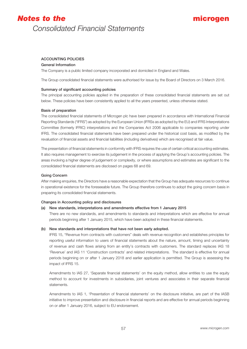# microgen

# ACCOUNTING POLICIES

## General Information

The Company is a public limited company incorporated and domiciled in England and Wales.

The Group consolidated financial statements were authorised for issue by the Board of Directors on 3 March 2016.

### Summary of significant accounting policies

The principal accounting policies applied in the preparation of these consolidated financial statements are set out below. These policies have been consistently applied to all the years presented, unless otherwise stated.

### Basis of preparation

The consolidated financial statements of Microgen plc have been prepared in accordance with International Financial Reporting Standards ("IFRS") as adopted by the European Union (IFRSs as adopted by the EU) and IFRS Interpretations Committee (formerly IFRIC) interpretations and the Companies Act 2006 applicable to companies reporting under IFRS. The consolidated financial statements have been prepared under the historical cost basis, as modified by the revaluation of financial assets and financial liabilities (including derivatives) which are recognised at fair value.

The presentation of financial statements in conformity with IFRS requires the use of certain critical accounting estimates. It also requires management to exercise its judgement in the process of applying the Group's accounting policies. The areas involving a higher degree of judgement or complexity, or where assumptions and estimates are significant to the consolidated financial statements are disclosed on pages 68 and 69.

#### Going Concern

After making enquiries, the Directors have a reasonable expectation that the Group has adequate resources to continue in operational existence for the foreseeable future. The Group therefore continues to adopt the going concern basis in preparing its consolidated financial statements.

#### Changes in Accounting policy and disclosures

## (a) New standards, interpretations and amendments effective from 1 January 2015

There are no new standards, and amendments to standards and interpretations which are effective for annual periods beginning after 1 January 2015, which have been adopted in these financial statements.

#### (b) New standards and interpretations that have not been early adopted.

IFRS 15, "Revenue from contracts with customers" deals with revenue recognition and establishes principles for reporting useful information to users of financial statements about the nature, amount, timing and uncertainty of revenue and cash flows arising from an entity's contracts with customers. The standard replaces IAS 18 'Revenue' and IAS 11 'Construction contracts' and related interpretations. The standard is effective for annual periods beginning on or after 1 January 2018 and earlier application is permitted. The Group is assessing the impact of IFRS 15.

Amendments to IAS 27, 'Separate financial statements' on the equity method, allow entities to use the equity method to account for investments in subsidiaries, joint ventures and associates in their separate financial statements.

Amendments to IAS 1, 'Presentation of financial statements' on the disclosure initiative, are part of the IASB initiative to improve presentation and disclosure in financial reports and are effective for annual periods beginning on or after 1 January 2016, subject to EU endorsement.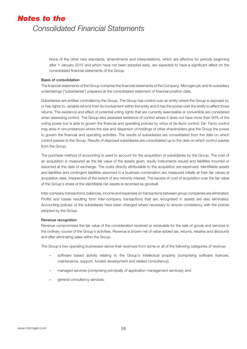None of the other new standards, amendments and interpretations, which are effective for periods beginning after 1 January 2015 and which have not been adopted early, are expected to have a significant effect on the consolidated financial statements of the Group.

#### Basis of consolidation

The financial statements of the Group comprise the financial statements of the Company, Microgen plc and its subsidiary undertakings ("subsidiaries") prepared at the consolidated statement of financial position date.

Subsidiaries are entities controlled by the Group. The Group has control over an entity where the Group is exposed to, or has rights to, variable returns from its involvement within the entity and it has the power over the entity to effect those returns. The existence and effect of potential voting rights that are currently exercisable or convertible are considered when assessing control. The Group also assesses existence of control where it does not have more than 50% of the voting power but is able to govern the financial and operating policies by virtue of de-facto control. De- Facto control may arise in circumstances where the size and dispersion of holdings of other shareholders give the Group the power to govern the financial and operating activities. The results of subsidiaries are consolidated from the date on which control passes to the Group. Results of disposed subsidiaries are consolidated up to the date on which control passes from the Group.

The purchase method of accounting is used to account for the acquisition of subsidiaries by the Group. The cost of an acquisition is measured as the fair value of the assets given, equity instruments issued and liabilities incurred or assumed at the date of exchange. The costs directly attributable to the acquisition are expensed. Identifiable assets and liabilities and contingent liabilities assumed in a business combination are measured initially at their fair values at acquisition date, irrespective of the extent of any minority interest. The excess of cost of acquisition over the fair value of the Group's share of the identifiable net assets is recorded as goodwill.

Inter-company transactions, balances, income and expenses on transactions between group companies are eliminated. Profits and losses resulting form inter-company transactions that are recognised in assets are also eliminated. Accounting policies of the subsidiaries have been changed where necessary to ensure consistency with the polices adopted by the Group.

#### Revenue recognition

Revenue compromises the fair value of the consideration received or receivable for the sale of goods and services in the ordinary course of the Group's activities. Revenue is shown net of value-added tax, returns, rebates and discounts and after eliminating sales within the Group.

The Group's two operating businesses derive their revenues from some or all of the following categories of revenue:

- software based activity relating to the Group's intellectual property (comprising software licences, maintenance, support, funded development and related consultancy);
- managed services (comprising principally of application management services); and
- general consultancy services.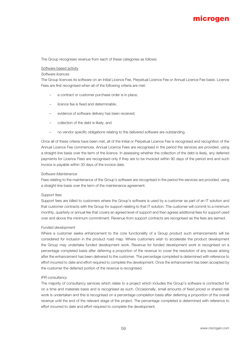The Group recognises revenue from each of these categories as follows:

#### Software based activity

#### *Software licences*

The Group licences its software on an Initial Licence Fee, Perpetual Licence Fee or Annual Licence Fee basis. Licence Fees are first recognised when all of the following criteria are met:

- a contract or customer purchase order is in place;
- licence fee is fixed and determinable;
- evidence of software delivery has been received;
- collection of the debt is likely; and
- no vendor specific obligations relating to the delivered software are outstanding.

Once all of these criteria have been met, all of the Initial or Perpetual Licence Fee is recognised and recognition of the Annual Licence Fee commences. Annual Licence Fees are recognised in the period the services are provided, using a straight-line basis over the term of the licence. In assessing whether the collection of the debt is likely, any deferred payments for Licence Fees are recognised only if they are to be invoiced within 90 days of the period end and such invoice is payable within 30 days of the invoice date.

#### *Software Maintenance*

Fees relating to the maintenance of the Group's software are recognised in the period the services are provided, using a straight-line basis over the term of the maintenance agreement.

#### *Support fees*

Support fees are billed to customers where the Group's software is used by a customer as part of an IT solution and that customer contracts with the Group for support relating to that IT solution. The customer will commit to a minimum monthly, quarterly or annual fee that covers an agreed level of support and then agrees additional fees for support used over and above the minimum commitment. Revenue from support contracts are recognised as the fees are earned.

#### *Funded development*

Where a customer seeks enhancement to the core functionality of a Group product such enhancements will be considered for inclusion in the product road map. Where customers wish to accelerate the product development the Group may undertake funded development work. Revenue for funded development work is recognised on a percentage completed basis after deferring a proportion of the revenue to cover the resolution of any issues arising after the enhancement has been delivered to the customer. The percentage completed is determined with reference to effort incurred to date and effort required to complete the development. Once the enhancement has been accepted by the customer the deferred portion of the revenue is recognised.

#### *IPR consultancy*

The majority of consultancy services which relate to a project which includes the Group's software is contracted for on a time and materials basis and is recognised as such. Occasionally, small amounts of fixed priced or shared risk work is undertaken and this is recognised on a percentage completion basis after deferring a proportion of the overall revenue until the end of the relevant stage of the project. The percentage completed is determined with reference to effort incurred to date and effort required to complete the development.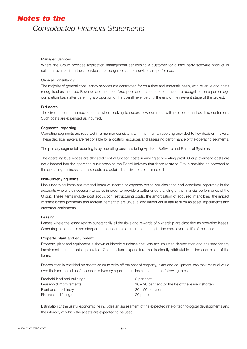### Managed Services

Where the Group provides application management services to a customer for a third party software product or solution revenue from these services are recognised as the services are performed.

#### General Consultancy

The majority of general consultancy services are contracted for on a time and materials basis, with revenue and costs recognised as incurred. Revenue and costs on fixed price and shared risk contracts are recognised on a percentage completion basis after deferring a proportion of the overall revenue until the end of the relevant stage of the project.

### Bid costs

The Group incurs a number of costs when seeking to secure new contracts with prospects and existing customers. Such costs are expensed as incurred.

### Segmental reporting

Operating segments are reported in a manner consistent with the internal reporting provided to key decision makers. These decision makers are responsible for allocating resources and assessing performance of the operating segments.

The primary segmental reporting is by operating business being Aptitude Software and Financial Systems.

The operating businesses are allocated central function costs in arriving at operating profit. Group overhead costs are not allocated into the operating businesses as the Board believes that these relate to Group activities as opposed to the operating businesses, these costs are detailed as 'Group' costs in note 1.

## Non-underlying items

Non-underlying items are material items of income or expense which are disclosed and described separately in the accounts where it is necessary to do so in order to provide a better understanding of the financial performance of the Group. These items include post acquisition restructuring costs, the amortisation of acquired intangibles, the impact of share based payments and material items that are unusual and infrequent in nature such as asset impairments and customer settlements.

#### Leasing

Leases where the lessor retains substantially all the risks and rewards of ownership are classified as operating leases. Operating lease rentals are charged to the income statement on a straight line basis over the life of the lease.

#### Property, plant and equipment

Property, plant and equipment is shown at historic purchase cost less accumulated depreciation and adjusted for any impairment. Land is not depreciated. Costs include expenditure that is directly attributable to the acquisition of the items.

Depreciation is provided on assets so as to write off the cost of property, plant and equipment less their residual value over their estimated useful economic lives by equal annual instalments at the following rates.

| Freehold land and buildings | 2 per cent                                               |
|-----------------------------|----------------------------------------------------------|
| Leasehold improvements      | $10 - 20$ per cent (or the life of the lease if shorter) |
| Plant and machinery         | $20 - 50$ per cent                                       |
| Fixtures and fittings       | 20 per cent                                              |
|                             |                                                          |

Estimation of the useful economic life includes an assessment of the expected rate of technological developments and the intensity at which the assets are expected to be used.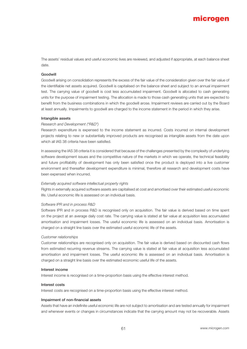The assets' residual values and useful economic lives are reviewed, and adjusted if appropriate, at each balance sheet date.

## Goodwill

Goodwill arising on consolidation represents the excess of the fair value of the consideration given over the fair value of the identifiable net assets acquired. Goodwill is capitalised on the balance sheet and subject to an annual impairment test. The carrying value of goodwill is cost less accumulated impairment. Goodwill is allocated to cash generating units for the purpose of impairment testing. The allocation is made to those cash generating units that are expected to benefit from the business combinations in which the goodwill arose. Impairment reviews are carried out by the Board at least annually. Impairments to goodwill are charged to the income statement in the period in which they arise.

#### Intangible assets

#### *Research and Development ("R&D")*

Research expenditure is expensed to the income statement as incurred. Costs incurred on internal development projects relating to new or substantially improved products are recognised as intangible assets from the date upon which all IAS 38 criteria have been satisfied.

In assessing the IAS 38 criteria it is considered that because of the challenges presented by the complexity of underlying software development issues and the competitive nature of the markets in which we operate, the technical feasibility and future profitability of development has only been satisfied once the product is deployed into a live customer environment and thereafter development expenditure is minimal, therefore all research and development costs have been expensed when incurred.

#### *Externally acquired software intellectual property rights*

Rights in externally acquired software assets are capitalised at cost and amortised over their estimated useful economic life. Useful economic life is assessed on an individual basis.

#### *Software IPR and in process R&D*

Software IPR and in process R&D is recognised only on acquisition. The fair value is derived based on time spent on the project at an average daily cost rate. The carrying value is stated at fair value at acquisition less accumulated amortisation and impairment losses. The useful economic life is assessed on an individual basis. Amortisation is charged on a straight line basis over the estimated useful economic life of the assets.

#### *Customer relationships*

Customer relationships are recognised only on acquisition. The fair value is derived based on discounted cash flows from estimated recurring revenue streams. The carrying value is stated at fair value at acquisition less accumulated amortisation and impairment losses. The useful economic life is assessed on an individual basis. Amortisation is charged on a straight line basis over the estimated economic useful life of the assets.

#### Interest income

Interest income is recognised on a time-proportion basis using the effective interest method.

#### Interest costs

Interest costs are recognised on a time-proportion basis using the effective interest method.

#### Impairment of non-financial assets

Assets that have an indefinite useful economic life are not subject to amortisation and are tested annually for impairment and whenever events or changes in circumstances indicate that the carrying amount may not be recoverable. Assets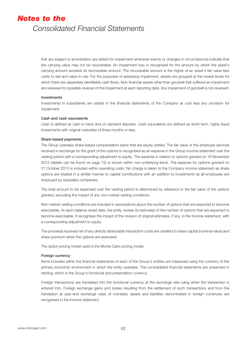that are subject to amortisation are tested for impairment whenever events or changes in circumstances indicate that the carrying value may not be recoverable. An impairment loss is recognised for the amount by which the asset's carrying amount exceeds its recoverable amount. The recoverable amount is the higher of an asset's fair value less costs to sell and value in use. For the purposes of assessing impairment, assets are grouped at the lowest levels for which there are separately identifiable cash flows. Non-financial assets other than goodwill that suffered an impairment are reviewed for possible reversal of the impairment at each reporting date. Any impairment of goodwill is not reversed.

#### Investments

Investments in subsidiaries are stated in the financial statements of the Company at cost less any provision for impairment.

#### Cash and cash equivalents

Cash is defined as cash in hand and on demand deposits. Cash equivalents are defined as short term, highly liquid investments with original maturities of three months or less.

#### Share-based payments

The Group operates share-based compensation plans that are equity settled. The fair value of the employee services received in exchange for the grant of the options is recognised as an expense in the Group income statement over the vesting period with a corresponding adjustment to equity. The expense in relation to options granted on 18 November 2013 (details can be found on page 72) is shown within non-underlying items. The expense for options granted on 21 October 2015 is included within operating costs. No charge is taken to the Company income statement as share options are treated in a similar manner to capital contributions with an addition to investments as all employees are employed by subsidiary companies.

The total amount to be expensed over the vesting period is determined by reference to the fair value of the options granted, excluding the impact of any non-market vesting conditions.

Non-market vesting conditions are included in assumptions about the number of options that are expected to become exercisable. At each balance sheet date, the entity revises its estimates of the number of options that are expected to become exercisable. It recognises the impact of the revision of original estimates, if any, in the income statement, with a corresponding adjustment to equity.

The proceeds received net of any directly attributable transaction costs are credited to share capital (nominal value) and share premium when the options are exercised.

The option pricing model used is the Monte Carlo pricing model.

#### Foreign currency

Items included within the financial statements of each of the Group's entities are measured using the currency of the primary economic environment in which the entity operates. The consolidated financial statements are presented in sterling, which is the Group's functional and presentation currency.

Foreign transactions are translated into the functional currency at the exchange rate ruling when the transaction is entered into. Foreign exchange gains and losses resulting from the settlement of such transactions and from the translation at year-end exchange rates of monetary assets and liabilities denominated in foreign currencies are recognised in the income statement.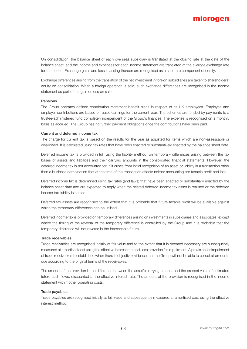On consolidation, the balance sheet of each overseas subsidiary is translated at the closing rate at the date of the balance sheet, and the income and expenses for each income statement are translated at the average exchange rate for the period. Exchange gains and losses arising thereon are recognised as a separate component of equity.

Exchange differences arising from the translation of the net investment in foreign subsidiaries are taken to shareholders' equity on consolidation. When a foreign operation is sold, such exchange differences are recognised in the income statement as part of the gain or loss on sale.

#### Pensions

The Group operates defined contribution retirement benefit plans in respect of its UK employees. Employee and employer contributions are based on basic earnings for the current year. The schemes are funded by payments to a trustee-administered fund completely independent of the Group's finances. The expense is recognised on a monthly basis as accrued. The Group has no further payment obligations once the contributions have been paid.

#### Current and deferred income tax

The charge for current tax is based on the results for the year as adjusted for items which are non-assessable or disallowed. It is calculated using tax rates that have been enacted or substantively enacted by the balance sheet date.

Deferred income tax is provided in full, using the liability method, on temporary differences arising between the tax bases of assets and liabilities and their carrying amounts in the consolidated financial statements. However, the deferred income tax is not accounted for, if it arises from initial recognition of an asset or liability in a transaction other than a business combination that at the time of the transaction affects neither accounting nor taxable profit and loss.

Deferred income tax is determined using tax rates (and laws) that have been enacted or substantially enacted by the balance sheet date and are expected to apply when the related deferred income tax asset is realised or the deferred income tax liability is settled.

Deferred tax assets are recognised to the extent that it is probable that future taxable profit will be available against which the temporary differences can be utilised.

Deferred income tax is provided on temporary differences arising on investments in subsidiaries and associates, except where the timing of the reversal of the temporary difference is controlled by the Group and it is probable that the temporary difference will not reverse in the foreseeable future.

#### Trade receivables

Trade receivables are recognised initially at fair value and to the extent that it is deemed necessary are subsequently measured at amortised cost using the effective interest method, less provision for impairment. A provision for impairment of trade receivables is established when there is objective evidence that the Group will not be able to collect all amounts due according to the original terms of the receivables.

The amount of the provision is the difference between the asset's carrying amount and the present value of estimated future cash flows, discounted at the effective interest rate. The amount of the provision is recognised in the income statement within other operating costs.

#### Trade payables

Trade payables are recognised initially at fair value and subsequently measured at amortised cost using the effective interest method.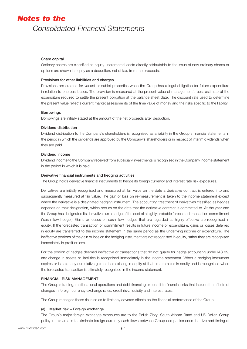#### Share capital

Ordinary shares are classified as equity. Incremental costs directly attributable to the issue of new ordinary shares or options are shown in equity as a deduction, net of tax, from the proceeds.

#### Provisions for other liabilities and charges

Provisions are created for vacant or sublet properties when the Group has a legal obligation for future expenditure in relation to onerous leases. The provision is measured at the present value of management's best estimate of the expenditure required to settle the present obligation at the balance sheet date. The discount rate used to determine the present value reflects current market assessments of the time value of money and the risks specific to the liability.

#### **Borrowings**

Borrowings are initially stated at the amount of the net proceeds after deduction.

#### Dividend distribution

Dividend distribution to the Company's shareholders is recognised as a liability in the Group's financial statements in the period in which the dividends are approved by the Company's shareholders or in respect of interim dividends when they are paid.

#### Dividend income

Dividend income to the Company received from subsidiary investments is recognised in the Company income statement in the period in which it is paid.

#### Derivative financial instruments and hedging activities

The Group holds derivative financial instruments to hedge its foreign currency and interest rate risk exposures.

Derivatives are initially recognised and measured at fair value on the date a derivative contract is entered into and subsequently measured at fair value. The gain or loss on re-measurement is taken to the income statement except where the derivative is a designated hedging instrument. The accounting treatment of derivatives classified as hedges depends on their designation, which occurs on the date that the derivative contract is committed to. At the year-end the Group has designated its derivatives as a hedge of the cost of a highly probable forecasted transaction commitment ('cash flow hedge'). Gains or losses on cash flow hedges that are regarded as highly effective are recognised in equity. If the forecasted transaction or commitment results in future income or expenditure, gains or losses deferred in equity are transferred to the income statement in the same period as the underlying income or expenditure. The ineffective portions of the gain or loss on the hedging instrument are not recognised in equity, rather they are recognised immediately in profit or loss.

For the portion of hedges deemed ineffective or transactions that do not qualify for hedge accounting under IAS 39, any change in assets or liabilities is recognised immediately in the income statement. When a hedging instrument expires or is sold, any cumulative gain or loss existing in equity at that time remains in equity and is recognised when the forecasted transaction is ultimately recognised in the income statement.

### FINANCIAL RISK MANAGEMENT

The Group's trading, multi-national operations and debt financing expose it to financial risks that include the effects of changes in foreign currency exchange rates, credit risk, liquidity and interest rates.

The Group manages these risks so as to limit any adverse effects on the financial performance of the Group.

#### (a) Market risk – Foreign exchange

The Group's major foreign exchange exposures are to the Polish Zloty, South African Rand and US Dollar. Group policy in this area is to eliminate foreign currency cash flows between Group companies once the size and timing of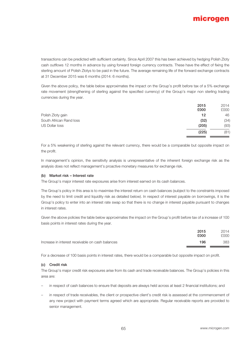transactions can be predicted with sufficient certainty. Since April 2007 this has been achieved by hedging Polish Zloty cash outflows 12 months in advance by using forward foreign currency contracts. These have the effect of fixing the sterling amount of Polish Zlotys to be paid in the future. The average remaining life of the forward exchange contracts at 31 December 2015 was 6 months (2014: 6 months).

Given the above policy, the table below approximates the impact on the Group's profit before tax of a 5% exchange rate movement (strengthening of sterling against the specified currency) of the Group's major non sterling trading currencies during the year.

|                         | 2015  | 2014 |
|-------------------------|-------|------|
|                         | £000  | £000 |
| Polish Zloty gain       | 12    | 46   |
| South African Rand loss | (32)  | (34) |
| US Dollar loss          | (205) | (93) |
|                         | (225) | (81) |

For a 5% weakening of sterling against the relevant currency, there would be a comparable but opposite impact on the profit.

In management's opinion, the sensitivity analysis is unrepresentative of the inherent foreign exchange risk as the analysis does not reflect management's proactive monetary measures for exchange risk.

## (b) Market risk – Interest rate

The Group's major interest rate exposures arise from interest earned on its cash balances.

The Group's policy in this area is to maximise the interest return on cash balances (subject to the constraints imposed by the need to limit credit and liquidity risk as detailed below). In respect of interest payable on borrowings, it is the Group's policy to enter into an interest rate swap so that there is no change in interest payable pursuant to changes in interest rates.

Given the above policies the table below approximates the impact on the Group's profit before tax of a increase of 100 basis points in interest rates during the year.

|                                                  | 2015<br>£000 | 2014<br>£000 |
|--------------------------------------------------|--------------|--------------|
| Increase in interest receivable on cash balances | 196          | 383          |

For a decrease of 100 basis points in interest rates, there would be a comparable but opposite impact on profit.

## (c) Credit risk

The Group's major credit risk exposures arise from its cash and trade receivable balances. The Group's policies in this area are:

- in respect of cash balances to ensure that deposits are always held across at least 2 financial institutions; and
- in respect of trade receivables, the client or prospective client's credit risk is assessed at the commencement of any new project with payment terms agreed which are appropriate. Regular receivable reports are provided to senior management.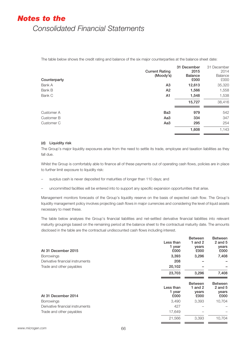The table below shows the credit rating and balance of the six major counterparties at the balance sheet date:

| Counterparty | <b>Current Rating</b><br>(Moody's) | 31 December<br>2015<br><b>Balance</b><br>£000 | 31 December<br>2014<br>Balance<br>£000 |
|--------------|------------------------------------|-----------------------------------------------|----------------------------------------|
| Bank A       | A <sub>3</sub>                     | 12,613                                        | 35,320                                 |
| Bank B       | A <sub>2</sub>                     | 1,566                                         | 1,558                                  |
| Bank C       | A <sub>1</sub>                     | 1,548                                         | 1,538                                  |
|              |                                    | 15,727                                        | 38,416                                 |
| Customer A   | Ba <sub>3</sub>                    | 979                                           | 542                                    |
| Customer B   | Aa <sub>3</sub>                    | 334                                           | 347                                    |
| Customer C   | Aa <sub>3</sub>                    | 295                                           | 254                                    |
|              |                                    | 1,608                                         | 1,143                                  |

### (d) Liquidity risk

The Group's major liquidity exposures arise from the need to settle its trade, employee and taxation liabilities as they fall due.

Whilst the Group is comfortably able to finance all of these payments out of operating cash flows, policies are in place to further limit exposure to liquidity risk:

- surplus cash is never deposited for maturities of longer than 110 days; and
- uncommitted facilities will be entered into to support any specific expansion opportunities that arise.

Management monitors forecasts of the Group's liquidity reserve on the basis of expected cash flow. The Group's liquidity management policy involves projecting cash flows in major currencies and considering the level of liquid assets necessary to meet these.

The table below analyses the Group's financial liabilities and net-settled derivative financial liabilities into relevant maturity groupings based on the remaining period at the balance sheet to the contractual maturity date. The amounts disclosed in the table are the contractual undiscounted cash flows including interest.

|                                  |                | <b>Between</b> | <b>Between</b> |
|----------------------------------|----------------|----------------|----------------|
|                                  | Less than      | 1 and 2        | $2$ and $5$    |
|                                  | 1 year         | years          | years          |
| At 31 December 2015              | £000           | £000           | £000           |
| <b>Borrowings</b>                | 3,393          | 3,296          | 7,408          |
| Derivative financial instruments | 208            |                |                |
| Trade and other payables         | 20,102         |                |                |
|                                  | 23,703         | 3,296          | 7,408          |
|                                  |                | <b>Between</b> | <b>Between</b> |
|                                  | Less than      | 1 and $2$      | 2 and $5$      |
| At 31 December 2014              | 1 year<br>£000 | years<br>£000  | years<br>£000  |
| <b>Borrowings</b>                | 3,490          | 3,393          | 10,704         |
| Derivative financial instruments | 427            |                |                |
| Trade and other payables         | 17,649         |                |                |
|                                  | 21,566         | 3,393          | 10,704         |

- 1

 $=$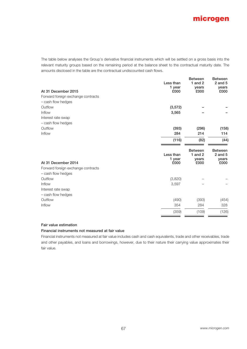The table below analyses the Group's derivative financial instruments which will be settled on a gross basis into the relevant maturity groups based on the remaining period at the balance sheet to the contractual maturity date. The amounts disclosed in the table are the contractual undiscounted cash flows.

| At 31 December 2015<br>Forward foreign exchange contracts<br>- cash flow hedges | Less than<br>1 year<br>£000 | <b>Between</b><br>1 and $2$<br>vears<br>£000 | <b>Between</b><br>2 and $5$<br>vears<br>£000 |
|---------------------------------------------------------------------------------|-----------------------------|----------------------------------------------|----------------------------------------------|
| Outflow                                                                         | (3, 572)                    |                                              |                                              |
| Inflow                                                                          | 3,565                       |                                              |                                              |
| Interest rate swap<br>- cash flow hedges                                        |                             |                                              |                                              |
| Outflow                                                                         | (393)                       | (296)                                        | (158)                                        |
| Inflow                                                                          | 284                         | 214                                          | 114                                          |
|                                                                                 | (116)                       | (82)                                         | (44)                                         |
| At 31 December 2014<br>Forward foreign exchange contracts                       | Less than<br>1 year<br>£000 | <b>Between</b><br>1 and $2$<br>years<br>£000 | <b>Between</b><br>2 and $5$<br>years<br>£000 |
| - cash flow hedges                                                              |                             |                                              |                                              |
| Outflow                                                                         | (3,820)                     |                                              |                                              |
| Inflow                                                                          |                             |                                              |                                              |
|                                                                                 | 3,597                       |                                              |                                              |
| Interest rate swap                                                              |                             |                                              |                                              |
| - cash flow hedges                                                              |                             |                                              |                                              |
| Outflow                                                                         | (490)                       | (393)                                        | (454)                                        |
| Inflow                                                                          | 354<br>(359)                | 284<br>(109)                                 | 328<br>(126)                                 |

# Fair value estimation

# Financial instruments not measured at fair value

Financial instruments not measured at fair value includes cash and cash equivalents, trade and other receivables, trade and other payables, and loans and borrowings, however, due to their nature their carrying value approximates their fair value.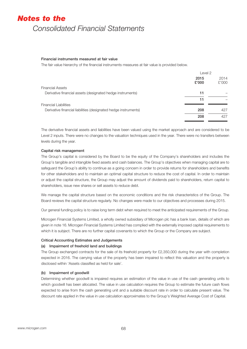#### Financial instruments measured at fair value

The fair value hierarchy of the financial instruments measures at fair value is provided below.

| Level 2       |               |
|---------------|---------------|
| 2015<br>£'000 | 2014<br>£'000 |
|               |               |
| 11            |               |
| 11            |               |
|               |               |
| 208           | 427           |
| 208           | 427           |
|               |               |

The derivative financial assets and liabilities have been valued using the market approach and are considered to be Level 2 inputs. There were no changes to the valuation techniques used in the year. There were no transfers between levels during the year.

### Capital risk management

The Group's capital is considered by the Board to be the equity of the Company's shareholders and includes the Group's tangible and intangible fixed assets and cash balances. The Group's objectives when managing capital are to safeguard the Group's ability to continue as a going concern in order to provide returns for shareholders and benefits for other stakeholders and to maintain an optimal capital structure to reduce the cost of capital. In order to maintain or adjust the capital structure, the Group may adjust the amount of dividends paid to shareholders, return capital to shareholders, issue new shares or sell assets to reduce debt.

We manage the capital structure based on the economic conditions and the risk characteristics of the Group. The Board reviews the capital structure regularly. No changes were made to our objectives and processes during 2015.

Our general funding policy is to raise long term debt when required to meet the anticipated requirements of the Group.

Microgen Financial Systems Limited, a wholly owned subsidiary of Microgen plc has a bank loan, details of which are given in note 16. Microgen Financial Systems Limited has complied with the externally imposed capital requirements to which it is subject. There are no further capital covenants to which the Group or the Company are subject.

## Critical Accounting Estimates and Judgements

### (a) Impairment of freehold land and buildings

The Group exchanged contracts for the sale of its freehold property for £2,350,000 during the year with completion expected in 2016. The carrying value of the property has been impaired to reflect this valuation and the property is disclosed within 'Assets classified as held for sale'.

## (b) Impairment of goodwill

Determining whether goodwill is impaired requires an estimation of the value in use of the cash generating units to which goodwill has been allocated. The value in use calculation requires the Group to estimate the future cash flows expected to arise from the cash generating unit and a suitable discount rate in order to calculate present value. The discount rate applied in the value in use calculation approximates to the Group's Weighted Average Cost of Capital.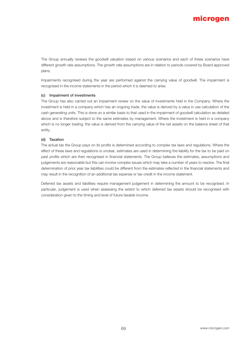The Group annually reviews the goodwill valuation based on various scenarios and each of these scenarios have different growth rate assumptions. The growth rate assumptions are in relation to periods covered by Board approved plans.

Impairments recognised during the year are performed against the carrying value of goodwill. The impairment is recognised in the income statements in the period which it is deemed to arise.

### (c) Impairment of investments

The Group has also carried out an impairment review on the value of investments held in the Company. Where the investment is held in a company which has an ongoing trade, the value is derived by a value in use calculation of the cash generating units. This is done on a similar basis to that used in the impairment of goodwill calculation as detailed above and is therefore subject to the same estimates by management. Where the investment is held in a company which is no longer trading, the value is derived from the carrying value of the net assets on the balance sheet of that entity.

#### (d) Taxation

The actual tax the Group pays on its profits is determined according to complex tax laws and regulations. Where the effect of these laws and regulations is unclear, estimates are used in determining the liability for the tax to be paid on past profits which are then recognised in financial statements. The Group believes the estimates, assumptions and judgements are reasonable but this can involve complex issues which may take a number of years to resolve. The final determination of prior year tax liabilities could be different from the estimates reflected in the financial statements and may result in the recognition of an additional tax expense or tax credit in the income statement.

Deferred tax assets and liabilities require management judgement in determining the amount to be recognised. In particular, judgement is used when assessing the extent to which deferred tax assets should be recognised with consideration given to the timing and level of future taxable income.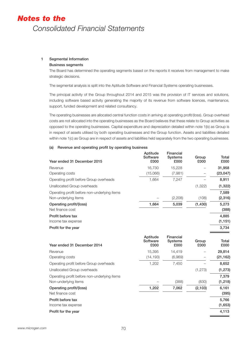## 1 Segmental Information

## Business segments

The Board has determined the operating segments based on the reports it receives from management to make strategic decisions.

The segmental analysis is split into the Aptitude Software and Financial Systems operating businesses.

The principal activity of the Group throughout 2014 and 2015 was the provision of IT services and solutions, including software based activity generating the majority of its revenue from software licences, maintenance, support, funded development and related consultancy.

The operating businesses are allocated central function costs in arriving at operating profit/(loss). Group overhead costs are not allocated into the operating businesses as the Board believes that these relate to Group activities as opposed to the operating businesses. Capital expenditure and depreciation detailed within note 1(b) as Group is in respect of assets utilised by both operating businesses and the Group function. Assets and liabilities detailed within note 1(c) as Group are in respect of assets and liabilities held separately from the two operating businesses.

| 15,228<br>16,730<br>31,958<br>Revenue<br>(15,066)<br>(7,981)<br>(23, 047)<br>Operating costs<br>1,664<br>7,247<br>8,911<br>Operating profit before Group overheads<br>(1, 322)<br>(1, 322)<br>Unallocated Group overheads<br>7,589<br>Operating profit before non-underlying items<br>(2,208)<br>Non-underlying items<br>(108)<br>(2, 316)<br>1,664<br>5,039<br>(1, 430)<br>5,273<br>Operating profit/(loss)<br>Net finance cost<br>(388)<br>Profit before tax<br>4,885<br>(1, 151)<br>Income tax expense<br>Profit for the year<br>3,734<br>Financial<br>Aptitude<br>Software<br>Group<br>Total<br><b>Systems</b><br>£000<br>£000<br>£000<br>£000<br>Year ended 31 December 2014<br>15,395<br>14,419<br>29,814<br>Revenue<br>(14, 193)<br>(6,969)<br>(21, 162)<br>Operating costs<br>1,202<br>7,450<br>8,652<br>Operating profit before Group overheads<br>(1, 273)<br>(1, 273)<br>Unallocated Group overheads<br>7,379<br>Operating profit before non-underlying items<br>(388)<br>Non-underlying items<br>(830)<br>(1, 218)<br>1,202<br>7,062<br>(2, 103)<br>6,161<br>Operating profit/(loss)<br>Net finance cost<br>(395)<br>Profit before tax<br>5,766<br>(1,653)<br>Income tax expense<br>4,113<br>Profit for the year | Year ended 31 December 2015 | Aptitude<br>Software<br>£000 | Financial<br><b>Systems</b><br>£000 | Group<br>£000 | Total<br>£000 |
|------------------------------------------------------------------------------------------------------------------------------------------------------------------------------------------------------------------------------------------------------------------------------------------------------------------------------------------------------------------------------------------------------------------------------------------------------------------------------------------------------------------------------------------------------------------------------------------------------------------------------------------------------------------------------------------------------------------------------------------------------------------------------------------------------------------------------------------------------------------------------------------------------------------------------------------------------------------------------------------------------------------------------------------------------------------------------------------------------------------------------------------------------------------------------------------------------------------------------|-----------------------------|------------------------------|-------------------------------------|---------------|---------------|
|                                                                                                                                                                                                                                                                                                                                                                                                                                                                                                                                                                                                                                                                                                                                                                                                                                                                                                                                                                                                                                                                                                                                                                                                                              |                             |                              |                                     |               |               |
|                                                                                                                                                                                                                                                                                                                                                                                                                                                                                                                                                                                                                                                                                                                                                                                                                                                                                                                                                                                                                                                                                                                                                                                                                              |                             |                              |                                     |               |               |
|                                                                                                                                                                                                                                                                                                                                                                                                                                                                                                                                                                                                                                                                                                                                                                                                                                                                                                                                                                                                                                                                                                                                                                                                                              |                             |                              |                                     |               |               |
|                                                                                                                                                                                                                                                                                                                                                                                                                                                                                                                                                                                                                                                                                                                                                                                                                                                                                                                                                                                                                                                                                                                                                                                                                              |                             |                              |                                     |               |               |
|                                                                                                                                                                                                                                                                                                                                                                                                                                                                                                                                                                                                                                                                                                                                                                                                                                                                                                                                                                                                                                                                                                                                                                                                                              |                             |                              |                                     |               |               |
|                                                                                                                                                                                                                                                                                                                                                                                                                                                                                                                                                                                                                                                                                                                                                                                                                                                                                                                                                                                                                                                                                                                                                                                                                              |                             |                              |                                     |               |               |
|                                                                                                                                                                                                                                                                                                                                                                                                                                                                                                                                                                                                                                                                                                                                                                                                                                                                                                                                                                                                                                                                                                                                                                                                                              |                             |                              |                                     |               |               |
|                                                                                                                                                                                                                                                                                                                                                                                                                                                                                                                                                                                                                                                                                                                                                                                                                                                                                                                                                                                                                                                                                                                                                                                                                              |                             |                              |                                     |               |               |
|                                                                                                                                                                                                                                                                                                                                                                                                                                                                                                                                                                                                                                                                                                                                                                                                                                                                                                                                                                                                                                                                                                                                                                                                                              |                             |                              |                                     |               |               |
|                                                                                                                                                                                                                                                                                                                                                                                                                                                                                                                                                                                                                                                                                                                                                                                                                                                                                                                                                                                                                                                                                                                                                                                                                              |                             |                              |                                     |               |               |
|                                                                                                                                                                                                                                                                                                                                                                                                                                                                                                                                                                                                                                                                                                                                                                                                                                                                                                                                                                                                                                                                                                                                                                                                                              |                             |                              |                                     |               |               |
|                                                                                                                                                                                                                                                                                                                                                                                                                                                                                                                                                                                                                                                                                                                                                                                                                                                                                                                                                                                                                                                                                                                                                                                                                              |                             |                              |                                     |               |               |
|                                                                                                                                                                                                                                                                                                                                                                                                                                                                                                                                                                                                                                                                                                                                                                                                                                                                                                                                                                                                                                                                                                                                                                                                                              |                             |                              |                                     |               |               |
|                                                                                                                                                                                                                                                                                                                                                                                                                                                                                                                                                                                                                                                                                                                                                                                                                                                                                                                                                                                                                                                                                                                                                                                                                              |                             |                              |                                     |               |               |
|                                                                                                                                                                                                                                                                                                                                                                                                                                                                                                                                                                                                                                                                                                                                                                                                                                                                                                                                                                                                                                                                                                                                                                                                                              |                             |                              |                                     |               |               |
|                                                                                                                                                                                                                                                                                                                                                                                                                                                                                                                                                                                                                                                                                                                                                                                                                                                                                                                                                                                                                                                                                                                                                                                                                              |                             |                              |                                     |               |               |
|                                                                                                                                                                                                                                                                                                                                                                                                                                                                                                                                                                                                                                                                                                                                                                                                                                                                                                                                                                                                                                                                                                                                                                                                                              |                             |                              |                                     |               |               |
|                                                                                                                                                                                                                                                                                                                                                                                                                                                                                                                                                                                                                                                                                                                                                                                                                                                                                                                                                                                                                                                                                                                                                                                                                              |                             |                              |                                     |               |               |
|                                                                                                                                                                                                                                                                                                                                                                                                                                                                                                                                                                                                                                                                                                                                                                                                                                                                                                                                                                                                                                                                                                                                                                                                                              |                             |                              |                                     |               |               |

# (a) Revenue and operating profit by operating business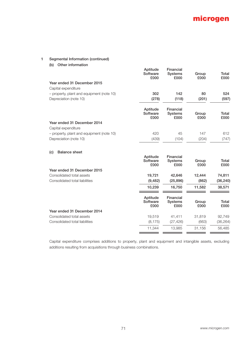### 1 Segmental Information (continued)

(b) Other information

|                                           | Aptitude<br>Software<br>£000 | Financial<br><b>Systems</b><br>£000 | Group<br>£000 | Total<br>£000 |
|-------------------------------------------|------------------------------|-------------------------------------|---------------|---------------|
| Year ended 31 December 2015               |                              |                                     |               |               |
| Capital expenditure                       |                              |                                     |               |               |
| - property, plant and equipment (note 10) | 302                          | 142                                 | 80            | 524           |
| Depreciation (note 10)                    | (278)                        | (118)                               | (201)         | (597)         |
|                                           | Aptitude<br>Software<br>£000 | Financial<br><b>Systems</b><br>£000 | Group<br>£000 | Total<br>£000 |
| Year ended 31 December 2014               |                              |                                     |               |               |
| Capital expenditure                       |                              |                                     |               |               |
| - property, plant and equipment (note 10) | 420                          | 45                                  | 147           | 612           |
| Depreciation (note 10)                    | (439)                        | (104)                               | (204)         | (747)         |
| <b>Balance sheet</b><br>(c)               |                              |                                     |               |               |
|                                           | Aptitude<br>Software<br>£000 | Financial<br><b>Systems</b><br>£000 | Group<br>£000 | Total<br>£000 |
| Year ended 31 December 2015               |                              |                                     |               |               |
| Consolidated total assets                 | 19,721                       | 42,646                              | 12,444        | 74,811        |
| Consolidated total liabilities            | (9, 482)                     | (25, 896)                           | (862)         | (36, 240)     |
|                                           | 10,239                       | 16,750                              | 11,582        | 38,571        |
|                                           | Aptitude<br>Software<br>£000 | Financial<br><b>Systems</b><br>£000 | Group<br>£000 | Total<br>£000 |
| Year ended 31 December 2014               |                              |                                     |               |               |
| Consolidated total assets                 | 19,519                       | 41,411                              | 31,819        | 92,749        |
| Consolidated total liabilities            | (8, 175)                     | (27, 426)                           | (663)         | (36, 264)     |
|                                           | 11,344                       | 13,985                              | 31,156        | 56,485        |
|                                           |                              |                                     |               |               |

Capital expenditure comprises additions to property, plant and equipment and intangible assets, excluding additions resulting from acquisitions through business combinations.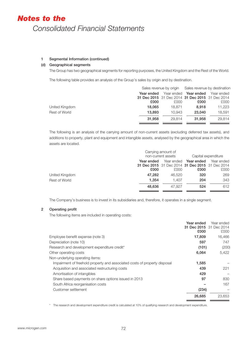#### 1 Segmental Information (continued)

#### (d) Geographical segments

The Group has two geographical segments for reporting purposes, the United Kingdom and the Rest of the World.

The following table provides an analysis of the Group's sales by origin and by destination.

|                |            |        | Sales revenue by origin Sales revenue by destination |            |
|----------------|------------|--------|------------------------------------------------------|------------|
|                | Year ended |        | Year ended Year ended                                | Year ended |
|                |            |        | 31 Dec 2015 31 Dec 2014 31 Dec 2015 31 Dec 2014      |            |
|                | £000       | £000   | £000                                                 | £000       |
| United Kingdom | 18.065     | 18.871 | 8.918                                                | 11.223     |
| Rest of World  | 13,893     | 10.943 | 23,040                                               | 18.591     |
|                | 31,958     | 29.814 | 31,958                                               | 29,814     |

The following is an analysis of the carrying amount of non-current assets (excluding deferred tax assets), and additions to property, plant and equipment and intangible assets, analysed by the geographical area in which the assets are located.

|                |                    | Carrying amount of<br>non-current assets |                                                                                  | Capital expenditure |
|----------------|--------------------|------------------------------------------|----------------------------------------------------------------------------------|---------------------|
|                | Year ended<br>£000 | £000                                     | Year ended Year ended<br>31 Dec 2015 31 Dec 2014 31 Dec 2015 31 Dec 2014<br>£000 | Year ended<br>£000  |
| United Kingdom | 47,282             | 46,520                                   | 320                                                                              | 269                 |
| Rest of World  | 1.354              | 1.407                                    | 204                                                                              | 343                 |
|                | 48,636             | 47.927                                   | 524                                                                              | 612                 |

The Company's business is to invest in its subsidiaries and, therefore, it operates in a single segment.

#### 2 Operating profit

The following items are included in operating costs:

|                                                                           | Year ended<br>31 Dec 2015 31 Dec 2014<br>£000 | Year ended<br>£000 |
|---------------------------------------------------------------------------|-----------------------------------------------|--------------------|
| Employee benefit expense (note 3)                                         | 17,809                                        | 16.466             |
| Depreciation (note 10)                                                    | 597                                           | 747                |
| Research and development expenditure credit*                              | (101)                                         | (200)              |
| Other operating costs                                                     | 6,064                                         | 5.422              |
| Non-underlying operating items:                                           |                                               |                    |
| Impairment of freehold property and associated costs of property disposal | 1,585                                         |                    |
| Acquisition and associated restructuring costs                            | 439                                           | 221                |
| Amortisation of intangibles                                               | 429                                           |                    |
| Share based payments on share options issued in 2013                      | 97                                            | 830                |
| South Africa reorganisation costs                                         |                                               | 167                |
| Customer settlement                                                       | (234)                                         |                    |
|                                                                           | 26,685                                        | 23.653             |

\* The research and development expenditure credit is calculated at 10% of qualifying research and development expenditure.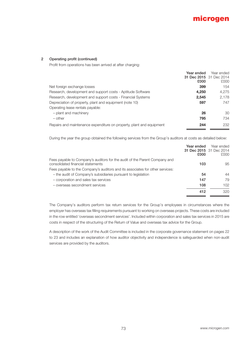#### 2 Operating profit (continued)

Profit from operations has been arrived at after charging:

|                                                                      | Year ended | Year ended                             |
|----------------------------------------------------------------------|------------|----------------------------------------|
|                                                                      | £000       | <b>31 Dec 2015</b> 31 Dec 2014<br>£000 |
| Net foreign exchange losses                                          | 399        | 154                                    |
| Research, development and support costs - Aptitude Software          | 4.250      | 4.275                                  |
| Research, development and support costs - Financial Systems          | 2,545      | 2.178                                  |
| Depreciation of property, plant and equipment (note 10)              | 597        | 747                                    |
| Operating lease rentals payable:                                     |            |                                        |
| - plant and machinery                                                | 26         | 30                                     |
| - other                                                              | 795        | 734                                    |
| Repairs and maintenance expenditure on property, plant and equipment | 244        | 232                                    |

During the year the group obtained the following services from the Group's auditors at costs as detailed below:

|                                                                                                                 | Year ended<br>£000 | Year ended<br>31 Dec 2015 31 Dec 2014<br>£000 |
|-----------------------------------------------------------------------------------------------------------------|--------------------|-----------------------------------------------|
| Fees payable to Company's auditors for the audit of the Parent Company and<br>consolidated financial statements | 103                | 95                                            |
| Fees payable to the Company's auditors and its associates for other services:                                   |                    |                                               |
| - the audit of Company's subsidiaries pursuant to legislation                                                   | 54                 | 44                                            |
| - corporation and sales tax services                                                                            | 147                | 79                                            |
| - overseas secondment services                                                                                  | 108                | 102.                                          |
|                                                                                                                 | 412                | 320                                           |

The Company's auditors perform tax return services for the Group's employees in circumstances where the employer has overseas tax filling requirements pursuant to working on overseas projects. These costs are included in the row entitled 'overseas secondment services'. Included within corporation and sales tax services in 2015 are costs in respect of the structuring of the Return of Value and overseas tax advice for the Group.

A description of the work of the Audit Committee is included in the corporate governance statement on pages 22 to 23 and includes an explanation of how auditor objectivity and independence is safeguarded when non-audit services are provided by the auditors.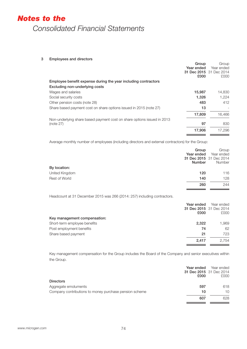#### 3 Employees and directors

|                                                                         | Group<br>Year ended<br>£000 | Group<br>Year ended<br>31 Dec 2015 31 Dec 2014<br>£000 |
|-------------------------------------------------------------------------|-----------------------------|--------------------------------------------------------|
| Employee benefit expense during the year including contractors          |                             |                                                        |
| Excluding non-underlying costs                                          |                             |                                                        |
| Wages and salaries                                                      | 15,987                      | 14,830                                                 |
| Social security costs                                                   | 1,326                       | 1,224                                                  |
| Other pension costs (note 28)                                           | 483                         | 412                                                    |
| Share based payment cost on share options issued in 2015 (note 27)      | 13                          |                                                        |
|                                                                         | 17,809                      | 16.466                                                 |
| Non-underlying share based payment cost on share options issued in 2013 |                             |                                                        |
| (note 27)                                                               | 97                          | 830                                                    |
|                                                                         | 17,906                      | 17.296                                                 |

Average monthly number of employees (including directors and external contractors) for the Group:

|                      | Group<br>Year ended<br>31 Dec 2015 31 Dec 2014<br><b>Number</b> | Group<br>Year ended<br><b>Number</b> |
|----------------------|-----------------------------------------------------------------|--------------------------------------|
| By location:         |                                                                 |                                      |
| United Kingdom       | 120                                                             | 116                                  |
| <b>Rest of World</b> | 140                                                             | 128                                  |
|                      | 260                                                             | 244                                  |

Headcount at 31 December 2015 was 266 (2014: 257) including contractors.

|                              | Year ended | Year ended              |
|------------------------------|------------|-------------------------|
|                              |            | 31 Dec 2015 31 Dec 2014 |
|                              | £000       | £000                    |
| Key management compensation: |            |                         |
| Short-term employee benefits | 2,322      | 1.969                   |
| Post employment benefits     | 74         | 62                      |
| Share based payment          | 21         | 723                     |
|                              | 2.417      | 2.754                   |

Key management compensation for the Group includes the Board of the Company and senior executives within the Group.

|                                                        | Year ended | Year ended              |
|--------------------------------------------------------|------------|-------------------------|
|                                                        |            | 31 Dec 2015 31 Dec 2014 |
|                                                        | £000       | £000                    |
| <b>Directors</b>                                       |            |                         |
| Aggregate emoluments                                   | 597        | 618                     |
| Company contributions to money purchase pension scheme | 10         | 10                      |
|                                                        | 607        | 628                     |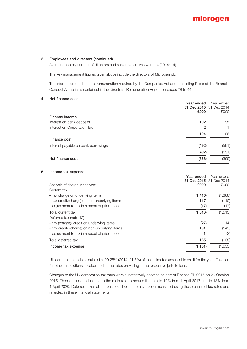#### 3 Employees and directors (continued)

Average monthly number of directors and senior executives were 14 (2014: 14).

The key management figures given above include the directors of Microgen plc.

The information on directors' remuneration required by the Companies Act and the Listing Rules of the Financial Conduct Authority is contained in the Directors' Remuneration Report on pages 28 to 44.

#### 4 Net finance cost

|   |                                     | Year ended<br>£000 | Year ended<br>31 Dec 2015 31 Dec 2014<br>£000 |
|---|-------------------------------------|--------------------|-----------------------------------------------|
|   | Finance income                      |                    |                                               |
|   | Interest on bank deposits           | 102                | 195                                           |
|   | Interest on Corporation Tax         | $\overline{2}$     |                                               |
|   |                                     | 104                | 196                                           |
|   | Finance cost                        |                    |                                               |
|   | Interest payable on bank borrowings | (492)              | (591)                                         |
|   |                                     | (492)              | (591)                                         |
|   | Net finance cost                    | (388)              | (395)                                         |
|   |                                     |                    |                                               |
| 5 | Income tax expense                  |                    |                                               |

|                                                 | Year ended | Year ended                      |
|-------------------------------------------------|------------|---------------------------------|
| Analysis of charge in the year                  | £000       | 31 Dec 2015 31 Dec 2014<br>£000 |
| Current tax:                                    |            |                                 |
| - tax charge on underlying items                | (1, 416)   | (1,388)                         |
| - tax credit/(charge) on non-underlying items   | 117        | (110)                           |
| - adjustment to tax in respect of prior periods | (17)       | (17)                            |
| Total current tax                               | (1, 316)   | (1, 515)                        |
| Deferred tax (note 12):                         |            |                                 |
| - tax (charge)/ credit on underlying items      | (27)       | 14                              |
| - tax credit/ (charge) on non-underlying items  | 191        | (149)                           |
| - adjustment to tax in respect of prior periods |            | (3)                             |
| Total deferred tax                              | 165        | (138)                           |
| Income tax expense                              | (1, 151)   | (1,653)                         |

UK corporation tax is calculated at 20.25% (2014: 21.5%) of the estimated assessable profit for the year. Taxation for other jurisdictions is calculated at the rates prevailing in the respective jurisdictions.

Changes to the UK corporation tax rates were substantively enacted as part of Finance Bill 2015 on 26 October 2015. These include reductions to the main rate to reduce the rate to 19% from 1 April 2017 and to 18% from 1 April 2020. Deferred taxes at the balance sheet date have been measured using these enacted tax rates and reflected in these financial statements.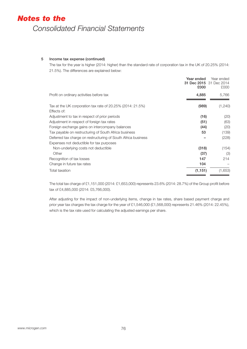#### 5 Income tax expense (continued)

The tax for the year is higher (2014: higher) than the standard rate of corporation tax in the UK of 20.25% (2014: 21.5%). The differences are explained below:

| Year ended                                                                   | £000  | Year ended<br>31 Dec 2015 31 Dec 2014<br>£000 |
|------------------------------------------------------------------------------|-------|-----------------------------------------------|
| Profit on ordinary activities before tax<br>4,885                            |       | 5,766                                         |
| Tax at the UK corporation tax rate of $20.25\%$ (2014: 21.5%)<br>Effects of: | (989) | (1,240)                                       |
| Adjustment to tax in respect of prior periods                                | (16)  | (20)                                          |
| Adjustment in respect of foreign tax rates                                   | (51)  | (63)                                          |
| Foreign exchange gains on intercompany balances                              | (44)  | (20)                                          |
| Tax payable on restructuring of South Africa business                        | 53    | (139)                                         |
| Deferred tax charge on restructuring of South Africa business                |       | (228)                                         |
| Expenses not deductible for tax purposes                                     |       |                                               |
| Non-underlying costs not deductible                                          | (318) | (154)                                         |
| Other                                                                        | (37)  | (3)                                           |
| Recognition of tax losses                                                    | 147   | 214                                           |
| Change in future tax rates                                                   | 104   |                                               |
| Total taxation<br>(1, 151)                                                   |       | (1,653)                                       |

The total tax charge of £1,151,000 (2014: £1,653,000) represents 23.6% (2014: 28.7%) of the Group profit before tax of £4,885,000 (2014: £5,766,000).

After adjusting for the impact of non-underlying items, change in tax rates, share based payment charge and prior year tax charges the tax charge for the year of £1,546,000 (£1,568,000) represents 21.46% (2014: 22.45%), which is the tax rate used for calculating the adjusted earnings per share.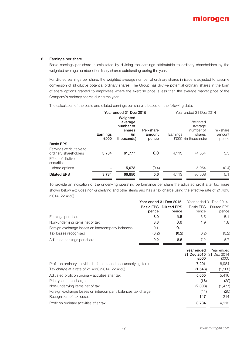#### 6 Earnings per share

Basic earnings per share is calculated by dividing the earnings attributable to ordinary shareholders by the weighted average number of ordinary shares outstanding during the year.

For diluted earnings per share, the weighted average number of ordinary shares in issue is adjusted to assume conversion of all dilutive potential ordinary shares. The Group has dilutive potential ordinary shares in the form of share options granted to employees where the exercise price is less than the average market price of the Company's ordinary shares during the year.

The calculation of the basic and diluted earnings per share is based on the following data:

|                                                   | Year ended 31 Dec 2015<br>Weighted |                                                     |                              | Year ended 31 Dec 2014 |                                                                   |                              |
|---------------------------------------------------|------------------------------------|-----------------------------------------------------|------------------------------|------------------------|-------------------------------------------------------------------|------------------------------|
|                                                   | Earnings<br>£000                   | average<br>number of<br>shares<br>(in<br>thousands) | Per-share<br>amount<br>pence | Earnings               | Weighted<br>average<br>number of<br>shares<br>£000 (in thousands) | Per-share<br>amount<br>pence |
| <b>Basic EPS</b>                                  |                                    |                                                     |                              |                        |                                                                   |                              |
| Earnings attributable to<br>ordinary shareholders | 3.734                              | 61,777                                              | 6.0                          | 4.113                  | 74.554                                                            | 5.5                          |
| Effect of dilutive<br>securities:                 |                                    |                                                     |                              |                        |                                                                   |                              |
| - share options                                   |                                    | 5,073                                               | (0.4)                        |                        | 5,954                                                             | (0.4)                        |
| <b>Diluted EPS</b>                                | 3.734                              | 66,850                                              | 5.6                          | 4.113                  | 80,508                                                            | 5.1                          |

To provide an indication of the underlying operating performance per share the adjusted profit after tax figure shown below excludes non-underlying and other items and has a tax charge using the effective rate of 21.46% (2014: 22.45%).

|                                                  | Year ended 31 Dec 2015 |                    | Year ended 31 Dec 2014 |                    |
|--------------------------------------------------|------------------------|--------------------|------------------------|--------------------|
|                                                  | <b>Basic EPS</b>       | <b>Diluted EPS</b> | Basic EPS              | <b>Diluted EPS</b> |
|                                                  | pence                  | pence              | pence                  | pence              |
| Earnings per share                               | 6.0                    | 5.6                | 5.5                    | 5.1                |
| Non-underlying items net of tax                  | 3.3                    | 3.0                | 1.9                    | 1.8                |
| Foreign exchange losses on intercompany balances | 0.1                    | 0.1                |                        |                    |
| Tax losses recognised                            | (0.2)                  | (0.2)              | (0.2)                  | (0.2)              |
| Adjusted earnings per share                      | 9.2                    | 8.5                | 7.2                    | 6.7                |

|                                                                   | Year ended<br>£000 | Year ended<br>31 Dec 2015 31 Dec 2014<br>£000 |
|-------------------------------------------------------------------|--------------------|-----------------------------------------------|
| Profit on ordinary activities before tax and non-underlying items | 7.201              | 6,984                                         |
| Tax charge at a rate of 21.46% (2014: 22.45%)                     | (1, 546)           | (1,568)                                       |
| Adjusted profit on ordinary activities after tax                  | 5,655              | 5.416                                         |
| Prior years' tax charge                                           | (16)               | (20)                                          |
| Non-underlying items net of tax                                   | (2,008)            | (1, 477)                                      |
| Foreign exchange losses on intercompany balances tax charge       | (44)               | (20)                                          |
| Recognition of tax losses                                         | 147                | 214                                           |
| Profit on ordinary activities after tax                           | 3.734              | 4,113                                         |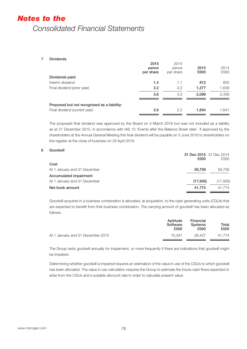#### 7 Dividends

|                                             | 2015<br>pence<br>per share | 2014<br>pence<br>per share | 2015<br>£000 | 2014<br>£000 |
|---------------------------------------------|----------------------------|----------------------------|--------------|--------------|
| Dividends paid:                             |                            |                            |              |              |
| Interim dividend                            | 1.4                        | 1.1                        | 812          | 820          |
| Final dividend (prior year)                 | 2.2                        | 2.2                        | 1.277        | 1,639        |
|                                             | 3.6                        | 3.3                        | 2.089        | 2.459        |
| Proposed but not recognised as a liability: |                            |                            |              |              |
| Final dividend (current year)               | 2.8                        | 2.2                        | 1.654        | 1,641        |
|                                             |                            |                            |              |              |

The proposed final dividend was approved by the Board on 3 March 2016 but was not included as a liability as at 31 December 2015, in accordance with IAS 10 'Events after the Balance Sheet date'. If approved by the shareholders at the Annual General Meeting this final dividend will be payable on 3 June 2016 to shareholders on the register at the close of business on 29 April 2016.

#### 8 Goodwill

|                              | £000      | 31 Dec 2015 31 Dec 2014<br>£000 |
|------------------------------|-----------|---------------------------------|
| Cost                         |           |                                 |
| At 1 January and 31 December | 59.709    | 59.709                          |
| Accumulated impairment       |           |                                 |
| At 1 January and 31 December | (17, 935) | (17, 935)                       |
| Net book amount              | 41.774    | 41.774                          |

Goodwill acquired in a business combination is allocated, at acquisition, to the cash generating units (CGUs) that are expected to benefit from that business combination. The carrying amount of goodwill has been allocated as follows:

|                                   | Aptitude<br>Software<br>£000 | Financial<br>Systems<br>£000 | Total<br>£000 |
|-----------------------------------|------------------------------|------------------------------|---------------|
| At 1 January and 31 December 2015 | 15.347                       | 26.427                       | 41.774        |

The Group tests goodwill annually for impairment, or more frequently if there are indications that goodwill might be impaired.

Determining whether goodwill is impaired requires an estimation of the value in use of the CGUs to which goodwill has been allocated. The value in use calculation requires the Group to estimate the future cash flows expected to arise from the CGUs and a suitable discount rate in order to calculate present value.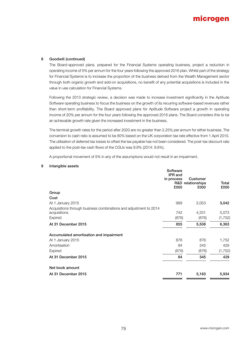#### 8 Goodwill (continued)

The Board-approved plans, prepared for the Financial Systems operating business, project a reduction in operating income of 5% per annum for the four years following the approved 2016 plan. Whilst part of the strategy for Financial Systems is to increase the proportion of the business derived from the Wealth Management sector through both organic growth and add-on acquisitions, no benefit of any potential acquisitions is included in the value in use calculation for Financial Systems.

Following the 2013 strategic review, a decision was made to increase investment significantly in the Aptitude Software operating business to focus the business on the growth of its recurring software-based revenues rather than short-term profitability. The Board approved plans for Aptitude Software project a growth in operating income of 20% per annum for the four years following the approved 2016 plans. The Board considers this to be an achievable growth rate given the increased investment in the business.

The terminal growth rates for the period after 2020 are no greater than 2.25% per annum for either business. The conversion to cash ratio is assumed to be 80% based on the UK corporation tax rate effective from 1 April 2015. The utilisation of deferred tax losses to offset the tax payable has not been considered. The post-tax discount rate applied to the post-tax cash flows of the CGUs was 9.8% (2014: 9.8%).

A proportional movement of 5% in any of the assumptions would not result in an impairment.

|                                                                                   | Software<br><b>IPR</b> and<br>in process<br>£000 | Customer<br>R&D relationships<br>£000 | Total<br>£000 |
|-----------------------------------------------------------------------------------|--------------------------------------------------|---------------------------------------|---------------|
| Group                                                                             |                                                  |                                       |               |
| Cost                                                                              |                                                  |                                       |               |
| At 1 January 2015                                                                 | 989                                              | 2,053                                 | 3,042         |
| Acquisitions through business combinations and adjustment to 2014<br>acquisitions | 742                                              | 4,331                                 | 5,073         |
| <b>Expired</b>                                                                    | (876)                                            | (876)                                 | (1, 752)      |
| At 31 December 2015                                                               | 855                                              | 5,508                                 | 6,363         |
| Accumulated amortisation and impairment                                           |                                                  |                                       |               |
| At 1 January 2015                                                                 | 876                                              | 876                                   | 1,752         |
| Amortisation                                                                      | 84                                               | 345                                   | 429           |
| <b>Expired</b>                                                                    | (876)                                            | (876)                                 | (1,752)       |
| At 31 December 2015                                                               | 84                                               | 345                                   | 429           |
| Net book amount                                                                   |                                                  |                                       |               |
| At 31 December 2015                                                               | 771                                              | 5,163                                 | 5,934         |

#### 9 Intangible assets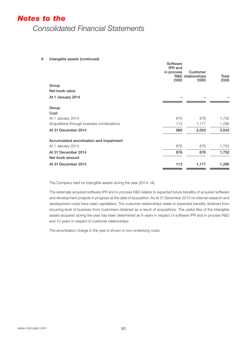#### 9 Intangible assets (continued)

|                                            | Software<br>IPR and<br>in process<br>£000 | Customer<br>R&D relationships<br>£000 | Total<br>£000 |
|--------------------------------------------|-------------------------------------------|---------------------------------------|---------------|
| Group                                      |                                           |                                       |               |
| Net book value                             |                                           |                                       |               |
| At 1 January 2014                          |                                           |                                       |               |
| Group                                      |                                           |                                       |               |
| Cost                                       |                                           |                                       |               |
| At 1 January 2014                          | 876                                       | 876                                   | 1,752         |
| Acquisitions through business combinations | 113                                       | 1,177                                 | 1,290         |
| At 31 December 2014                        | 989                                       | 2,053                                 | 3,042         |
| Accumulated amortisation and impairment    |                                           |                                       |               |
| At 1 January 2014                          | 876                                       | 876                                   | 1,752         |
| At 31 December 2014                        | 876                                       | 876                                   | 1,752         |
| Net book amount                            |                                           |                                       |               |
| At 31 December 2014                        | 113                                       | 1,177                                 | 1,290         |
|                                            |                                           |                                       |               |

The Company held no intangible assets during the year (2014: nil).

The externally acquired software IPR and in process R&D relates to expected future benefits of acquired software and development projects in progress at the date of acquisition. As at 31 December 2015 no internal research and development costs have been capitalised. The customer relationships relate to expected benefits obtained from recurring level of business from customers obtained as a result of acquisitions. The useful lifes of the intangible assets acquired during the year has been determined as 6 years in respect of software IPR and in process R&D and 10 years in respect of customer relationships.

The amortisation charge in the year is shown in non-underlying costs.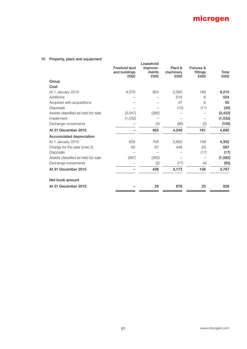### 10 Property, plant and equipment

|                                    | Freehold land<br>and buildings<br>£000 | Leasehold<br>improve-<br>ments<br>£000 | Plant &<br>machinery<br>£000 | Fixtures &<br>fittings<br>£000 | Total<br>£000 |
|------------------------------------|----------------------------------------|----------------------------------------|------------------------------|--------------------------------|---------------|
| Group                              |                                        |                                        |                              |                                |               |
| Cost                               |                                        |                                        |                              |                                |               |
| At 1 January 2015                  | 4,579                                  | 854                                    | 3,593                        | 189                            | 9,215         |
| Additions                          |                                        |                                        | 518                          | 6                              | 524           |
| Acquired with acquisitions         |                                        |                                        | 47                           | 8                              | 55            |
| <b>Disposals</b>                   |                                        |                                        | (13)                         | (17)                           | (30)          |
| Assets classified as held for sale | (3,047)                                | (385)                                  |                              |                                | (3, 432)      |
| Impairment                         | (1, 532)                               |                                        |                              |                                | (1, 532)      |
| Exchange movements                 |                                        | (4)                                    | (96)                         | (5)                            | (105)         |
| At 31 December 2015                |                                        | 465                                    | 4,049                        | 181                            | 4,695         |
| Accumulated depreciation           |                                        |                                        |                              |                                |               |
| At 1 January 2015                  | 635                                    | 756                                    | 2,802                        | 159                            | 4,352         |
| Charge for the year (note 2)       | 62                                     | 67                                     | 448                          | 20                             | 597           |
| <b>Disposals</b>                   |                                        |                                        |                              | (17)                           | (17)          |
| Assets classified as held for sale | (697)                                  | (385)                                  |                              |                                | (1,082)       |
| Exchange movements                 |                                        | (2)                                    | (77)                         | (4)                            | (83)          |
| At 31 December 2015                |                                        | 436                                    | 3,173                        | 158                            | 3,767         |
| Net book amount                    |                                        |                                        |                              |                                |               |
| At 31 December 2015                |                                        | 29                                     | 876                          | 23                             | 928           |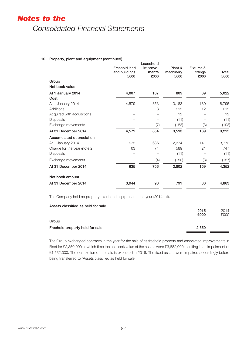#### 10 Property, plant and equipment (continued)

| r roperty, plant and equipment (committed) | <b>Freehold land</b>  | Leasehold<br>improve- | Plant &           | Fixtures &       |               |
|--------------------------------------------|-----------------------|-----------------------|-------------------|------------------|---------------|
|                                            | and buildings<br>£000 | ments<br>£000         | machinery<br>£000 | fittings<br>£000 | Total<br>£000 |
| Group                                      |                       |                       |                   |                  |               |
| Net book value                             |                       |                       |                   |                  |               |
| At 1 January 2014                          | 4,007                 | 167                   | 809               | 39               | 5,022         |
| Cost                                       |                       |                       |                   |                  |               |
| At 1 January 2014                          | 4,579                 | 853                   | 3,183             | 180              | 8,795         |
| Additions                                  |                       | 8                     | 592               | 12               | 612           |
| Acquired with acquisitions                 |                       |                       | 12                |                  | 12            |
| Disposals                                  |                       |                       | (11)              |                  | (11)          |
| Exchange movements                         |                       | (7)                   | (183)             | (3)              | (193)         |
| At 31 December 2014                        | 4,579                 | 854                   | 3,593             | 189              | 9,215         |
| Accumulated depreciation                   |                       |                       |                   |                  |               |
| At 1 January 2014                          | 572                   | 686                   | 2,374             | 141              | 3,773         |
| Charge for the year (note 2)               | 63                    | 74                    | 589               | 21               | 747           |
| Disposals                                  |                       |                       | (11)              |                  | (11)          |
| Exchange movements                         |                       | (4)                   | (150)             | (3)              | (157)         |
| At 31 December 2014                        | 635                   | 756                   | 2,802             | 159              | 4,352         |
| Net book amount                            |                       |                       |                   |                  |               |
| At 31 December 2014                        | 3,944                 | 98                    | 791               | 30               | 4,863         |

The Company held no property, plant and equipment in the year (2014: nil).

| 2015  | 2014<br>£000 |
|-------|--------------|
|       |              |
| 2,350 |              |
|       | £000         |

The Group exchanged contracts in the year for the sale of its freehold property and associated improvements in Fleet for £2,350,000 at which time the net book value of the assets were £3,882,000 resulting in an impairment of £1,532,000. The completion of the sale is expected in 2016. The fixed assets were impaired accordingly before being transferred to 'Assets classified as held for sale'.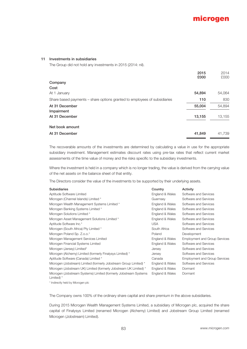#### 11 Investments in subsidiaries

The Group did not hold any investments in 2015 (2014: nil).

|                                                                           | 2015<br>£000 | 2014<br>£000 |
|---------------------------------------------------------------------------|--------------|--------------|
| Company                                                                   |              |              |
| Cost                                                                      |              |              |
| At 1 January                                                              | 54,894       | 54,064       |
| Share based payments – share options granted to employees of subsidiaries | 110          | 830          |
| At 31 December                                                            | 55,004       | 54,894       |
| Impairment                                                                |              |              |
| At 31 December                                                            | 13,155       | 13,155       |
| Net book amount                                                           |              |              |
| At 31 December                                                            | 41,849       | 41,739       |

The recoverable amounts of the investments are determined by calculating a value in use for the appropriate subsidiary investment. Management estimates discount rates using pre-tax rates that reflect current market assessments of the time value of money and the risks specific to the subsidiary investments.

Where the investment is held in a company which is no longer trading, the value is derived from the carrying value of the net assets on the balance sheet of that entity.

The Directors consider the value of the investments to be supported by their underlying assets.

| <b>Subsidiaries</b>                                                              | Country         | Activity                             |
|----------------------------------------------------------------------------------|-----------------|--------------------------------------|
| Aptitude Software Limited                                                        | England & Wales | Software and Services                |
| Microgen (Channel Islands) Limited *                                             | Guernsey        | Software and Services                |
| Microgen Wealth Management Systems Limited *                                     | England & Wales | Software and Services                |
| Microgen Banking Systems Limited *                                               | England & Wales | Software and Services                |
| Microgen Solutions Limited *                                                     | England & Wales | Software and Services                |
| Microgen Asset Management Solutions Limited *                                    | England & Wales | Software and Services                |
| Aptitude Software Inc.*                                                          | <b>USA</b>      | Software and Services                |
| Microgen (South Africa) Pty Limited *                                            | South Africa    | Software and Services                |
| Microgen Poland Sp. Z.o.o.*                                                      | Poland          | Development                          |
| Microgen Management Services Limited                                             | England & Wales | <b>Employment and Group Services</b> |
| Microgen Financial Systems Limited                                               | England & Wales | Software and Services                |
| Microgen (Jersey) Limited*                                                       | Jersey          | Software and Services                |
| Microgen (Alchemy) Limited (formerly Finalysys Limited) *                        | Jersey          | Software and Services                |
| Aptitude Software (Canada) Limited *                                             | Canada          | <b>Employment and Group Services</b> |
| Microgen (Jobstream) Limited (formerly Jobstream Group Limited) *                | England & Wales | Software and Services                |
| Microgen (Jobstream UK) Limited (formerly Jobstream UK Limited) *                | England & Wales | Dormant                              |
| Microgen (Jobstream Systems) Limited (formerly Jobstream Systems<br>Limited) $*$ | England & Wales | Dormant                              |

\* Indirectly held by Microgen plc

The Company owns 100% of the ordinary share capital and share premium in the above subsidiaries.

During 2015 Microgen Wealth Management Systems Limited, a subsidiary of Microgen plc, acquired the share capital of Finalysys Limited (renamed Microgen (Alchemy) Limited) and Jobstream Group Limited (renamed Microgen (Jobstream) Limited).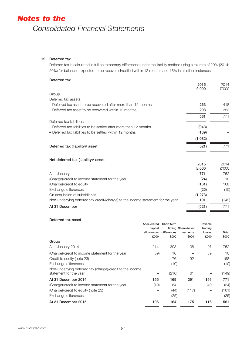#### 12 Deferred tax

Deferred tax is calculated in full on temporary differences under the liability method using a tax rate of 20% (2014: 20%) for balances expected to be recovered/settled within 12 months and 18% in all other instances.

### Deferred tax

|                                                                                  | 2015<br>£'000 | 2014<br>£'000 |
|----------------------------------------------------------------------------------|---------------|---------------|
| Group                                                                            |               |               |
| Deferred tax assets:                                                             |               |               |
| - Deferred tax asset to be recovered after more than 12 months                   | 263           | 418           |
| - Deferred tax asset to be recovered within 12 months                            | 298           | 353           |
|                                                                                  | 561           | 771           |
| Deferred tax liabilities:                                                        |               |               |
| - Deferred tax liabilities to be settled after more than 12 months               | (943)         |               |
| - Deferred tax liabilities to be settled within 12 months                        | (139)         |               |
|                                                                                  | (1,082)       |               |
| Deferred tax (liability)/ asset                                                  | (521)         | 771           |
| Net deferred tax (liability)/ asset                                              |               |               |
|                                                                                  | 2015          | 2014          |
|                                                                                  | £'000<br>771  | £'000         |
| At 1 January                                                                     |               | 752           |
| (Charge)/credit to income statement for the year                                 | (24)          | 10            |
| (Charge)/credit to equity                                                        | (161)         | 168           |
| Exchange differences                                                             | (25)          | (10)          |
| On acquisition of subsidiaries                                                   | (1, 273)      |               |
| Non-underlying deferred tax credit/(charge) to the income statement for the year | 191           | (149)         |
| At 31 December                                                                   | (521)         | 771           |

#### Deferred tax asset

|                                                                                     | Accelerated<br>capital | Short term  | timing Share-based | Taxable<br>trading |       |
|-------------------------------------------------------------------------------------|------------------------|-------------|--------------------|--------------------|-------|
|                                                                                     | allowances             | differences | payments           | losses             | Total |
|                                                                                     | £000                   | £000        | £000               | £000               | £000  |
| Group                                                                               |                        |             |                    |                    |       |
| At 1 January 2014                                                                   | 214                    | 303         | 138                | 97                 | 752   |
| (Charge)/credit to income statement for the year                                    | (59)                   | 10          |                    | 59                 | 10    |
| Credit to equity (note 23)                                                          |                        | 76          | 92                 |                    | 168   |
| Exchange differences                                                                |                        | (10)        |                    |                    | (10)  |
| Non-underlying deferred tax (charge)/credit to the income<br>statement for the year |                        | (210)       | 61                 |                    | (149) |
| At 31 December 2014                                                                 | 155                    | 169         | 291                | 156                | 771   |
| (Charge)/credit to income statement for the year                                    | (49)                   | 64          |                    | (40)               | (24)  |
| (Charge)/credit to equity (note 23)                                                 |                        | (44)        | (117)              |                    | (161) |
| Exchange differences                                                                |                        | (25)        |                    |                    | (25)  |
| At 31 December 2015                                                                 | 106                    | 164         | 175                | 116                | 561   |
|                                                                                     |                        |             |                    |                    |       |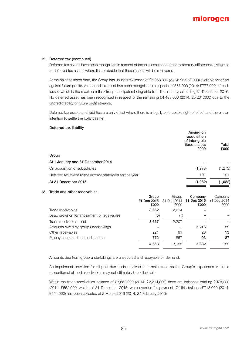#### 12 Deferred tax (continued)

Deferred tax assets have been recognised in respect of taxable losses and other temporary differences giving rise to deferred tax assets where it is probable that these assets will be recovered.

At the balance sheet date, the Group has unused tax losses of £5,058,000 (2014: £5,978,000) available for offset against future profits. A deferred tax asset has been recognised in respect of £575,000 (2014: £777,000) of such losses which is the maximum the Group anticipates being able to utilise in the year ending 31 December 2016. No deferred asset has been recognised in respect of the remaining £4,483,000 (2014: £5,201,000) due to the unpredictability of future profit streams.

Deferred tax assets and liabilities are only offset where there is a legally enforceable right of offset and there is an intention to settle the balances net.

#### Deferred tax liability

|                                                          | Arising on<br>acquisition<br>of intangible<br>fixed assets<br>£000 | Total<br>£000 |
|----------------------------------------------------------|--------------------------------------------------------------------|---------------|
| Group                                                    |                                                                    |               |
| At 1 January and 31 December 2014                        |                                                                    |               |
| On acquisition of subsidiaries                           | (1,273)                                                            | (1, 273)      |
| Deferred tax credit to the income statement for the year | 191                                                                | 191           |
| At 31 December 2015                                      | (1,082)                                                            | (1,082)       |

#### 13 Trade and other receivables

|                                               | Group       | Group | Company                             | Company |
|-----------------------------------------------|-------------|-------|-------------------------------------|---------|
|                                               | 31 Dec 2015 |       | 31 Dec 2014 31 Dec 2015 31 Dec 2014 |         |
|                                               | £000        | £000  | £000                                | £000    |
| Trade receivables                             | 3,662       | 2,214 |                                     |         |
| Less: provision for impairment of receivables | (5)         | (7)   |                                     |         |
| Trade receivables - net                       | 3,657       | 2,207 |                                     |         |
| Amounts owed by group undertakings            |             |       | 5,216                               | 22      |
| Other receivables                             | 224         | 91    | 23                                  | 13      |
| Prepayments and accrued income                | 772         | 857   | 93                                  | 87      |
|                                               | 4,653       | 3.155 | 5,332                               | 122     |
|                                               |             |       |                                     |         |

Amounts due from group undertakings are unsecured and repayable on demand.

An impairment provision for all past due trade receivables is maintained as the Group's experience is that a proportion of all such receivables may not ultimately be collectable.

Within the trade receivables balance of £3,662,000 (2014: £2,214,000) there are balances totalling £978,000 (2014: £552,000) which, at 31 December 2015, were overdue for payment. Of this balance £718,000 (2014: £544,000) has been collected at 2 March 2016 (2014: 24 February 2015).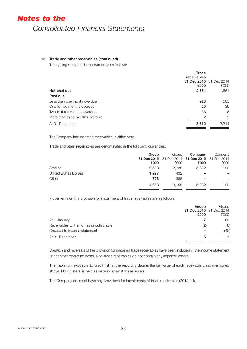#### 13 Trade and other receivables (continued)

The ageing of the trade receivables is as follows:

|                                | Trade<br>receivables |                                 |
|--------------------------------|----------------------|---------------------------------|
|                                | £000                 | 31 Dec 2015 31 Dec 2014<br>£000 |
| Not past due                   | 2,684                | 1,661                           |
| Past due                       |                      |                                 |
| Less than one month overdue    | 923                  | 505                             |
| One to two months overdue      | 20                   | 39                              |
| Two to three months overdue    | 33                   | 6                               |
| More than three months overdue | $\overline{2}$       | 3                               |
| At 31 December                 | 3,662                | 2,214                           |

The Company had no trade receivables in either year.

Trade and other receivables are denominated in the following currencies:

|                       | Group | Group | Company                                         | Company |
|-----------------------|-------|-------|-------------------------------------------------|---------|
|                       |       |       | 31 Dec 2015 31 Dec 2014 31 Dec 2015 31 Dec 2014 |         |
|                       | £000  | £000  | £000                                            | £000    |
| Sterling              | 2.598 | 2,335 | 5.332                                           | 122     |
| United States Dollars | 1.297 | 432   | -                                               |         |
| Other                 | 758   | 388   | -                                               |         |
|                       | 4.653 | 3.155 | 5.332                                           | 122     |

Movements on the provision for impairment of trade receivables are as follows:

|                                          | Group | Group                   |
|------------------------------------------|-------|-------------------------|
|                                          |       | 31 Dec 2015 31 Dec 2014 |
|                                          | £000  | £000                    |
| At 1 January                             |       | 60                      |
| Receivables written off as uncollectable | (2)   | (8)                     |
| Credited to income statement             |       | (45)                    |
| At 31 December                           | b     |                         |

Creation and reversals of the provision for impaired trade receivables have been included in the income statement under other operating costs. Non-trade receivables do not contain any impaired assets.

The maximum exposure to credit risk at the reporting date is the fair value of each receivable class mentioned above. No collateral is held as security against these assets.

The Company does not have any provisions for impairments of trade receivables (2014: nil).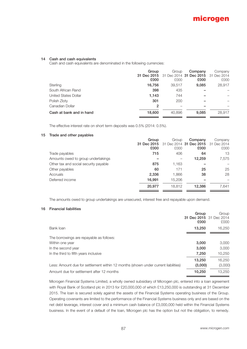#### 14 Cash and cash equivalents

Cash and cash equivalents are denominated in the following currencies:

|                          | Group       | Group  | Company                                    | Company |
|--------------------------|-------------|--------|--------------------------------------------|---------|
|                          | 31 Dec 2015 |        | 31 Dec 2014 <b>31 Dec 2015</b> 31 Dec 2014 |         |
|                          | £000        | £000   | £000                                       | £000    |
| Sterling                 | 16,756      | 39,517 | 9.085                                      | 28,917  |
| South African Rand       | 398         | 435    |                                            |         |
| United States Dollar     | 1,143       | 744    |                                            |         |
| Polish Zloty             | 301         | 200    |                                            |         |
| Canadian Dollar          | 2           |        |                                            |         |
| Cash at bank and in hand | 18,600      | 40,896 | 9.085                                      | 28,917  |

The effective interest rate on short term deposits was 0.5% (2014: 0.5%).

#### 15 Trade and other payables

|                                       | Group       | Group  | Company                                    | Company |
|---------------------------------------|-------------|--------|--------------------------------------------|---------|
|                                       | 31 Dec 2015 |        | 31 Dec 2014 <b>31 Dec 2015</b> 31 Dec 2014 |         |
|                                       | £000        | £000   | £000                                       | £000    |
| Trade payables                        | 715         | 406    | 64                                         | 13      |
| Amounts owed to group undertakings    |             |        | 12,259                                     | 7.575   |
| Other tax and social security payable | 875         | 1.163  |                                            |         |
| Other payables                        | 60          | 171    | 25                                         | 25      |
| Accruals                              | 2,336       | 1,866  | 38                                         | 28      |
| Deferred income                       | 16.991      | 15.206 | -                                          |         |
|                                       | 20,977      | 18,812 | 12,386                                     | 7,641   |

The amounts owed to group undertakings are unsecured, interest free and repayable upon demand.

#### 16 Financial liabilities

|                                                                                    | Group<br>31 Dec 2015 31 Dec 2014<br>£000 | Group<br>£000 |
|------------------------------------------------------------------------------------|------------------------------------------|---------------|
| Bank loan                                                                          | 13,250                                   | 16.250        |
| The borrowings are repayable as follows:                                           |                                          |               |
| Within one year                                                                    | 3.000                                    | 3.000         |
| In the second year                                                                 | 3,000                                    | 3.000         |
| In the third to fifth years inclusive                                              | 7,250                                    | 10,250        |
|                                                                                    | 13,250                                   | 16,250        |
| Less: Amount due for settlement within 12 months (shown under current liabilities) | (3,000)                                  | (3,000)       |
| Amount due for settlement after 12 months                                          | 10,250                                   | 13.250        |

Microgen Financial Systems Limited, a wholly owned subsidiary of Microgen plc, entered into a loan agreement with Royal Bank of Scotland plc in 2013 for £20,000,000 of which £13,250,000 is outstanding at 31 December 2015. The loan is secured solely against the assets of the Financial Systems operating business of the Group. Operating covenants are limited to the performance of the Financial Systems business only and are based on the net debt leverage, interest cover and a minimum cash balance of £3,000,000 held within the Financial Systems business. In the event of a default of the loan, Microgen plc has the option but not the obligation, to remedy.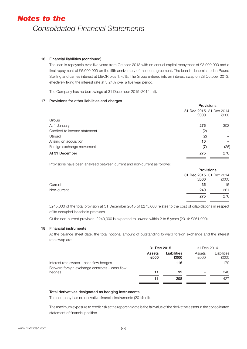#### 16 Financial liabilities (continued)

The loan is repayable over five years from October 2013 with an annual capital repayment of £3,000,000 and a final repayment of £5,000,000 on the fifth anniversary of the loan agreement. The loan is denominated in Pound Sterling and carries interest at LIBOR plus 1.75%. The Group entered into an interest swap on 28 October 2013, effectively fixing the interest rate at 3.24% over a five year period.

The Company has no borrowings at 31 December 2015 (2014: nil).

#### 17 Provisions for other liabilities and charges

| <b>Provisions</b>                   |      |
|-------------------------------------|------|
| 31 Dec 2015 31 Dec 2014             |      |
| £000                                | £000 |
| Group                               |      |
| 276<br>At 1 January                 | 302  |
| Credited to income statement<br>(2) |      |
| (2)<br>Utilised                     |      |
| 10<br>Arising on acquisition        |      |
| Foreign exchange movement<br>(7)    | (26) |
| At 31 December<br>275               | 276  |

Provisions have been analysed between current and non-current as follows:

|             |      | <b>Provisions</b>               |  |
|-------------|------|---------------------------------|--|
|             | £000 | 31 Dec 2015 31 Dec 2014<br>£000 |  |
| Current     | 35   | 15                              |  |
| Non-current | 240  | 261                             |  |
|             | 275  | 276                             |  |

£245,000 of the total provision at 31 December 2015 of £275,000 relates to the cost of dilapidations in respect of its occupied leasehold premises.

Of the non-current provision, £240,000 is expected to unwind within 2 to 5 years (2014: £261,000).

#### 18 Financial instruments

At the balance sheet date, the total notional amount of outstanding forward foreign exchange and the interest rate swap are:

| Assets<br>£000 | Liabilities<br>£000 | Assets<br>£000 | Liabilities<br>£000 |
|----------------|---------------------|----------------|---------------------|
|                | 116                 |                | 179                 |
| 11             | 92                  |                | 248                 |
| 11             | 208                 |                | 427                 |
|                |                     | 31 Dec 2015    | 31 Dec 2014         |

#### Total derivatives designated as hedging instruments

The company has no derivative financial instruments (2014: nil).

The maximum exposure to credit risk at the reporting date is the fair value of the derivative assets in the consolidated statement of financial position.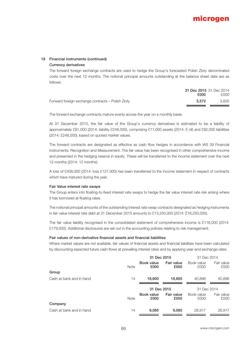### 18 Financial instruments (continued)

#### Currency derivatives

The forward foreign exchange contracts are used to hedge the Group's forecasted Polish Zloty denominated costs over the next 12 months. The notional principal amounts outstanding at the balance sheet date are as follows:

|                                                   | £000  | 31 Dec 2015 31 Dec 2014<br>£000 |
|---------------------------------------------------|-------|---------------------------------|
| Forward foreign exchange contracts - Polish Zloty | 3.572 | 3.820                           |

The forward exchange contracts mature evenly across the year on a monthly basis.

At 31 December 2015, the fair value of the Group's currency derivatives is estimated to be a liability of approximately £81,000 (2014: liability £248,000), comprising £11,000 assets (2014: £ nil) and £92,000 liabilities (2014: £248,000), based on quoted market values.

The forward contracts are designated as effective as cash flow hedges in accordance with IAS 39 Financial Instruments: Recognition and Measurement. The fair value has been recognised in other comprehensive income and presented in the hedging reserve in equity. These will be transferred to the income statement over the next 12 months (2014: 12 months).

A loss of £408,000 (2014: loss £127,000) has been transferred to the income statement in respect of contracts which have matured during the year.

#### Fair Value interest rate swaps

The Group enters into floating-to-fixed interest rate swaps to hedge the fair value interest rate risk arising where it has borrowed at floating rates.

The notional principal amounts of the outstanding interest rate swap contracts designated as hedging instruments in fair value interest rate debt at 31 December 2015 amounts to £13,250,000 (2014: £16,250,000).

The fair value liability recognised in the consolidated statement of comprehensive income is £116,000 (2014: £179,000). Additional disclosures are set out in the accounting policies relating to risk management.

#### Fair values of non-derivative financial assets and financial liabilities

Where market values are not available, fair values of financial assets and financial liabilities have been calculated by discounting expected future cash flows at prevailing interest rates and by applying year-end exchange rates.

|                          |             | 31 Dec 2015        |                    | 31 Dec 2014        |                    |
|--------------------------|-------------|--------------------|--------------------|--------------------|--------------------|
|                          | <b>Note</b> | Book value<br>£000 | Fair value<br>£000 | Book value<br>£000 | Fair value<br>£000 |
| Group                    |             |                    |                    |                    |                    |
| Cash at bank and in hand | 14          | 18,600             | 18,600             | 40,896             | 40,896             |
|                          |             | 31 Dec 2015        |                    | 31 Dec 2014        |                    |
|                          |             |                    |                    |                    |                    |
|                          | <b>Note</b> | Book value<br>£000 | Fair value<br>£000 | Book value<br>£000 | Fair value<br>£000 |
| Company                  |             |                    |                    |                    |                    |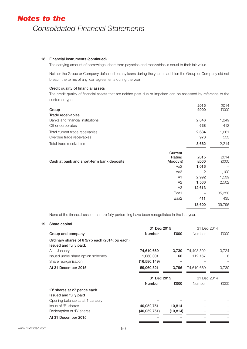#### 18 Financial instruments (continued)

The carrying amount of borrowings, short term payables and receivables is equal to their fair value.

Neither the Group or Company defaulted on any loans during the year. In addition the Group or Company did not breach the terms of any loan agreements during the year.

#### Credit quality of financial assets

The credit quality of financial assets that are neither past due or impaired can be assessed by reference to the customer type.

| Group                                     |                                | 2015<br>£000 | 2014<br><b>COOO</b> |
|-------------------------------------------|--------------------------------|--------------|---------------------|
| <b>Trade receivables</b>                  |                                |              |                     |
| Banks and financial institutions          |                                | 2,046        | 1,249               |
| Other corporates                          |                                | 638          | 412                 |
| Total current trade receivables           |                                | 2,684        | 1,661               |
| Overdue trade receivables                 |                                | 978          | 553                 |
| Total trade receivables                   |                                | 3,662        | 2,214               |
| Cash at bank and short-term bank deposits | Current<br>Rating<br>(Moody's) | 2015<br>£000 | 2014<br><b>COOO</b> |
|                                           | Aa2                            | 1,016        |                     |
|                                           | Aa3                            | 2            | 1,100               |
|                                           | A <sub>1</sub>                 | 2,992        | 1,539               |
|                                           | A2                             | 1,566        | 2,502               |
|                                           | A3                             | 12,613       |                     |
|                                           | Baa1                           |              | 35,320              |
|                                           | Baa2                           | 411          | 435                 |
|                                           |                                | 18,600       | 39,796              |

None of the financial assets that are fully performing have been renegotiated in the last year.

#### 19 Share capital

|                                                | 31 Dec 2015   |           | 31 Dec 2014   |       |
|------------------------------------------------|---------------|-----------|---------------|-------|
| Group and company                              | <b>Number</b> | £000      | <b>Number</b> | £000  |
| Ordinary shares of 6 3/7p each (2014: 5p each) |               |           |               |       |
| Issued and fully paid:                         |               |           |               |       |
| At 1 January                                   | 74,610,669    | 3,730     | 74,498,502    | 3,724 |
| Issued under share option schemes              | 1,030,001     | 66        | 112,167       | 6     |
| Share reorganisation                           | (16,580,149)  |           |               |       |
| At 31 December 2015                            | 59,060,521    | 3.796     | 74,610,669    | 3.730 |
|                                                | 31 Dec 2015   |           | 31 Dec 2014   |       |
|                                                |               |           |               |       |
|                                                | <b>Number</b> | £000      | <b>Number</b> | £000  |
| 'B' shares at 27 pence each                    |               |           |               |       |
| Issued and fully paid                          |               |           |               |       |
| Opening balance as at 1 Janaury                |               |           |               |       |
| Issue of 'B' shares                            | 40,052,751    | 10,814    |               |       |
| Redemption of 'B' shares                       | (40,052,751)  | (10, 814) |               |       |
| At 31 December 2015                            |               |           |               |       |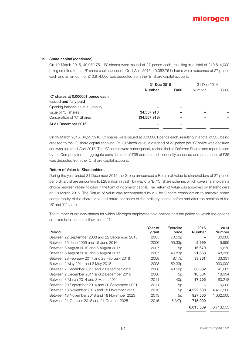#### 19 Share capital (continued)

On 19 March 2015, 40,052,751 'B' shares were issued at 27 pence each, resulting in a total of £10,814,000 being credited to the 'B' share capital account. On 1 April 2015, 40,052,751 shares were redeemed at 27 pence each and an amount of £10,814,000 was deducted from the 'B' share capital account.

|                                   | 31 Dec 2015    |      | 31 Dec 2014   |      |  |
|-----------------------------------|----------------|------|---------------|------|--|
|                                   | <b>Number</b>  | £000 | <b>Number</b> | £000 |  |
| 'C' shares at 0.000001 pence each |                |      |               |      |  |
| Issued and fully paid             |                |      |               |      |  |
| Opening balance as at 1 Janaury   |                |      |               |      |  |
| Issue of 'C' shares               | 34,557,918     |      |               |      |  |
| Cancellation of 'C' Shares        | (34, 557, 918) |      |               |      |  |
| At 31 December 2015               |                |      |               |      |  |
|                                   |                |      |               |      |  |

On 19 March 2015, 34,557,918 'C' shares were issued at 0.000001 pence each, resulting in a total of £35 being credited to the 'C' share capital account. On 19 March 2015, a dividend of 27 pence per 'C' share was declared and was paid on 1 April 2015. The 'C' shares were subsequently reclassified as Deferred Shares and repurchased by the Company for an aggregate consideration of £35 and then subsequently cancelled and an amount of £35 was deducted from the 'C' share capital account.

#### Return of Value to Shareholders

During the year ended 31 December 2015 the Group announced a Return of Value to shareholders of 27 pence per ordinary share amounting to £20 million in cash, by way of a 'B'/'C' share scheme, which gave shareholders a choice between receiving cash in the form of income or capital. The Return of Value was approved by shareholders on 18 March 2015. The Return of Value was accompanied by a 7 for 9 share consolidation to maintain broad comparability of the share price and return per share of the ordinary shares before and after the creation of the 'B' and 'C' shares.

The number of ordinary shares for which Microgen employees hold options and the period to which the options are exercisable are as follows (note 27):

| Year of | Exercise           | 2015          | 2014      |
|---------|--------------------|---------------|-----------|
| grant   | price              | <b>Number</b> | Number    |
| 2005    | 70.50 <sub>p</sub> |               | 30,000    |
| 2006    | 59.33 <sub>p</sub> | 9,999         | 9,999     |
| 2007    | 5p                 | 16,670        | 16,670    |
| 2007    | 46.83p             | 21,668        | 43,336    |
| 2008    | 48.17 <sub>p</sub> | 33,331        | 33,331    |
| 2008    | 52.33p             |               | 1,000,000 |
| 2008    | 43.50 <sub>p</sub> | 33,332        | 41,665    |
| 2008    | 5p                 | 18,334        | 18,334    |
| 2011    | 140 <sub>p</sub>   | 17,205        | 60,218    |
| 2011    | 5p                 |               | 10,000    |
| 2013    | 5p                 | 4,222,500     | 4,417,500 |
| 2013    | 5p                 | 927,500       | 1,032,500 |
| 2015    | 63/7p              | 715,000       |           |
|         |                    | 6,015,539     | 6,713,553 |
|         |                    |               |           |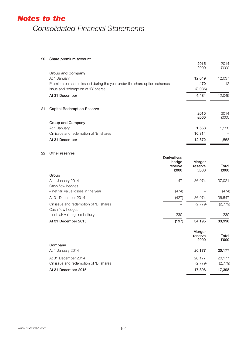| Share premium account<br>20                                             |              |              |
|-------------------------------------------------------------------------|--------------|--------------|
|                                                                         | 2015<br>£000 | 2014<br>£000 |
| Group and Company                                                       |              |              |
| At 1 January                                                            | 12,049       | 12,037       |
| Premium on shares issued during the year under the share option schemes | 470          | 12           |
| Issue and redemption of 'B' shares                                      | (8,035)      |              |
| At 31 December                                                          | 4,484        | 12,049       |
|                                                                         |              |              |
| <b>Capital Redemption Reserve</b><br>21                                 |              |              |
|                                                                         | 2015<br>£000 | 2014<br>£000 |
| Group and Company                                                       |              |              |
| At 1 January                                                            | 1,558        | 1,558        |
| On issue and redemption of 'B' shares                                   | 10,814       |              |
| At 31 December                                                          | 12,372       | 1,558        |

### 22 Other reserves

| טטווטו וטאטוויט                                           | <b>Derivatives</b><br>hedge<br>reserve<br>£000 | Merger<br>reserve<br>£000 | Total<br>£000 |
|-----------------------------------------------------------|------------------------------------------------|---------------------------|---------------|
| Group                                                     |                                                |                           |               |
| At 1 January 2014                                         | 47                                             | 36,974                    | 37,021        |
| Cash flow hedges                                          |                                                |                           |               |
| - net fair value losses in the year                       | (474)                                          |                           | (474)         |
| At 31 December 2014                                       | (427)                                          | 36,974                    | 36,547        |
| On issue and redemption of 'B' shares<br>Cash flow hedges |                                                | (2,779)                   | (2,779)       |
| - net fair value gains in the year                        | 230                                            |                           | 230           |
| At 31 December 2015                                       | (197)                                          | 34,195                    | 33,998        |
|                                                           |                                                | Merger<br>reserve<br>£000 | Total<br>£000 |
| Company                                                   |                                                |                           |               |
| At 1 January 2014                                         |                                                | 20,177                    | 20,177        |
| At 31 December 2014                                       |                                                | 20,177                    | 20,177        |
| On issue and redemption of 'B' shares                     |                                                | (2,779)                   | (2, 779)      |
| At 31 December 2015                                       |                                                | 17,398                    | 17,398        |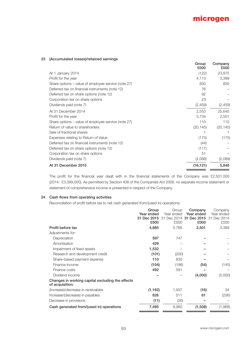#### 23 (Accumulated losses)/retained earnings

|                                                     | Group<br>£000 | Company<br>£000 |
|-----------------------------------------------------|---------------|-----------------|
| At 1 January 2014                                   | (122)         | 23,875          |
| Profit for the year                                 | 4,113         | 3,399           |
| Share options – value of employee service (note 27) | 830           | 830             |
| Deferred tax on financial instruments (note 12)     | 76            |                 |
| Deferred tax on share options (note 12)             | 92            |                 |
| Corporation tax on share options                    | 23            |                 |
| Dividends paid (note 7)                             | (2,459)       | (2,459)         |
| At 31 December 2014                                 | 2,553         | 25,645          |
| Profit for the year                                 | 3,734         | 2,501           |
| Share options – value of employee service (note 27) | 110           | 110             |
| Return of value to shareholders                     | (20, 145)     | (20, 145)       |
| Sale of fractional shares                           |               |                 |
| Expenses relating to Return of Value                | (175)         | (175)           |
| Deferred tax on financial instruments (note 12)     | (44)          |                 |
| Deferred tax on share options (note 12)             | (117)         |                 |
| Corporation tax on share options                    | 51            |                 |
| Dividends paid (note 7)                             | (2,089)       | (2,089)         |
| At 31 December 2015                                 | (16, 121)     | 5,848           |

The profit for the financial year dealt with in the financial statements of the Company was £2,501,000 (2014: £3,399,000). As permitted by Section 408 of the Companies Act 2006, no separate income statement or statement of comprehensive income is presented in respect of the Company.

### 24 Cash flows from operating activities

Reconciliation of profit before tax to net cash generated from/(used in) operations:

|                                                                     | Group       | Group      | Company                 | Company     |
|---------------------------------------------------------------------|-------------|------------|-------------------------|-------------|
|                                                                     | Year ended  | Year ended | Year ended              | Year ended  |
|                                                                     | 31 Dec 2015 |            | 31 Dec 2014 31 Dec 2015 | 31 Dec 2014 |
|                                                                     | £000        | £000       | £000                    | £000        |
| Profit before tax                                                   | 4,885       | 5,766      | 2,501                   | 3,399       |
| Adjustments for:                                                    |             |            |                         |             |
| Depreciation                                                        | 597         | 747        |                         |             |
| Amortisation                                                        | 429         |            |                         |             |
| Impairment of fixed assets                                          | 1,532       |            |                         |             |
| Research and development credit                                     | (101)       | (200)      |                         |             |
| Share-based payment expense                                         | 110         | 830        |                         |             |
| Finance income                                                      | (104)       | (196)      | (54)                    | (145)       |
| Finance costs                                                       | 492         | 591        |                         |             |
| Dividend income                                                     |             |            | (4,000)                 | (5,000)     |
| Changes in working capital excluding the effects<br>of acquisition: |             |            |                         |             |
| (Increase)/decrease in receivables                                  | (1, 162)    | 1,937      | (16)                    | 34          |
| Increase/(decrease) in payables                                     | 828         | 511        | 61                      | (256)       |
| Decrease in provisions                                              | (11)        | (26)       |                         |             |
| Cash generated from/(used in) operations                            | 7,495       | 9,960      | (1,508)                 | (1,968)     |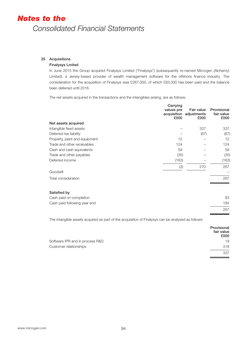### 25 Acquisitions

#### Finalysys Lmited

In June 2015 the Group acquired Finalysys Limited ("Finalysys") (subsequently re-named Microgen (Alchemy) Limited), a Jersey-based provider of wealth management software for the offshore finance industry. The consideration for the acquisition of Finalysys was £267,000, of which £83,000 has been paid and the balance been deferred until 2016.

The net assets acquired in the transactions and the intangibles arising, are as follows:

|                               | Carrying<br>values pre<br>£000 | Fair value<br>acquisition adjustments<br>£000 | Provisional<br>fair value<br>£000 |
|-------------------------------|--------------------------------|-----------------------------------------------|-----------------------------------|
| Net assets acquired           |                                |                                               |                                   |
| Intangible fixed assets       |                                | 337                                           | 337                               |
| Deferred tax liability        |                                | (67)                                          | (67)                              |
| Property, plant and equipment | 12                             |                                               | 12                                |
| Trade and other receivables   | 124                            |                                               | 124                               |
| Cash and cash equivalents     | 59                             |                                               | 59                                |
| Trade and other payables      | (35)                           |                                               | (35)                              |
| Deferred income               | (163)                          |                                               | (163)                             |
|                               | (3)                            | 270                                           | 267                               |
| Goodwill                      |                                |                                               |                                   |
| Total consideration           |                                |                                               | 267                               |

### Satisfied by

| Cash paid on completion      | 83  |
|------------------------------|-----|
| Cash paid following year end | 184 |
|                              | 267 |

The intangible assets acquired as part of the acquisition of Finalysys can be analysed as follows:

|                                 | Provisional<br>fair value<br>£000 |
|---------------------------------|-----------------------------------|
| Software IPR and in process R&D | 19                                |
| Customer relationships          | 318                               |
|                                 | 337                               |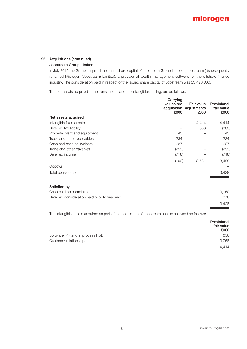### 25 Acquisitions (continued)

### Jobstream Group Limited

In July 2015 the Group acquired the entire share capital of Jobstream Group Limited ("Jobstream") (subsequently renamed Microgen (Jobstream) Limited), a provider of wealth management software for the offshore finance industry. The consideration paid in respect of the issued share capital of Jobstream was £3,428,000.

The net assets acquired in the transactions and the intangibles arising, are as follows:

|                               | Carrying<br>values pre<br>£000 | Fair value<br>acquisition adjustments<br>£000 | Provisional<br>fair value<br>£000 |
|-------------------------------|--------------------------------|-----------------------------------------------|-----------------------------------|
| Net assets acquired           |                                |                                               |                                   |
| Intangible fixed assets       |                                | 4.414                                         | 4,414                             |
| Deferred tax liability        |                                | (883)                                         | (883)                             |
| Property, plant and equipment | 43                             |                                               | 43                                |
| Trade and other receivables   | 234                            |                                               | 234                               |
| Cash and cash equivalents     | 637                            |                                               | 637                               |
| Trade and other payables      | (299)                          |                                               | (299)                             |
| Deferred income               | (718)                          |                                               | (718)                             |
|                               | (103)                          | 3,531                                         | 3,428                             |
| Goodwill                      |                                |                                               |                                   |
| Total consideration           |                                |                                               | 3,428                             |
|                               |                                |                                               |                                   |

#### Satisfied by

| Cash paid on completion                       | 3.150 |
|-----------------------------------------------|-------|
| Deferred consideration paid prior to year end | 278   |
|                                               | 3.428 |

The intangible assets acquired as part of the acquisition of Jobstream can be analysed as follows:

|                                 | Provisional<br>fair value<br>£000 |
|---------------------------------|-----------------------------------|
| Software IPR and in process R&D | 656                               |
| Customer relationships          | 3,758                             |
|                                 | 4.414                             |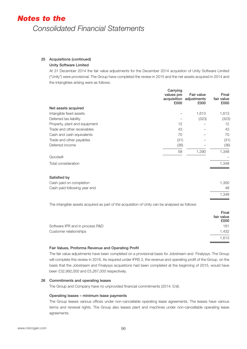### 25 Acquisitions (continued)

#### Unity Software Limited

At 31 December 2014 the fair value adjustments for the December 2014 acquistion of Unity Software Limited ("Unity") were provisional. The Group have completed the review in 2015 and the net assets acquired in 2014 and the intangibles arising were as follows:

|                               | Carrying<br>values pre<br>£000 | Fair value<br>acquisition adjustments<br>£000 | Final<br>fair value<br>£000 |
|-------------------------------|--------------------------------|-----------------------------------------------|-----------------------------|
| Net assets acquired           |                                |                                               |                             |
| Intangible fixed assets       |                                | 1,613                                         | 1,613                       |
| Deferred tax liability        |                                | (323)                                         | (323)                       |
| Property, plant and equipment | 12                             |                                               | $12 \,$                     |
| Trade and other receivables   | 43                             |                                               | 43                          |
| Cash and cash equivalents     | 70                             |                                               | 70                          |
| Trade and other payables      | (31)                           |                                               | (31)                        |
| Deferred income               | (36)                           |                                               | (36)                        |
|                               | 58                             | 1,290                                         | 1,348                       |
| Goodwill                      |                                |                                               |                             |
| Total consideration           |                                |                                               | 1,348                       |
|                               |                                |                                               |                             |

#### Satisfied by

| Cash paid on completion      | 1.300 |
|------------------------------|-------|
| Cash paid following year end | 48    |
|                              | 1.348 |

The intangible assets acquired as part of the acquisition of Unity can be analysed as follows:

|                                 | Final<br>fair value<br>£000 |
|---------------------------------|-----------------------------|
| Software IPR and in process R&D | 181                         |
| Customer relationships          | 1.432                       |
|                                 | 1.613                       |

#### Fair Values, Proforma Revenue and Operating Profit

The fair value adjustments have been completed on a provisional basis for Jobstream and Finalysys. The Group will complete this review in 2016. As required under IFRS 3, the revenue and operating profit of the Group, on the basis that the Jobstream and Finalysys acquistions had been completed at the beginning of 2015, would have been £32,992,000 and £5,267,000 respectively.

#### 26 Commitments and operating leases

The Group and Company have no unprovided financial commitments (2014: £nil).

#### Operating leases – minimum lease payments

The Group leases various offices under non-cancellable operating lease agreements. The leases have various terms and renewal rights. The Group also leases plant and machines under non-cancellable operating lease agreements.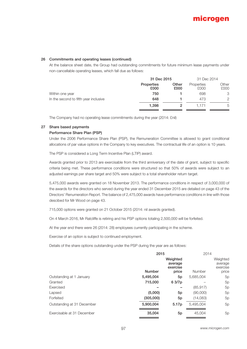#### 26 Commitments and operating leases (continued)

At the balance sheet date, the Group had outstanding commitments for future minimum lease payments under non-cancellable operating leases, which fall due as follows:

|                                       | 31 Dec 2015               |               | 31 Dec 2014        |               |
|---------------------------------------|---------------------------|---------------|--------------------|---------------|
|                                       | <b>Properties</b><br>£000 | Other<br>£000 | Properties<br>£000 | Other<br>£000 |
| Within one year                       | 750                       |               | 698                | 3             |
| In the second to fifth year inclusive | 648                       |               | 473                | 2             |
|                                       | 1.398                     |               | 1.171              | 5             |

The Company had no operating lease commitments during the year (2014: £nil)

#### 27 Share based payments

#### Performance Share Plan (PSP)

Under the 2006 Performance Share Plan (PSP), the Remuneration Committee is allowed to grant conditional allocations of par value options in the Company to key executives. The contractual life of an option is 10 years.

The PSP is considered a Long Term Incentive Plan (LTIP) award.

Awards granted prior to 2013 are exercisable from the third anniversary of the date of grant, subject to specific criteria being met. These performance conditions were structured so that 50% of awards were subject to an adjusted earnings per share target and 50% were subject to a total shareholder return target.

5,475,000 awards were granted on 18 November 2013. The performance conditions in respect of 3,000,000 of the awards for the directors who served during the year ended 31 December 2015 are detailed on page 43 of the Directors' Renumeration Report. The balance of 2,475,000 awards have performance conditions in line with those descibed for Mr Wood on page 43.

715,000 options were granted on 21 October 2015 (2014: nil awards granted).

On 4 March 2016, Mr Ratcliffe is retiring and his PSP options totaling 2,500,000 will be forfeited.

At the year end there were 26 (2014: 28) employees currently participating in the scheme.

Exercise of an option is subject to continued employment.

Details of the share options outstanding under the PSP during the year are as follows:

|                            | 2015          |                                 | 2014      |                                 |
|----------------------------|---------------|---------------------------------|-----------|---------------------------------|
|                            |               | Weighted<br>average<br>exercise |           | Weighted<br>average<br>exercise |
|                            | <b>Number</b> | price                           | Number    | price                           |
| Outstanding at 1 January   | 5,495,004     | 5p                              | 5,685,004 | 5p                              |
| Granted                    | 715,000       | 63/7p                           |           | 5p                              |
| Exercised                  |               |                                 | (85, 917) | 5p                              |
| Lapsed                     | (5,000)       | 5p                              | (90,000)  | 5p                              |
| Forfeited                  | (305,000)     | 5p                              | (14,083)  | 5p                              |
| Outstanding at 31 December | 5,900,004     | 5.17 <sub>p</sub>               | 5,495,004 | 5p                              |
| Exercisable at 31 December | 35,004        | 5p                              | 45,004    | 5p                              |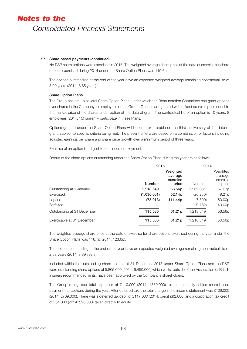#### 27 Share based payments (continued)

No PSP share options were exercised in 2015. The weighted average share price at the date of exercise for share options exercised during 2014 under the Share Option Plans was 119.6p.

The options outstanding at the end of the year have an expected weighted average remaining contractual life of 8.09 years (2014: 8.85 years).

#### Share Option Plans

The Group has set up several Share Option Plans, under which the Remuneration Committee can grant options over shares in the Company to employees of the Group. Options are granted with a fixed exercise price equal to the market price of the shares under option at the date of grant. The contractual life of an option is 10 years. 8 employees (2014: 15) currently participate in these Plans.

Options granted under the Share Option Plans will become exercisable on the third anniversary of the date of grant, subject to specific criteria being met. The present criteria are based on a combination of factors including adjusted earnings per share and share price growth over a minimum period of three years.

Exercise of an option is subject to continued employment.

Details of the share options outstanding under the Share Option Plans during the year are as follows:

|                            | 2015          |                                 | 2014      |                                 |
|----------------------------|---------------|---------------------------------|-----------|---------------------------------|
|                            | <b>Number</b> | Weighted<br>average<br>exercise | Number    | Weighted<br>average<br>exercise |
|                            |               | price                           |           | price                           |
| Outstanding at 1 January   | 1,218,549     | 56.56 <sub>p</sub>              | 1,262,081 | 57.07p                          |
| Exercised                  | (1,030,001)   | 52.14 <sub>p</sub>              | (26, 250) | 49.21 <sub>p</sub>              |
| Lapsed                     | (73, 013)     | 111.44p                         | (7,500)   | 60.00p                          |
| Forfeited                  |               |                                 | (9,782)   | 140.00p                         |
| Outstanding at 31 December | 115,535       | 61.21 <sub>p</sub>              | 1,218,549 | 56.56p                          |
| Exercisable at 31 December | 115,535       | 61.21 <sub>p</sub>              | 1,218,549 | 56.56p                          |

The weighted average share price at the date of exercise for share options exercised during the year under the Share Option Plans was 118.7p (2014: 123.6p).

The options outstanding at the end of the year have an expected weighted average remaining contractual life of 2.58 years (2014: 3.39 years).

Included within the outstanding share options at 31 December 2015 under Share Option Plans and the PSP were outstanding share options of 5,865,000 (2014: 6,450,000) which whilst outside of the Association of British Insurers recommended limits, have been approved by the Company's shareholders.

The Group recognised total expenses of £110,000 (2014: £830,000) related to equity-settled share-based payment transactions during the year. After deferred tax, the total charge in the income statement was £109,000 (2014: £769,000). There was a deferred tax debit of £117,000 (2014: credit £92,000) and a corporation tax credit of £51,000 (2014: £23,000) taken directly to equity.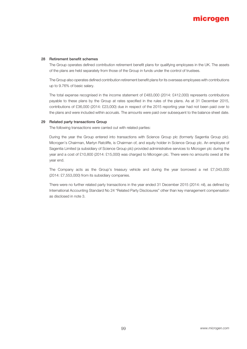#### 28 Retirement benefit schemes

The Group operates defined contribution retirement benefit plans for qualifying employees in the UK. The assets of the plans are held separately from those of the Group in funds under the control of trustees.

The Group also operates defined contribution retirement benefit plans for its overseas employees with contributions up to 9.76% of basic salary.

The total expense recognised in the income statement of £483,000 (2014: £412,000) represents contributions payable to these plans by the Group at rates specified in the rules of the plans. As at 31 December 2015, contributions of £36,000 (2014: £23,000) due in respect of the 2015 reporting year had not been paid over to the plans and were included within accruals. The amounts were paid over subsequent to the balance sheet date.

#### 29 Related party transactions Group

The following transactions were carried out with related parties:

During the year the Group entered into transactions with Science Group plc (formerly Sagentia Group plc). Microgen's Chairman, Martyn Ratcliffe, is Chairman of, and equity holder in Science Group plc. An employee of Sagentia Limited (a subsidiary of Science Group plc) provided administrative services to Microgen plc during the year and a cost of £10,800 (2014: £15,000) was charged to Microgen plc. There were no amounts owed at the year end.

The Company acts as the Group's treasury vehicle and during the year borrowed a net £7,043,000 (2014: £7,553,000) from its subsidiary companies.

There were no further related party transactions in the year ended 31 December 2015 (2014: nil), as defined by International Accounting Standard No 24 "Related Party Disclosures" other than key management compensation as disclosed in note 3.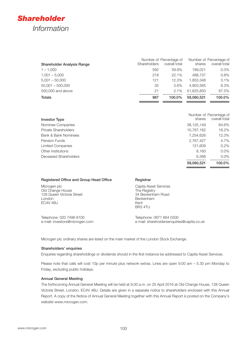

|                                   |              | Number of Percentage of |            | Number of Percentage of |
|-----------------------------------|--------------|-------------------------|------------|-------------------------|
| <b>Shareholder Analysis Range</b> | Shareholders | overall total           | shares     | overall total           |
| $1 - 1.000$                       | 592          | 59.9%                   | 189.021    | 0.3%                    |
| $1.001 - 5.000$                   | 218          | 22.1%                   | 488.737    | 0.8%                    |
| $5,001 - 50,000$                  | 121          | 12.3%                   | 1.853.348  | $3.1\%$                 |
| $50.001 - 500.000$                | 35           | 3.6%                    | 4.903.565  | 8.3%                    |
| 500,000 and above                 | 21           | $2.1\%$                 | 51.625.850 | 87.5%                   |
| <b>Totals</b>                     | 987          | 100.0%                  | 59.060.521 | 100.0%                  |
|                                   |              |                         |            |                         |

|                                 | 59,060,521 | 100.0%                                   |
|---------------------------------|------------|------------------------------------------|
| Deceased Shareholders           | 6.368      | $0.0\%$                                  |
| Other Institutions              | 8.160      | $0.0\%$                                  |
| Limited Companies               | 131.609    | 0.2%                                     |
| Pension Funds                   | 2,767,427  | 4.7%                                     |
| <b>Bank &amp; Bank Nominees</b> | 7,254,626  | 12.3%                                    |
| <b>Private Shareholders</b>     | 10.767.182 | 18.2%                                    |
| Nominee Companies               | 38,125,149 | 64.6%                                    |
| <b>Investor Type</b>            | shares     | Number of Percentage of<br>overall total |

| Registered Office and Group Head Office |
|-----------------------------------------|
|-----------------------------------------|

Microgen plc Old Change House 128 Queen Victoria Street London  $FC4V 4BJ$ 

Telephone: 020 7496 8100 e-mail: investors@microgen.com

### Registrar

Capita Asset Services The Registry 34 Beckenham Road Beckenham Kent BR3 4TU

Telephone: 0871 664 0300 e-mail: shareholdersenquiries@capita.co.uk

 $-$ 

Microgen plc ordinary shares are listed on the main market of the London Stock Exchange.

#### Shareholders' enquiries

Enquiries regarding shareholdings or dividends should in the first instance be addressed to Capita Asset Services.

Please note that calls will cost 10p per minute plus network extras. Lines are open 9.00 am – 5.30 pm Monday to Friday, excluding public holidays.

#### Annual General Meeting

The forthcoming Annual General Meeting will be held at 9.00 a.m. on 25 April 2016 at Old Change House, 128 Queen Victoria Street, London, EC4V 4BJ. Details are given in a separate notice to shareholders enclosed with this Annual Report. A copy of the Notice of Annual General Meeting together with this Annual Report is posted on the Company's website www.microgen.com.